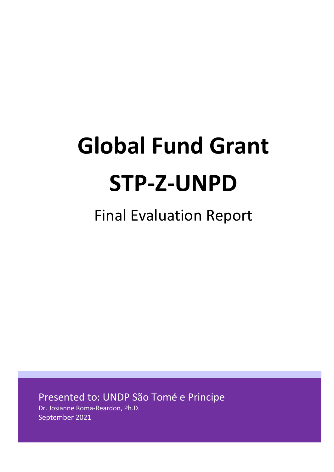# **Global Fund Grant STP-Z-UNPD**

## Final Evaluation Report

Presented to: UNDP São Tomé e Principe

Dr. Josianne Roma-Reardon, Ph.D. September 2021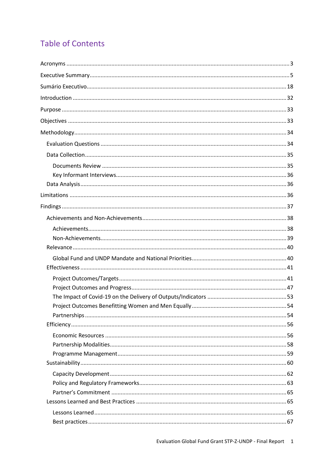## **Table of Contents**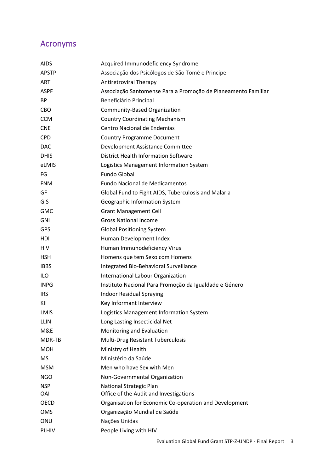## <span id="page-3-0"></span>Acronyms

| <b>AIDS</b>  | Acquired Immunodeficiency Syndrome                            |
|--------------|---------------------------------------------------------------|
| <b>APSTP</b> | Associação dos Psicólogos de São Tomé e Principe              |
| <b>ART</b>   | <b>Antiretroviral Therapy</b>                                 |
| <b>ASPF</b>  | Associação Santomense Para a Promoção de Planeamento Familiar |
| <b>BP</b>    | Beneficiário Principal                                        |
| <b>CBO</b>   | Community-Based Organization                                  |
| <b>CCM</b>   | <b>Country Coordinating Mechanism</b>                         |
| <b>CNE</b>   | Centro Nacional de Endemias                                   |
| <b>CPD</b>   | <b>Country Programme Document</b>                             |
| <b>DAC</b>   | Development Assistance Committee                              |
| <b>DHIS</b>  | <b>District Health Information Software</b>                   |
| eLMIS        | Logistics Management Information System                       |
| FG           | Fundo Global                                                  |
| <b>FNM</b>   | <b>Fundo Nacional de Medicamentos</b>                         |
| GF           | Global Fund to Fight AIDS, Tuberculosis and Malaria           |
| GIS          | Geographic Information System                                 |
| <b>GMC</b>   | <b>Grant Management Cell</b>                                  |
| GNI          | <b>Gross National Income</b>                                  |
| <b>GPS</b>   | <b>Global Positioning System</b>                              |
| HDI          | Human Development Index                                       |
| <b>HIV</b>   | Human Immunodeficiency Virus                                  |
| <b>HSH</b>   | Homens que tem Sexo com Homens                                |
| <b>IBBS</b>  | Integrated Bio-Behavioral Surveillance                        |
| ILO          | International Labour Organization                             |
| <b>INPG</b>  | Instituto Nacional Para Promoção da Igualdade e Género        |
| <b>IRS</b>   | <b>Indoor Residual Spraying</b>                               |
| KII          | Key Informant Interview                                       |
| LMIS         | Logistics Management Information System                       |
| <b>LLIN</b>  | Long Lasting Insecticidal Net                                 |
| M&E          | Monitoring and Evaluation                                     |
| MDR-TB       | Multi-Drug Resistant Tuberculosis                             |
| <b>MOH</b>   | Ministry of Health                                            |
| <b>MS</b>    | Ministério da Saúde                                           |
| <b>MSM</b>   | Men who have Sex with Men                                     |
| <b>NGO</b>   | Non-Governmental Organization                                 |
| <b>NSP</b>   | National Strategic Plan                                       |
| OAI          | Office of the Audit and Investigations                        |
| <b>OECD</b>  | Organisation for Economic Co-operation and Development        |
| <b>OMS</b>   | Organização Mundial de Saúde                                  |
| ONU          | Nações Unidas                                                 |
| <b>PLHIV</b> | People Living with HIV                                        |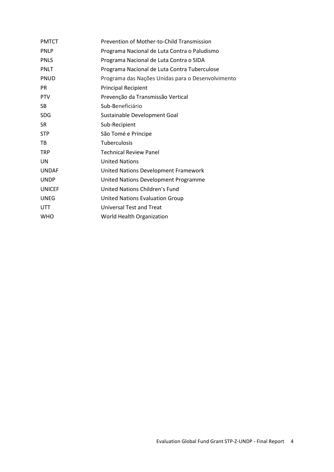| <b>PMTCT</b>  | Prevention of Mother-to-Child Transmission        |
|---------------|---------------------------------------------------|
| <b>PNLP</b>   | Programa Nacional de Luta Contra o Paludismo      |
| <b>PNLS</b>   | Programa Nacional de Luta Contra o SIDA           |
| <b>PNLT</b>   | Programa Nacional de Luta Contra Tuberculose      |
| <b>PNUD</b>   | Programa das Nações Unidas para o Desenvolvimento |
| <b>PR</b>     | <b>Principal Recipient</b>                        |
| <b>PTV</b>    | Prevenção da Transmissão Vertical                 |
| <b>SB</b>     | Sub-Beneficiário                                  |
| <b>SDG</b>    | Sustainable Development Goal                      |
| <b>SR</b>     | Sub-Recipient                                     |
| <b>STP</b>    | São Tomé e Principe                               |
| TB            | Tuberculosis                                      |
| <b>TRP</b>    | <b>Technical Review Panel</b>                     |
| UN            | <b>United Nations</b>                             |
| <b>UNDAF</b>  | United Nations Development Framework              |
| <b>UNDP</b>   | United Nations Development Programme              |
| <b>UNICEF</b> | United Nations Children's Fund                    |
| <b>UNEG</b>   | <b>United Nations Evaluation Group</b>            |
| <b>UTT</b>    | Universal Test and Treat                          |
| <b>WHO</b>    | World Health Organization                         |
|               |                                                   |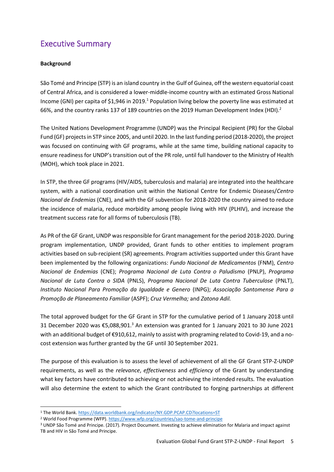## <span id="page-5-0"></span>Executive Summary

#### **Background**

São Tomé and Principe (STP) is an [island country](https://en.wikipedia.org/wiki/Island_country) in the [Gulf of Guinea,](https://en.wikipedia.org/wiki/Gulf_of_Guinea) off the western equatorial coast of [Central Africa,](https://en.wikipedia.org/wiki/Central_Africa) and is considered a lower-middle-income country with an estimated Gross National Income (GNI) per capita of \$1,946 in 2019.<sup>1</sup> Population living below the poverty line was estimated at 66%, and the country ranks 137 of 189 countries on the 2019 Human Development Index (HDI).<sup>2</sup>

The United Nations Development Programme (UNDP) was the Principal Recipient (PR) for the Global Fund (GF) projects in STP since 2005, and until 2020. In the last funding period (2018-2020), the project was focused on continuing with GF programs, while at the same time, building national capacity to ensure readiness for UNDP's transition out of the PR role, until full handover to the Ministry of Health (MOH), which took place in 2021.

In STP, the three GF programs (HIV/AIDS, tuberculosis and malaria) are integrated into the healthcare system, with a national coordination unit within the National Centre for Endemic Diseases/*Centro Nacional de Endemias* (CNE), and with the GF subvention for 2018-2020 the country aimed to reduce the incidence of malaria, reduce morbidity among people living with HIV (PLHIV), and increase the treatment success rate for all forms of tuberculosis (TB).

As PR of the GF Grant, UNDP was responsible for Grant management for the period 2018-2020. During program implementation, UNDP provided, Grant funds to other entities to implement program activities based on sub-recipient (SR) agreements. Program activities supported under this Grant have been implemented by the following organizations: *Fundo Nacional de Medicamentos* (FNM), *Centro Nacional de Endemias* (CNE); *Programa Nacional de Luta Contra o Paludismo* (PNLP), *Programa Nacional de Luta Contra o SIDA* (PNLS), *Programa Nacional De Luta Contra Tuberculose* (PNLT), *Instituto Nacional Para Promoção da Igualdade e Genero* (INPG); *Associação Santomense Para a Promoção de Planeamento Familiar* (ASPF); *Cruz Vermelha;* and *Zatona Adil.*

The total approved budget for the GF Grant in STP for the cumulative period of 1 January 2018 until 31 December 2020 was  $\epsilon$ 5,088,901.<sup>3</sup> An extension was granted for 1 January 2021 to 30 June 2021 with an additional budget of €910,612, mainly to assist with programing related to Covid-19, and a nocost extension was further granted by the GF until 30 September 2021.

The purpose of this evaluation is to assess the level of achievement of all the GF Grant STP-Z-UNDP requirements, as well as the *relevance*, *effectiveness* and *efficiency* of the Grant by understanding what key factors have contributed to achieving or not achieving the intended results. The evaluation will also determine the extent to which the Grant contributed to forging partnerships at different

<sup>1</sup> The World Bank.<https://data.worldbank.org/indicator/NY.GDP.PCAP.CD?locations=ST>

<sup>&</sup>lt;sup>2</sup> World Food Programme (WFP).<https://www.wfp.org/countries/sao-tome-and-principe>

<sup>3</sup> UNDP São Tomé and Principe. (2017). Project Document. Investing to achieve elimination for Malaria and impact against TB and HIV in São Tomé and Principe.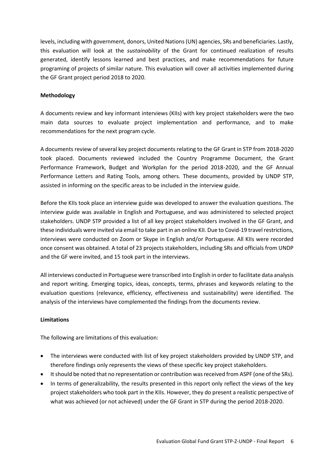levels, including with government, donors, United Nations (UN) agencies, SRs and beneficiaries. Lastly, this evaluation will look at the *sustainability* of the Grant for continued realization of results generated, identify lessons learned and best practices, and make recommendations for future programing of projects of similar nature. This evaluation will cover all activities implemented during the GF Grant project period 2018 to 2020.

#### **Methodology**

A documents review and key informant interviews (KIIs) with key project stakeholders were the two main data sources to evaluate project implementation and performance, and to make recommendations for the next program cycle.

A documents review of several key project documents relating to the GF Grant in STP from 2018-2020 took placed. Documents reviewed included the Country Programme Document, the Grant Performance Framework, Budget and Workplan for the period 2018-2020, and the GF Annual Performance Letters and Rating Tools, among others. These documents, provided by UNDP STP, assisted in informing on the specific areas to be included in the interview guide.

Before the KIIs took place an interview guide was developed to answer the evaluation questions. The interview guide was available in English and Portuguese, and was administered to selected project stakeholders. UNDP STP provided a list of all key project stakeholders involved in the GF Grant, and these individuals were invited via email to take part in an online KII. Due to Covid-19 travel restrictions, interviews were conducted on Zoom or Skype in English and/or Portuguese. All KIIs were recorded once consent was obtained. A total of 23 projects stakeholders, including SRs and officials from UNDP and the GF were invited, and 15 took part in the interviews.

All interviews conducted in Portuguese were transcribed into English in order to facilitate data analysis and report writing. Emerging topics, ideas, concepts, terms, phrases and keywords relating to the evaluation questions (relevance, efficiency, effectiveness and sustainability) were identified. The analysis of the interviews have complemented the findings from the documents review.

#### **Limitations**

The following are limitations of this evaluation:

- The interviews were conducted with list of key project stakeholders provided by UNDP STP, and therefore findings only represents the views of these specific key project stakeholders.
- It should be noted that no representation or contribution was received from ASPF (one of the SRs).
- In terms of generalizability, the results presented in this report only reflect the views of the key project stakeholders who took part in the KIIs. However, they do present a realistic perspective of what was achieved (or not achieved) under the GF Grant in STP during the period 2018-2020.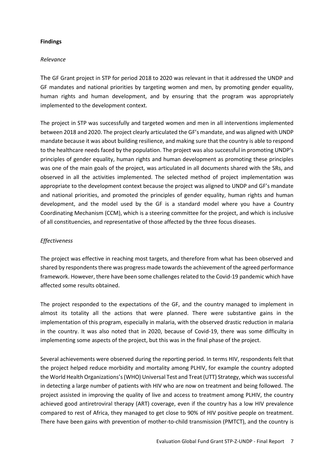#### **Findings**

#### *Relevance*

The GF Grant project in STP for period 2018 to 2020 was relevant in that it addressed the UNDP and GF mandates and national priorities by targeting women and men, by promoting gender equality, human rights and human development, and by ensuring that the program was appropriately implemented to the development context.

The project in STP was successfully and targeted women and men in all interventions implemented between 2018 and 2020. The project clearly articulated the GF's mandate, and was aligned with UNDP mandate because it was about building resilience, and making sure that the country is able to respond to the healthcare needs faced by the population. The project was also successful in promoting UNDP's principles of gender equality, human rights and human development as promoting these principles was one of the main goals of the project, was articulated in all documents shared with the SRs, and observed in all the activities implemented. The selected method of project implementation was appropriate to the development context because the project was aligned to UNDP and GF's mandate and national priorities, and promoted the principles of gender equality, human rights and human development, and the model used by the GF is a standard model where you have a Country Coordinating Mechanism (CCM), which is a steering committee for the project, and which is inclusive of all constituencies, and representative of those affected by the three focus diseases.

#### *Effectiveness*

The project was effective in reaching most targets, and therefore from what has been observed and shared by respondents there was progress made towards the achievement of the agreed performance framework. However, there have been some challenges related to the Covid-19 pandemic which have affected some results obtained.

The project responded to the expectations of the GF, and the country managed to implement in almost its totality all the actions that were planned. There were substantive gains in the implementation of this program, especially in malaria, with the observed drastic reduction in malaria in the country. It was also noted that in 2020, because of Covid-19, there was some difficulty in implementing some aspects of the project, but this was in the final phase of the project.

Several achievements were observed during the reporting period. In terms HIV, respondents felt that the project helped reduce morbidity and mortality among PLHIV, for example the country adopted the World Health Organizations's (WHO) Universal Test and Treat (UTT) Strategy, which was successful in detecting a large number of patients with HIV who are now on treatment and being followed. The project assisted in improving the quality of live and access to treatment among PLHIV, the country achieved good antiretroviral therapy (ART) coverage, even if the country has a low HIV prevalence compared to rest of Africa, they managed to get close to 90% of HIV positive people on treatment. There have been gains with prevention of mother-to-child transmission (PMTCT), and the country is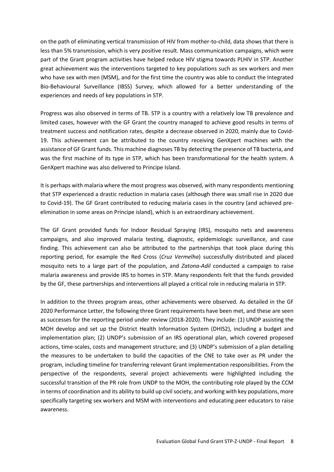on the path of eliminating vertical transmission of HIV from mother-to-child, data shows that there is less than 5% transmission, which is very positive result. Mass communication campaigns, which were part of the Grant program activities have helped reduce HIV stigma towards PLHIV in STP. Another great achievement was the interventions targeted to key populations such as sex workers and men who have sex with men (MSM), and for the first time the country was able to conduct the Integrated Bio-Behavioural Surveillance (IBSS) Survey, which allowed for a better understanding of the experiences and needs of key populations in STP.

Progress was also observed in terms of TB. STP is a country with a relatively low TB prevalence and limited cases, however with the GF Grant the country managed to achieve good results in terms of treatment success and notification rates, despite a decrease observed in 2020, mainly due to Covid-19. This achievement can be attributed to the country receiving GenXpert machines with the assistance of GF Grant funds. This machine diagnoses TB by detecting the presence of TB bacteria, and was the first machine of its type in STP, which has been transformational for the health system. A GenXpert machine was also delivered to Principe Island.

It is perhaps with malaria where the most progress was observed, with many respondents mentioning that STP experienced a drastic reduction in malaria cases (although there was small rise in 2020 due to Covid-19). The GF Grant contributed to reducing malaria cases in the country (and achieved preelimination in some areas on Principe island), which is an extraordinary achievement.

The GF Grant provided funds for Indoor Residual Spraying (IRS), mosquito nets and awareness campaigns, and also improved malaria testing, diagnostic, epidemiologic surveillance, and case finding. This achievement can also be attributed to the partnerships that took place during this reporting period, for example the Red Cross (*Cruz Vermelha*) successfully distributed and placed mosquito nets to a large part of the population, and *Zatona-Adil* conducted a campaign to raise malaria awareness and provide IRS to homes in STP. Many respondents felt that the funds provided by the GF, these partnerships and interventions all played a critical role in reducing malaria in STP.

In addition to the threes program areas, other achievements were observed. As detailed in the GF 2020 Performance Letter, the following three Grant requirements have been met, and these are seen as successes for the reporting period under review (2018-2020). They include: (1) UNDP assisting the MOH develop and set up the District Health Information System (DHIS2), including a budget and implementation plan; (2) UNDP's submission of an IRS operational plan, which covered proposed actions, time-scales, costs and management structure; and (3) UNDP's submission of a plan detailing the measures to be undertaken to build the capacities of the CNE to take over as PR under the program, including timeline for transferring relevant Grant implementation responsibilities. From the perspective of the respondents, several project achievements were highlighted including the successful transition of the PR role from UNDP to the MOH, the contributing role played by the CCM in terms of coordination and its ability to build up civil society, and working with key populations, more specifically targeting sex workers and MSM with interventions and educating peer educators to raise awareness.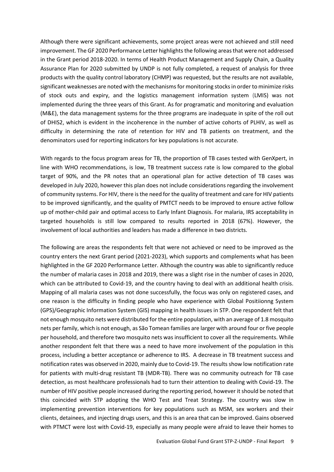Although there were significant achievements, some project areas were not achieved and still need improvement. The GF 2020 Performance Letter highlights the following areas that were not addressed in the Grant period 2018-2020. In terms of Health Product Management and Supply Chain, a Quality Assurance Plan for 2020 submitted by UNDP is not fully completed, a request of analysis for three products with the quality control laboratory (CHMP) was requested, but the results are not available, significant weaknesses are noted with the mechanisms for monitoring stocks in order to minimize risks of stock outs and expiry, and the logistics management information system (LMIS) was not implemented during the three years of this Grant. As for programatic and monitoring and evaluation (M&E), the data management systems for the three programs are inadequate in spite of the roll out of DHIS2, which is evident in the incoherence in the number of active cohorts of PLHIV, as well as difficulty in determining the rate of retention for HIV and TB patients on treatment, and the denominators used for reporting indicators for key populations is not accurate.

With regards to the focus program areas for TB, the proportion of TB cases tested with GenXpert, in line with WHO recommendations, is low, TB treatment success rate is low compared to the global target of 90%, and the PR notes that an operational plan for active detection of TB cases was developed in July 2020, however this plan does not include considerations regarding the involvement of community systems. For HIV, there is the need for the quality of treatment and care for HIV patients to be improved significantly, and the quality of PMTCT needs to be improved to ensure active follow up of mother-child pair and optimal access to Early Infant Diagnosis. For malaria, IRS acceptability in targeted households is still low compared to results reported in 2018 (67%). However, the involvement of local authorities and leaders has made a difference in two districts.

The following are areas the respondents felt that were not achieved or need to be improved as the country enters the next Grant period (2021-2023), which supports and complements what has been highlighted in the GF 2020 Performance Letter. Although the country was able to significantly reduce the number of malaria cases in 2018 and 2019, there was a slight rise in the number of cases in 2020, which can be attributed to Covid-19, and the country having to deal with an additional health crisis. Mapping of all malaria cases was not done successfully, the focus was only on registered cases, and one reason is the difficulty in finding people who have experience with Global Positiionng System (GPS)/Geographic Information System (GIS) mapping in health issues in STP. One respondent felt that not enough mosquito nets were distributed for the entire population, with an average of 1.8 mosquito nets per family, which is not enough, as São Tomean families are larger with around four or five people per household, and therefore two mosquito nets was insufficient to cover all the requirements. While another respondent felt that there was a need to have more involvement of the population in this process, including a better acceptance or adherence to IRS. A decrease in TB treatment success and notification rates was observed in 2020, mainly due to Covid-19. The results show low notification rate for patients with multi-drug resistant TB (MDR-TB). There was no community outreach for TB case detection, as most healthcare professionals had to turn their attention to dealing with Covid-19. The number of HIV positive people increased during the reporting period, however it should be noted that this coincided with STP adopting the WHO Test and Treat Strategy. The country was slow in implementing prevention interventions for key populations such as MSM, sex workers and their clients, detainees, and injecting drugs users, and this is an area that can be improved. Gains observed with PTMCT were lost with Covid-19, especially as many people were afraid to leave their homes to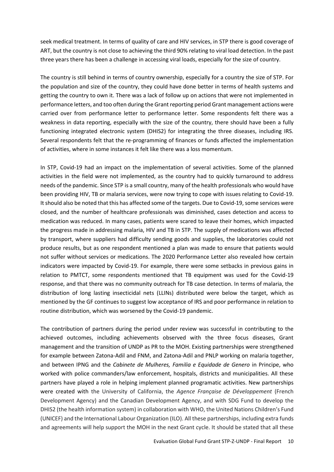seek medical treatment. In terms of quality of care and HIV services, in STP there is good coverage of ART, but the country is not close to achieving the third 90% relating to viral load detection. In the past three years there has been a challenge in accessing viral loads, especially for the size of country.

The country is still behind in terms of country ownership, especially for a country the size of STP. For the population and size of the country, they could have done better in terms of health systems and getting the country to own it. There was a lack of follow up on actions that were not implemented in performance letters, and too often during the Grant reporting period Grant management actions were carried over from performance letter to performance letter. Some respondents felt there was a weakness in data reporting, especially with the size of the country, there should have been a fully functioning integrated electronic system (DHIS2) for integrating the three diseases, including IRS. Several respondents felt that the re-programming of finances or funds affected the implementation of activities, where in some instances it felt like there was a loss momentum.

In STP, Covid-19 had an impact on the implementation of several activities. Some of the planned activities in the field were not implemented, as the country had to quickly turnaround to address needs of the pandemic. Since STP is a small country, many of the health professionals who would have been providing HIV, TB or malaria services, were now trying to cope with issues relating to Covid-19. It should also be noted that this has affected some of the targets. Due to Covid-19, some services were closed, and the number of healthcare professionals was diminished, cases detection and access to medication was reduced. In many cases, patients were scared to leave their homes, which impacted the progress made in addressing malaria, HIV and TB in STP. The supply of medications was affected by transport, where suppliers had difficulty sending goods and supplies, the laboratories could not produce results, but as one respondent mentioned a plan was made to ensure that patients would not suffer without services or medications. The 2020 Performance Letter also revealed how certain indicators were impacted by Covid-19. For example, there were some setbacks in previous gains in relation to PMTCT, some respondents mentioned that TB equipment was used for the Covid-19 response, and that there was no community outreach for TB case detection. In terms of malaria, the distribution of long lasting insecticidal nets (LLINs) distributed were below the target, which as mentioned by the GF continues to suggest low acceptance of IRS and poor performance in relation to routine distribution, which was worsened by the Covid-19 pandemic.

The contribution of partners during the period under review was successful in contributing to the achieved outcomes, including achievements observed with the three focus diseases, Grant management and the transition of UNDP as PR to the MOH. Existing partnerships were strengthened for example between Zatona-Adil and FNM, and Zatona-Adil and PNLP working on malaria together, and between IPNG and the *Cabinete de Mulheres, Familia e Equidade de Genero* in Principe, who worked with police commanders/law enforcement, hospitals, districts and municipalities. All these partners have played a role in helping implement planned programatic activities. New partnerships were created with the University of California, the *Agence Française de Développement* (French Development Agency) and the Canadian Development Agency, and with SDG Fund to develop the DHIS2 (the health information system) in collaboration with WHO, the United Nations Children's Fund (UNICEF) and the International Labour Organization (ILO). All these partnerships, including extra funds and agreements will help support the MOH in the next Grant cycle. It should be stated that all these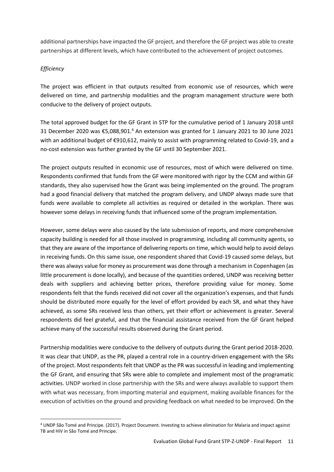additional partnerships have impacted the GF project, and therefore the GF project was able to create partnerships at different levels, which have contributed to the achievement of project outcomes.

#### *Efficiency*

The project was efficient in that outputs resulted from economic use of resources, which were delivered on time, and partnership modalities and the program management structure were both conducive to the delivery of project outputs.

The total approved budget for the GF Grant in STP for the cumulative period of 1 January 2018 until 31 December 2020 was €5,088,901.<sup>4</sup> An extension was granted for 1 January 2021 to 30 June 2021 with an additional budget of €910,612, mainly to assist with programming related to Covid-19, and a no-cost extension was further granted by the GF until 30 September 2021.

The project outputs resulted in economic use of resources, most of which were delivered on time. Respondents confirmed that funds from the GF were monitored with rigor by the CCM and within GF standards, they also supervised how the Grant was being implemented on the ground. The program had a good financial delivery that matched the program delivery, and UNDP always made sure that funds were available to complete all activities as required or detailed in the workplan. There was however some delays in receiving funds that influenced some of the program implementation.

However, some delays were also caused by the late submission of reports, and more comprehensive capacity building is needed for all those involved in programming, including all community agents, so that they are aware of the importance of delivering reports on time, which would help to avoid delays in receiving funds. On this same issue, one respondent shared that Covid-19 caused some delays, but there was always value for money as procurement was done through a mechanism in Copenhagen (as little procurement is done locally), and because of the quantities ordered, UNDP was receiving better deals with suppliers and achieving better prices, therefore providing value for money. Some respondents felt that the funds received did not cover all the organization's expenses, and that funds should be distributed more equally for the level of effort provided by each SR, and what they have achieved, as some SRs received less than others, yet their effort or achievement is greater. Several respondents did feel grateful, and that the financial assistance received from the GF Grant helped achieve many of the successful results observed during the Grant period.

Partnership modalities were conducive to the delivery of outputs during the Grant period 2018-2020. It was clear that UNDP, as the PR, played a central role in a country-driven engagement with the SRs of the project. Most respondents felt that UNDP as the PR was successful in leading and implementing the GF Grant, and ensuring that SRs were able to complete and implement most of the programatic activities. UNDP worked in close partnership with the SRs and were always available to support them with what was necessary, from importing material and equipment, making available finances for the execution of activities on the ground and providing feedback on what needed to be improved. On the

<sup>4</sup> UNDP São Tomé and Principe. (2017). Project Document. Investing to achieve elimination for Malaria and impact against TB and HIV in São Tomé and Principe.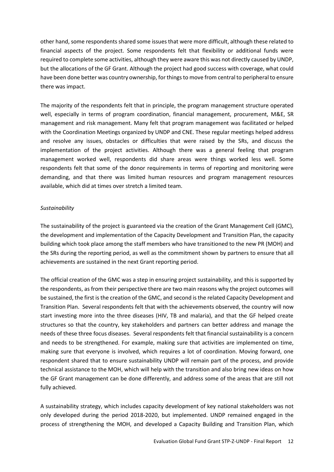other hand, some respondents shared some issues that were more difficult, although these related to financial aspects of the project. Some respondents felt that flexibility or additional funds were required to complete some activities, although they were aware this was not directly caused by UNDP, but the allocations of the GF Grant. Although the project had good success with coverage, what could have been done better was country ownership, for things to move from central to peripheral to ensure there was impact.

The majority of the respondents felt that in principle, the program management structure operated well, especially in terms of program coordination, financial management, procurement, M&E, SR management and risk management. Many felt that program management was facilitated or helped with the Coordination Meetings organized by UNDP and CNE. These regular meetings helped address and resolve any issues, obstacles or difficulties that were raised by the SRs, and discuss the implementation of the project activities. Although there was a general feeling that program management worked well, respondents did share areas were things worked less well. Some respondents felt that some of the donor requirements in terms of reporting and monitoring were demanding, and that there was limited human resources and program management resources available, which did at times over stretch a limited team.

#### *Sustainability*

The sustainability of the project is guaranteed via the creation of the Grant Management Cell (GMC), the development and implementation of the Capacity Development and Transition Plan, the capacity building which took place among the staff members who have transitioned to the new PR (MOH) and the SRs during the reporting period, as well as the commitment shown by partners to ensure that all achievements are sustained in the next Grant reporting period.

The official creation of the GMC was a step in ensuring project sustainability, and this is supported by the respondents, as from their perspective there are two main reasons why the project outcomes will be sustained, the first is the creation of the GMC, and second is the related Capacity Development and Transition Plan. Several respondents felt that with the achievements observed, the country will now start investing more into the three diseases (HIV, TB and malaria), and that the GF helped create structures so that the country, key stakeholders and partners can better address and manage the needs of these three focus diseases. Several respondents felt that financial sustainability is a concern and needs to be strengthened. For example, making sure that activities are implemented on time, making sure that everyone is involved, which requires a lot of coordination. Moving forward, one respondent shared that to ensure sustainability UNDP will remain part of the process, and provide technical assistance to the MOH, which will help with the transition and also bring new ideas on how the GF Grant management can be done differently, and address some of the areas that are still not fully achieved.

A sustainability strategy, which includes capacity development of key national stakeholders was not only developed during the period 2018-2020, but implemented. UNDP remained engaged in the process of strengthening the MOH, and developed a Capacity Building and Transition Plan, which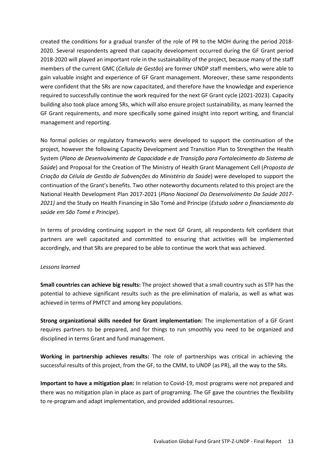created the conditions for a gradual transfer of the role of PR to the MOH during the period 2018- 2020. Several respondents agreed that capacity development occurred during the GF Grant period 2018-2020 will played an important role in the sustainability of the project, because many of the staff members of the current GMC (*Cellula de Gestão*) are former UNDP staff members, who were able to gain valuable insight and experience of GF Grant management. Moreover, these same respondents were confident that the SRs are now capacitated, and therefore have the knowledge and experience required to successfully continue the work required for the next GF Grant cycle (2021-2023). Capacity building also took place among SRs, which will also ensure project sustainability, as many learned the GF Grant requirements, and more specifically some gained insight into report writing, and financial management and reporting.

No formal policies or regulatory frameworks were developed to support the continuation of the project, however the following Capacity Development and Transition Plan to Strengthen the Health System (*Plano de Desenvolvimento de Capacidade e de Transição para Fortalecimento do Sistema de Saúde*) and Proposal for the Creation of The Ministry of Health Grant Management Cell (*Proposta de Criação da Célula de Gestão de Subvenções do Ministério da Saúde*) were developed to support the continuation of the Grant's benefits. Two other noteworthy documents related to this project are the National Health Development Plan 2017-2021 (*Plano Nacional Do Desenvolvimento Da Saúde 2017- 2021)* and the Study on Health Financing in São Tomé and Principe (*Estudo sobre o financiamento da saúde em São Tomé e Principe*).

In terms of providing continuing support in the next GF Grant, all respondents felt confident that partners are well capacitated and committed to ensuring that activities will be implemented accordingly, and that SRs are prepared to be able to continue the work that was achieved.

#### *Lessons learned*

**Small countries can achieve big results:** The project showed that a small country such as STP has the potential to achieve significant results such as the pre-elimination of malaria, as well as what was achieved in terms of PMTCT and among key populations.

**Strong organizational skills needed for Grant implementation:** The implementation of a GF Grant requires partners to be prepared, and for things to run smoothly you need to be organized and disciplined in terms Grant and fund management.

**Working in partnership achieves results:** The role of partnerships was critical in achieving the successful results of this project, from the GF, to the CMM, to UNDP (as PR), all the way to the SRs.

**Important to have a mitigation plan:** In relation to Covid-19, most programs were not prepared and there was no mitigation plan in place as part of programing. The GF gave the countries the flexibility to re-program and adapt implementation, and provided additional resources.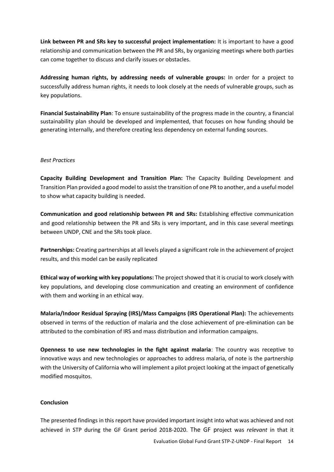**Link between PR and SRs key to successful project implementation:** It is important to have a good relationship and communication between the PR and SRs, by organizing meetings where both parties can come together to discuss and clarify issues or obstacles.

**Addressing human rights, by addressing needs of vulnerable groups:** In order for a project to successfully address human rights, it needs to look closely at the needs of vulnerable groups, such as key populations.

**Financial Sustainability Plan**: To ensure sustainability of the progress made in the country, a financial sustainability plan should be developed and implemented, that focuses on how funding should be generating internally, and therefore creating less dependency on external funding sources.

#### *Best Practices*

**Capacity Building Development and Transition Plan:** The Capacity Building Development and Transition Plan provided a good model to assist the transition of one PR to another, and a useful model to show what capacity building is needed.

**Communication and good relationship between PR and SRs:** Establishing effective communication and good relationship between the PR and SRs is very important, and in this case several meetings between UNDP, CNE and the SRs took place.

**Partnerships:** Creating partnerships at all levels played a significant role in the achievement of project results, and this model can be easily replicated

**Ethical way of working with key populations:** The project showed that it is crucial to work closely with key populations, and developing close communication and creating an environment of confidence with them and working in an ethical way.

**Malaria/Indoor Residual Spraying (IRS)/Mass Campaigns (IRS Operational Plan):** The achievements observed in terms of the reduction of malaria and the close achievement of pre-elimination can be attributed to the combination of IRS and mass distribution and information campaigns.

**Openness to use new technologies in the fight against malaria**: The country was receptive to innovative ways and new technologies or approaches to address malaria, of note is the partnership with the University of California who will implement a pilot project looking at the impact of genetically modified mosquitos.

#### **Conclusion**

The presented findings in this report have provided important insight into what was achieved and not achieved in STP during the GF Grant period 2018-2020. The GF project was *relevant* in that it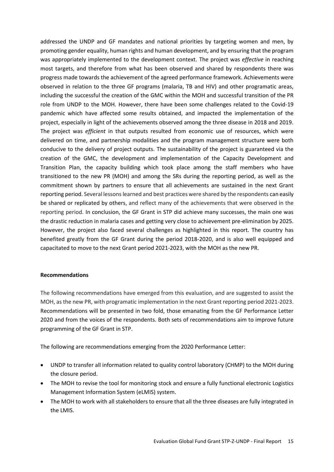addressed the UNDP and GF mandates and national priorities by targeting women and men, by promoting gender equality, human rights and human development, and by ensuring that the program was appropriately implemented to the development context. The project was *effective* in reaching most targets, and therefore from what has been observed and shared by respondents there was progress made towards the achievement of the agreed performance framework. Achievements were observed in relation to the three GF programs (malaria, TB and HIV) and other programatic areas, including the successful the creation of the GMC within the MOH and successful transition of the PR role from UNDP to the MOH. However, there have been some challenges related to the Covid-19 pandemic which have affected some results obtained, and impacted the implementation of the project, especially in light of the achievements observed among the three disease in 2018 and 2019. The project was *efficient* in that outputs resulted from economic use of resources, which were delivered on time, and partnership modalities and the program management structure were both conducive to the delivery of project outputs. The sustainability of the project is guaranteed via the creation of the GMC, the development and implementation of the Capacity Development and Transition Plan, the capacity building which took place among the staff members who have transitioned to the new PR (MOH) and among the SRs during the reporting period, as well as the commitment shown by partners to ensure that all achievements are sustained in the next Grant reporting period. Several lessons learned and best practices were shared by the respondents can easily be shared or replicated by others, and reflect many of the achievements that were observed in the reporting period. In conclusion, the GF Grant in STP did achieve many successes, the main one was the drastic reduction in malaria cases and getting very close to achievement pre-elimination by 2025. However, the project also faced several challenges as highlighted in this report. The country has benefited greatly from the GF Grant during the period 2018-2020, and is also well equipped and capacitated to move to the next Grant period 2021-2023, with the MOH as the new PR.

#### **Recommendations**

The following recommendations have emerged from this evaluation, and are suggested to assist the MOH, as the new PR, with programatic implementation in the next Grant reporting period 2021-2023. Recommendations will be presented in two fold, those emanating from the GF Performance Letter 2020 and from the voices of the respondents. Both sets of recommendations aim to improve future programming of the GF Grant in STP.

The following are recommendations emerging from the 2020 Performance Letter:

- UNDP to transfer all information related to quality control laboratory (CHMP) to the MOH during the closure period.
- The MOH to revise the tool for monitoring stock and ensure a fully functional electronic Logistics Management Information System (eLMIS) system.
- The MOH to work with all stakeholders to ensure that all the three diseases are fully integrated in the LMIS.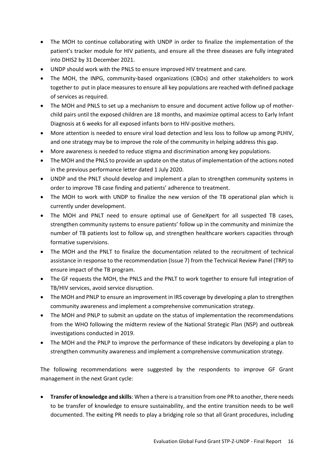- The MOH to continue collaborating with UNDP in order to finalize the implementation of the patient's tracker module for HIV patients, and ensure all the three diseases are fully integrated into DHIS2 by 31 December 2021.
- UNDP should work with the PNLS to ensure improved HIV treatment and care.
- The MOH, the INPG, community-based organizations (CBOs) and other stakeholders to work together to put in place measures to ensure all key populations are reached with defined package of services as required.
- The MOH and PNLS to set up a mechanism to ensure and document active follow up of motherchild pairs until the exposed children are 18 months, and maximize optimal access to Early Infant Diagnosis at 6 weeks for all exposed infants born to HIV-positive mothers.
- More attention is needed to ensure viral load detection and less loss to follow up among PLHIV, and one strategy may be to improve the role of the community in helping address this gap.
- More awareness is needed to reduce stigma and discrimination among key populations.
- The MOH and the PNLS to provide an update on the status of implementation of the actions noted in the previous performance letter dated 1 July 2020.
- UNDP and the PNLT should develop and implement a plan to strengthen community systems in order to improve TB case finding and patients' adherence to treatment.
- The MOH to work with UNDP to finalize the new version of the TB operational plan which is currently under development.
- The MOH and PNLT need to ensure optimal use of GeneXpert for all suspected TB cases, strengthen community systems to ensure patients' follow up in the community and minimize the number of TB patients lost to follow up, and strengthen healthcare workers capacities through formative supervisions.
- The MOH and the PNLT to finalize the documentation related to the recruitment of technical assistance in response to the recommendation (Issue 7) from the Technical Review Panel (TRP) to ensure impact of the TB program.
- The GF requests the MOH, the PNLS and the PNLT to work together to ensure full integration of TB/HIV services, avoid service disruption.
- The MOH and PNLP to ensure an improvement in IRS coverage by developing a plan to strengthen community awareness and implement a comprehensive communication strategy.
- The MOH and PNLP to submit an update on the status of implementation the recommendations from the WHO following the midterm review of the National Strategic Plan (NSP) and outbreak investigations conducted in 2019.
- The MOH and the PNLP to improve the performance of these indicators by developing a plan to strengthen community awareness and implement a comprehensive communication strategy.

The following recommendations were suggested by the respondents to improve GF Grant management in the next Grant cycle:

• **Transfer of knowledge and skills**: When a there is a transition from one PR to another, there needs to be transfer of knowledge to ensure sustainability, and the entire transition needs to be well documented. The exiting PR needs to play a bridging role so that all Grant procedures, including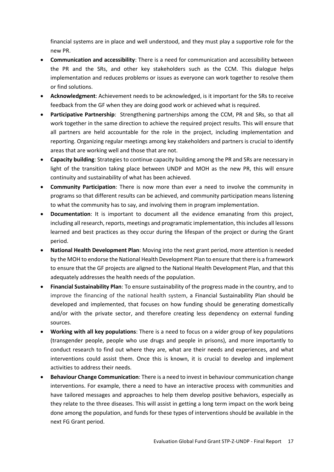financial systems are in place and well understood, and they must play a supportive role for the new PR.

- **Communication and accessibility**: There is a need for communication and accessibility between the PR and the SRs, and other key stakeholders such as the CCM. This dialogue helps implementation and reduces problems or issues as everyone can work together to resolve them or find solutions.
- **Acknowledgment**: Achievement needs to be acknowledged, is it important for the SRs to receive feedback from the GF when they are doing good work or achieved what is required.
- **Participative Partnership**: Strengthening partnerships among the CCM, PR and SRs, so that all work together in the same direction to achieve the required project results. This will ensure that all partners are held accountable for the role in the project, including implementation and reporting. Organizing regular meetings among key stakeholders and partners is crucial to identify areas that are working well and those that are not.
- **Capacity building**: Strategies to continue capacity building among the PR and SRs are necessary in light of the transition taking place between UNDP and MOH as the new PR, this will ensure continuity and sustainability of what has been achieved.
- **Community Participation**: There is now more than ever a need to involve the community in programs so that different results can be achieved, and community participation means listening to what the community has to say, and involving them in program implementation.
- **Documentation**: It is important to document all the evidence emanating from this project, including all research, reports, meetings and programatic implementation, this includes all lessons learned and best practices as they occur during the lifespan of the project or during the Grant period.
- **National Health Development Plan**: Moving into the next grant period, more attention is needed by the MOH to endorse the National Health Development Plan to ensure that there is a framework to ensure that the GF projects are aligned to the National Health Development Plan, and that this adequately addresses the health needs of the population.
- **Financial Sustainability Plan**: To ensure sustainability of the progress made in the country, and to improve the financing of the national health system, a Financial Sustainability Plan should be developed and implemented, that focuses on how funding should be generating domestically and/or with the private sector, and therefore creating less dependency on external funding sources.
- **Working with all key populations**: There is a need to focus on a wider group of key populations (transgender people, people who use drugs and people in prisons), and more importantly to conduct research to find out where they are, what are their needs and experiences, and what interventions could assist them. Once this is known, it is crucial to develop and implement activities to address their needs.
- **Behaviour Change Communication**: There is a need to invest in behaviour communication change interventions. For example, there a need to have an interactive process with communities and have tailored messages and approaches to help them develop positive behaviors, especially as they relate to the three diseases. This will assist in getting a long term impact on the work being done among the population, and funds for these types of interventions should be available in the next FG Grant period.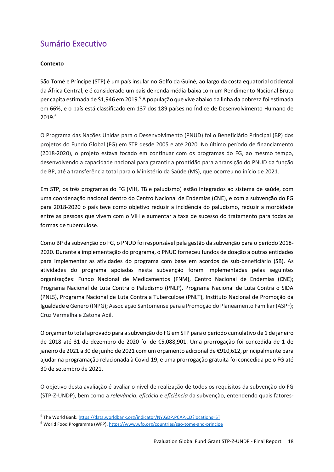## <span id="page-18-0"></span>Sumário Executivo

#### **Contexto**

São Tomé e Príncipe (STP) é um país insular no Golfo da Guiné, ao largo da costa equatorial ocidental da África Central, e é considerado um país de renda média-baixa com um Rendimento Nacional Bruto per capita estimada de \$1,946 em 2019.<sup>5</sup> A população que vive abaixo da linha da pobreza foi estimada em 66%, e o país está classificado em 137 dos 189 países no Índice de Desenvolvimento Humano de 2019.<sup>6</sup>

O Programa das Nações Unidas para o Desenvolvimento (PNUD) foi o Beneficiário Principal (BP) dos projetos do Fundo Global (FG) em STP desde 2005 e até 2020. No último período de financiamento (2018-2020), o projeto estava focado em continuar com os programas do FG, ao mesmo tempo, desenvolvendo a capacidade nacional para garantir a prontidão para a transição do PNUD da função de BP, até a transferência total para o Ministério da Saúde (MS), que ocorreu no início de 2021.

Em STP, os três programas do FG (VIH, TB e paludismo) estão integrados ao sistema de saúde, com uma coordenação nacional dentro do Centro Nacional de Endemias (CNE), e com a subvenção do FG para 2018-2020 o país teve como objetivo reduzir a incidência do paludismo, reduzir a morbidade entre as pessoas que vivem com o VIH e aumentar a taxa de sucesso do tratamento para todas as formas de tuberculose.

Como BP da subvenção do FG, o PNUD foi responsável pela gestão da subvenção para o período 2018- 2020. Durante a implementação do programa, o PNUD forneceu fundos de doação a outras entidades para implementar as atividades do programa com base em acordos de sub-beneficiário (SB). As atividades do programa apoiadas nesta subvenção foram implementadas pelas seguintes organizações: Fundo Nacional de Medicamentos (FNM), Centro Nacional de Endemias (CNE); Programa Nacional de Luta Contra o Paludismo (PNLP), Programa Nacional de Luta Contra o SIDA (PNLS), Programa Nacional de Luta Contra a Tuberculose (PNLT), Instituto Nacional de Promoção da Igualdade e Genero (INPG); Associação Santomense para a Promoção do Planeamento Familiar (ASPF); Cruz Vermelha e Zatona Adil.

O orçamento total aprovado para a subvenção do FG em STP para o período cumulativo de 1 de janeiro de 2018 até 31 de dezembro de 2020 foi de €5,088,901. Uma prorrogação foi concedida de 1 de janeiro de 2021 a 30 de junho de 2021 com um orçamento adicional de €910,612, principalmente para ajudar na programação relacionada à Covid-19, e uma prorrogação gratuita foi concedida pelo FG até 30 de setembro de 2021.

O objetivo desta avaliação é avaliar o nível de realização de todos os requisitos da subvenção do FG (STP-Z-UNDP), bem como a *relevância*, *eficácia* e *eficiência* da subvenção, entendendo quais fatores-

<sup>&</sup>lt;sup>5</sup> The World Bank[. https://data.worldbank.org/indicator/NY.GDP.PCAP.CD?locations=ST](https://data.worldbank.org/indicator/NY.GDP.PCAP.CD?locations=ST)

<sup>6</sup> World Food Programme (WFP)[. https://www.wfp.org/countries/sao-tome-and-principe](https://www.wfp.org/countries/sao-tome-and-principe)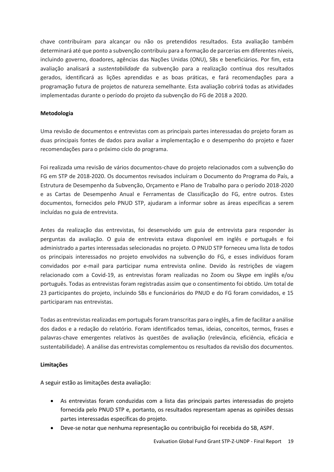chave contribuíram para alcançar ou não os pretendidos resultados. Esta avaliação também determinará até que ponto a subvenção contribuiu para a formação de parcerias em diferentes níveis, incluindo governo, doadores, agências das Nações Unidas (ONU), SBs e beneficiários. Por fim, esta avaliação analisará a *sustentabilidade* da subvenção para a realização contínua dos resultados gerados, identificará as lições aprendidas e as boas práticas, e fará recomendações para a programação futura de projetos de natureza semelhante. Esta avaliação cobrirá todas as atividades implementadas durante o período do projeto da subvenção do FG de 2018 a 2020.

#### **Metodologia**

Uma revisão de documentos e entrevistas com as principais partes interessadas do projeto foram as duas principais fontes de dados para avaliar a implementação e o desempenho do projeto e fazer recomendações para o próximo ciclo do programa.

Foi realizada uma revisão de vários documentos-chave do projeto relacionados com a subvenção do FG em STP de 2018-2020. Os documentos revisados incluíram o Documento do Programa do País, a Estrutura de Desempenho da Subvenção, Orçamento e Plano de Trabalho para o período 2018-2020 e as Cartas de Desempenho Anual e Ferramentas de Classificação do FG, entre outros. Estes documentos, fornecidos pelo PNUD STP, ajudaram a informar sobre as áreas específicas a serem incluídas no guia de entrevista.

Antes da realização das entrevistas, foi desenvolvido um guia de entrevista para responder às perguntas da avaliação. O guia de entrevista estava disponível em inglês e português e foi administrado a partes interessadas selecionadas no projeto. O PNUD STP forneceu uma lista de todos os principais interessados no projeto envolvidos na subvenção do FG, e esses indivíduos foram convidados por e-mail para participar numa entrevista online. Devido às restrições de viagem relacionado com a Covid-19, as entrevistas foram realizadas no Zoom ou Skype em inglês e/ou português. Todas as entrevistas foram registradas assim que o consentimento foi obtido. Um total de 23 participantes do projeto, incluindo SBs e funcionários do PNUD e do FG foram convidados, e 15 participaram nas entrevistas.

Todas as entrevistas realizadas em português foram transcritas para o inglês, a fim de facilitar a análise dos dados e a redação do relatório. Foram identificados temas, ideias, conceitos, termos, frases e palavras-chave emergentes relativos às questões de avaliação (relevância, eficiência, eficácia e sustentabilidade). A análise das entrevistas complementou os resultados da revisão dos documentos.

#### **Limitações**

A seguir estão as limitações desta avaliação:

- As entrevistas foram conduzidas com a lista das principais partes interessadas do projeto fornecida pelo PNUD STP e, portanto, os resultados representam apenas as opiniões dessas partes interessadas específicas do projeto.
- Deve-se notar que nenhuma representação ou contribuição foi recebida do SB, ASPF.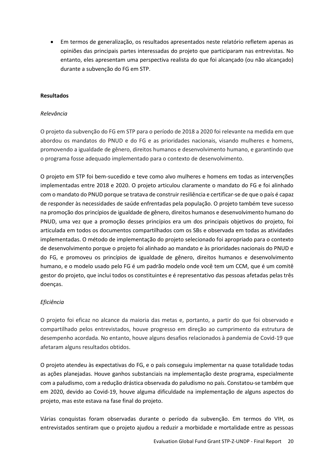• Em termos de generalização, os resultados apresentados neste relatório refletem apenas as opiniões das principais partes interessadas do projeto que participaram nas entrevistas. No entanto, eles apresentam uma perspectiva realista do que foi alcançado (ou não alcançado) durante a subvenção do FG em STP.

#### **Resultados**

#### *Relevância*

O projeto da subvenção do FG em STP para o período de 2018 a 2020 foi relevante na medida em que abordou os mandatos do PNUD e do FG e as prioridades nacionais, visando mulheres e homens, promovendo a igualdade de gênero, direitos humanos e desenvolvimento humano, e garantindo que o programa fosse adequado implementado para o contexto de desenvolvimento.

O projeto em STP foi bem-sucedido e teve como alvo mulheres e homens em todas as intervenções implementadas entre 2018 e 2020. O projeto articulou claramente o mandato do FG e foi alinhado com o mandato do PNUD porque se tratava de construir resiliência e certificar-se de que o país é capaz de responder às necessidades de saúde enfrentadas pela população. O projeto também teve sucesso na promoção dos princípios de igualdade de gênero, direitos humanos e desenvolvimento humano do PNUD, uma vez que a promoção desses princípios era um dos principais objetivos do projeto, foi articulada em todos os documentos compartilhados com os SBs e observada em todas as atividades implementadas. O método de implementação do projeto selecionado foi apropriado para o contexto de desenvolvimento porque o projeto foi alinhado ao mandato e às prioridades nacionais do PNUD e do FG, e promoveu os princípios de igualdade de gênero, direitos humanos e desenvolvimento humano, e o modelo usado pelo FG é um padrão modelo onde você tem um CCM, que é um comitê gestor do projeto, que inclui todos os constituintes e é representativo das pessoas afetadas pelas três doenças.

#### *Eficiência*

O projeto foi eficaz no alcance da maioria das metas e, portanto, a partir do que foi observado e compartilhado pelos entrevistados, houve progresso em direção ao cumprimento da estrutura de desempenho acordada. No entanto, houve alguns desafios relacionados à pandemia de Covid-19 que afetaram alguns resultados obtidos.

O projeto atendeu às expectativas do FG, e o país conseguiu implementar na quase totalidade todas as ações planejadas. Houve ganhos substanciais na implementação deste programa, especialmente com a paludismo, com a redução drástica observada do paludismo no país. Constatou-se também que em 2020, devido ao Covid-19, houve alguma dificuldade na implementação de alguns aspectos do projeto, mas este estava na fase final do projeto.

Várias conquistas foram observadas durante o período da subvenção. Em termos do VIH, os entrevistados sentiram que o projeto ajudou a reduzir a morbidade e mortalidade entre as pessoas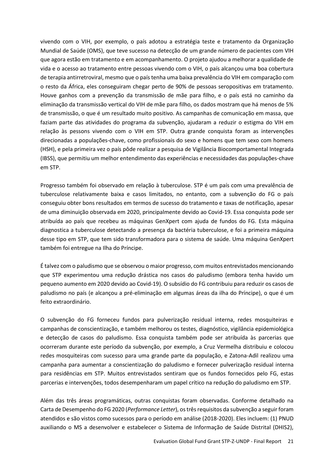vivendo com o VIH, por exemplo, o país adotou a estratégia teste e tratamento da Organização Mundial de Saúde (OMS), que teve sucesso na detecção de um grande número de pacientes com VIH que agora estão em tratamento e em acompanhamento. O projeto ajudou a melhorar a qualidade de vida e o acesso ao tratamento entre pessoas vivendo com o VIH, o país alcançou uma boa cobertura de terapia antirretroviral, mesmo que o país tenha uma baixa prevalência do VIH em comparação com o resto da África, eles conseguiram chegar perto de 90% de pessoas seropositivas em tratamento. Houve ganhos com a prevenção da transmissão de mãe para filho, e o país está no caminho da eliminação da transmissão vertical do VIH de mãe para filho, os dados mostram que há menos de 5% de transmissão, o que é um resultado muito positivo. As campanhas de comunicação em massa, que faziam parte das atividades do programa da subvenção, ajudaram a reduzir o estigma do VIH em relação às pessons vivendo com o VIH em STP. Outra grande conquista foram as intervenções direcionadas a populações-chave, como profissionais do sexo e homens que tem sexo com homens (HSH), e pela primeira vez o país pôde realizar a pesquisa de Vigilância Biocomportamental Integrada (IBSS), que permitiu um melhor entendimento das experiências e necessidades das populações-chave em STP.

Progresso também foi observado em relação à tuberculose. STP é um país com uma prevalência de tuberculose relativamente baixa e casos limitados, no entanto, com a subvenção do FG o país conseguiu obter bons resultados em termos de sucesso do tratamento e taxas de notificação, apesar de uma diminuição observada em 2020, principalmente devido ao Covid-19. Essa conquista pode ser atribuída ao país que recebeu as máquinas GenXpert com ajuda de fundos do FG. Esta máquina diagnostica a tuberculose detectando a presença da bactéria tuberculose, e foi a primeira máquina desse tipo em STP, que tem sido transformadora para o sistema de saúde. Uma máquina GenXpert também foi entregue na Ilha do Príncipe.

É talvez com o paludismo que se observou o maior progresso, com muitos entrevistados mencionando que STP experimentou uma redução drástica nos casos do paludismo (embora tenha havido um pequeno aumento em 2020 devido ao Covid-19). O subsídio do FG contribuiu para reduzir os casos de paludismo no país (e alcançou a pré-eliminação em algumas áreas da ilha do Príncipe), o que é um feito extraordinário.

O subvenção do FG forneceu fundos para pulverização residual interna, redes mosquiteiras e campanhas de conscientização, e também melhorou os testes, diagnóstico, vigilância epidemiológica e detecção de casos do paludismo. Essa conquista também pode ser atribuída às parcerias que ocorreram durante este período da subvenção, por exemplo, a Cruz Vermelha distribuiu e colocou redes mosquiteiras com sucesso para uma grande parte da população, e Zatona-Adil realizou uma campanha para aumentar a conscientização do paludismo e fornecer pulverização residual interna para residências em STP. Muitos entrevistados sentiram que os fundos fornecidos pelo FG, estas parcerias e intervenções, todos desempenharam um papel crítico na redução do paludismo em STP.

Além das três áreas programáticas, outras conquistas foram observadas. Conforme detalhado na Carta de Desempenho do FG 2020 (*Performance Letter*), os três requisitos da subvenção a seguir foram atendidos e são vistos como sucessos para o período em análise (2018-2020). Eles incluem: (1) PNUD auxiliando o MS a desenvolver e estabelecer o Sistema de Informação de Saúde Distrital (DHIS2),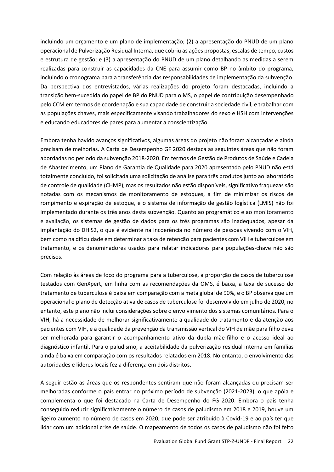incluindo um orçamento e um plano de implementação; (2) a apresentação do PNUD de um plano operacional de Pulverização Residual Interna, que cobriu as ações propostas, escalas de tempo, custos e estrutura de gestão; e (3) a apresentação do PNUD de um plano detalhando as medidas a serem realizadas para construir as capacidades da CNE para assumir como BP no âmbito do programa, incluindo o cronograma para a transferência das responsabilidades de implementação da subvenção. Da perspectiva dos entrevistados, várias realizações do projeto foram destacadas, incluindo a transição bem-sucedida do papel de BP do PNUD para o MS, o papel de contribuição desempenhado pelo CCM em termos de coordenação e sua capacidade de construir a sociedade civil, e trabalhar com as populações chaves, mais especificamente visando trabalhadores do sexo e HSH com intervenções e educando educadores de pares para aumentar a conscientização.

Embora tenha havido avanços significativos, algumas áreas do projeto não foram alcançadas e ainda precisam de melhorias. A Carta de Desempenho GF 2020 destaca as seguintes áreas que não foram abordadas no período da subvenção 2018-2020. Em termos de Gestão de Produtos de Saúde e Cadeia de Abastecimento, um Plano de Garantia de Qualidade para 2020 apresentado pelo PNUD não está totalmente concluído, foi solicitada uma solicitação de análise para três produtos junto ao laboratório de controle de qualidade (CHMP), mas os resultados não estão disponíveis, significativo fraquezas são notadas com os mecanismos de monitoramento de estoques, a fim de minimizar os riscos de rompimento e expiração de estoque, e o sistema de informação de gestão logística (LMIS) não foi implementado durante os três anos desta subvenção. Quanto ao programático e ao monitoramento e avaliação, os sistemas de gestão de dados para os três programas são inadequados, apesar da implantação do DHIS2, o que é evidente na incoerência no número de pessoas vivendo com o VIH, bem como na dificuldade em determinar a taxa de retenção para pacientes com VIH e tuberculose em tratamento, e os denominadores usados para relatar indicadores para populações-chave não são precisos.

Com relação às áreas de foco do programa para a tuberculose, a proporção de casos de tuberculose testados com GenXpert, em linha com as recomendações da OMS, é baixa, a taxa de sucesso do tratamento de tuberculose é baixa em comparação com a meta global de 90%, e o BP observa que um operacional o plano de detecção ativa de casos de tuberculose foi desenvolvido em julho de 2020, no entanto, este plano não inclui considerações sobre o envolvimento dos sistemas comunitários. Para o VIH, há a necessidade de melhorar significativamente a qualidade do tratamento e da atenção aos pacientes com VIH, e a qualidade da prevenção da transmissão vertical do VIH de mãe para filho deve ser melhorada para garantir o acompanhamento ativo da dupla mãe-filho e o acesso ideal ao diagnóstico infantil. Para o paludismo, a aceitabilidade da pulverização residual interna em famílias ainda é baixa em comparação com os resultados relatados em 2018. No entanto, o envolvimento das autoridades e líderes locais fez a diferença em dois distritos.

A seguir estão as áreas que os respondentes sentiram que não foram alcançadas ou precisam ser melhoradas conforme o país entrar no próximo período de subvenção (2021-2023), o que apóia e complementa o que foi destacado na Carta de Desempenho do FG 2020. Embora o país tenha conseguido reduzir significativamente o número de casos de paludismo em 2018 e 2019, houve um ligeiro aumento no número de casos em 2020, que pode ser atribuído à Covid-19 e ao país ter que lidar com um adicional crise de saúde. O mapeamento de todos os casos de paludismo não foi feito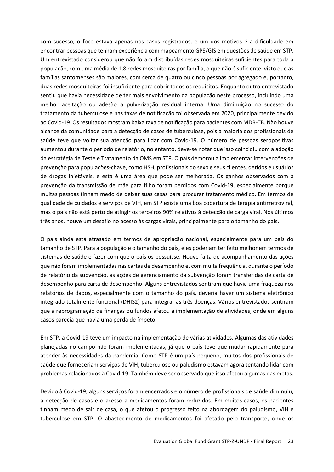com sucesso, o foco estava apenas nos casos registrados, e um dos motivos é a dificuldade em encontrar pessoas que tenham experiência com mapeamento GPS/GIS em questões de saúde em STP. Um entrevistado considerou que não foram distribuídas redes mosquiteiras suficientes para toda a população, com uma média de 1,8 redes mosquiteiras por família, o que não é suficiente, visto que as famílias santomenses são maiores, com cerca de quatro ou cinco pessoas por agregado e, portanto, duas redes mosquiteiras foi insuficiente para cobrir todos os requisitos. Enquanto outro entrevistado sentiu que havia necessidade de ter mais envolvimento da população neste processo, incluindo uma melhor aceitação ou adesão a pulverização residual interna. Uma diminuição no sucesso do tratamento da tuberculose e nas taxas de notificação foi observada em 2020, principalmente devido ao Covid-19. Os resultados mostram baixa taxa de notificação para pacientes com MDR-TB. Não houve alcance da comunidade para a detecção de casos de tuberculose, pois a maioria dos profissionais de saúde teve que voltar sua atenção para lidar com Covid-19. O número de pessoas seropositivas aumentou durante o período de relatório, no entanto, deve-se notar que isso coincidiu com a adoção da estratégia de Teste e Tratamento da OMS em STP. O país demorou a implementar intervenções de prevenção para populações-chave, como HSH, profissionais do sexo e seus clientes, detidos e usuários de drogas injetáveis, e esta é uma área que pode ser melhorada. Os ganhos observados com a prevenção da transmissão de mãe para filho foram perdidos com Covid-19, especialmente porque muitas pessoas tinham medo de deixar suas casas para procurar tratamento médico. Em termos de qualidade de cuidados e serviços de VIH, em STP existe uma boa cobertura de terapia antirretroviral, mas o país não está perto de atingir os terceiros 90% relativos à detecção de carga viral. Nos últimos três anos, houve um desafio no acesso às cargas virais, principalmente para o tamanho do país.

O país ainda está atrasado em termos de apropriação nacional, especialmente para um país do tamanho de STP. Para a população e o tamanho do país, eles poderiam ter feito melhor em termos de sistemas de saúde e fazer com que o país os possuísse. Houve falta de acompanhamento das ações que não foram implementadas nas cartas de desempenho e, com muita frequência, durante o período de relatório da subvenção, as ações de gerenciamento da subvenção foram transferidas de carta de desempenho para carta de desempenho. Alguns entrevistados sentiram que havia uma fraqueza nos relatórios de dados, especialmente com o tamanho do país, deveria haver um sistema eletrônico integrado totalmente funcional (DHIS2) para integrar as três doenças. Vários entrevistados sentiram que a reprogramação de finanças ou fundos afetou a implementação de atividades, onde em alguns casos parecia que havia uma perda de ímpeto.

Em STP, a Covid-19 teve um impacto na implementação de várias atividades. Algumas das atividades planejadas no campo não foram implementadas, já que o país teve que mudar rapidamente para atender às necessidades da pandemia. Como STP é um país pequeno, muitos dos profissionais de saúde que forneceriam serviços de VIH, tuberculose ou paludismo estavam agora tentando lidar com problemas relacionados à Covid-19. Também deve ser observado que isso afetou algumas das metas.

Devido à Covid-19, alguns serviços foram encerrados e o número de profissionais de saúde diminuiu, a detecção de casos e o acesso a medicamentos foram reduzidos. Em muitos casos, os pacientes tinham medo de sair de casa, o que afetou o progresso feito na abordagem do paludismo, VIH e tuberculose em STP. O abastecimento de medicamentos foi afetado pelo transporte, onde os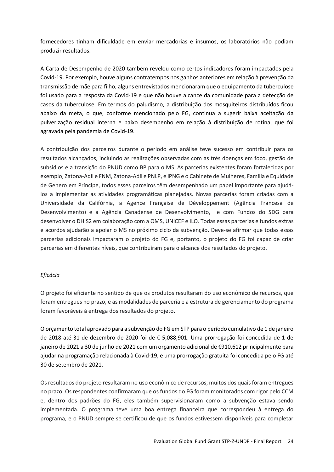fornecedores tinham dificuldade em enviar mercadorias e insumos, os laboratórios não podiam produzir resultados.

A Carta de Desempenho de 2020 também revelou como certos indicadores foram impactados pela Covid-19. Por exemplo, houve alguns contratempos nos ganhos anteriores em relação à prevenção da transmissão de mãe para filho, alguns entrevistados mencionaram que o equipamento da tuberculose foi usado para a resposta da Covid-19 e que não houve alcance da comunidade para a detecção de casos da tuberculose. Em termos do paludismo, a distribuição dos mosquiteiros distribuídos ficou abaixo da meta, o que, conforme mencionado pelo FG, continua a sugerir baixa aceitação da pulverização residual interna e baixo desempenho em relação à distribuição de rotina, que foi agravada pela pandemia de Covid-19.

A contribuição dos parceiros durante o período em análise teve sucesso em contribuir para os resultados alcançados, incluindo as realizações observadas com as três doenças em foco, gestão de subsídios e a transição do PNUD como BP para o MS. As parcerias existentes foram fortalecidas por exemplo, Zatona-Adil e FNM, Zatona-Adil e PNLP, e IPNG e o Cabinete de Mulheres, Família e Equidade de Genero em Príncipe, todos esses parceiros têm desempenhado um papel importante para ajudálos a implementar as atividades programáticas planejadas. Novas parcerias foram criadas com a Universidade da Califórnia, a Agence Française de Développement (Agência Francesa de Desenvolvimento) e a Agência Canadense de Desenvolvimento, e com Fundos do SDG para desenvolver o DHIS2 em colaboração com a OMS, UNICEF e ILO. Todas essas parcerias e fundos extras e acordos ajudarão a apoiar o MS no próximo ciclo da subvenção. Deve-se afirmar que todas essas parcerias adicionais impactaram o projeto do FG e, portanto, o projeto do FG foi capaz de criar parcerias em diferentes níveis, que contribuíram para o alcance dos resultados do projeto.

#### *Eficácia*

O projeto foi eficiente no sentido de que os produtos resultaram do uso econômico de recursos, que foram entregues no prazo, e as modalidades de parceria e a estrutura de gerenciamento do programa foram favoráveis à entrega dos resultados do projeto.

O orçamento total aprovado para a subvenção do FG em STP para o período cumulativo de 1 de janeiro de 2018 até 31 de dezembro de 2020 foi de € 5,088,901. Uma prorrogação foi concedida de 1 de janeiro de 2021 a 30 de junho de 2021 com um orçamento adicional de €910,612 principalmente para ajudar na programação relacionada à Covid-19, e uma prorrogação gratuita foi concedida pelo FG até 30 de setembro de 2021.

Os resultados do projeto resultaram no uso econômico de recursos, muitos dos quais foram entregues no prazo. Os respondentes confirmaram que os fundos do FG foram monitorados com rigor pelo CCM e, dentro dos padrões do FG, eles também supervisionaram como a subvenção estava sendo implementada. O programa teve uma boa entrega financeira que correspondeu à entrega do programa, e o PNUD sempre se certificou de que os fundos estivessem disponíveis para completar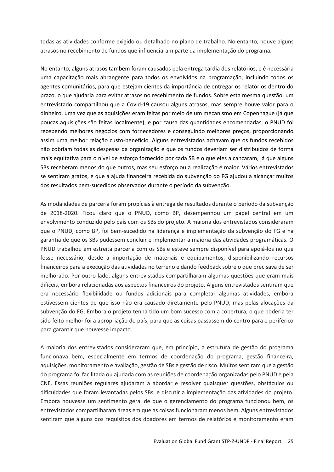todas as atividades conforme exigido ou detalhado no plano de trabalho. No entanto, houve alguns atrasos no recebimento de fundos que influenciaram parte da implementação do programa.

No entanto, alguns atrasos também foram causados pela entrega tardia dos relatórios, e é necessária uma capacitação mais abrangente para todos os envolvidos na programação, incluindo todos os agentes comunitários, para que estejam cientes da importância de entregar os relatórios dentro do prazo, o que ajudaria para evitar atrasos no recebimento de fundos. Sobre esta mesma questão, um entrevistado compartilhou que a Covid-19 causou alguns atrasos, mas sempre houve valor para o dinheiro, uma vez que as aquisições eram feitas por meio de um mecanismo em Copenhague (já que poucas aquisições são feitas localmente), e por causa das quantidades encomendadas, o PNUD foi recebendo melhores negócios com fornecedores e conseguindo melhores preços, proporcionando assim uma melhor relação custo-benefício. Alguns entrevistados achavam que os fundos recebidos não cobriam todas as despesas da organização e que os fundos deveriam ser distribuídos de forma mais equitativa para o nível de esforço fornecido por cada SB e o que eles alcançaram, já que alguns SBs receberam menos do que outros, mas seu esforço ou a realização é maior. Vários entrevistados se sentiram gratos, e que a ajuda financeira recebida do subvenção do FG ajudou a alcançar muitos dos resultados bem-sucedidos observados durante o período da subvenção.

As modalidades de parceria foram propícias à entrega de resultados durante o período da subvenção de 2018-2020. Ficou claro que o PNUD, como BP, desempenhou um papel central em um envolvimento conduzido pelo país com os SBs do projeto. A maioria dos entrevistados consideraram que o PNUD, como BP, foi bem-sucedido na liderança e implementação da subvenção do FG e na garantia de que os SBs pudessem concluir e implementar a maioria das atividades programáticas. O PNUD trabalhou em estreita parceria com os SBs e esteve sempre disponível para apoiá-los no que fosse necessário, desde a importação de materiais e equipamentos, disponibilizando recursos financeiros para a execução das atividades no terreno e dando feedback sobre o que precisava de ser melhorado. Por outro lado, alguns entrevistados compartilharam algumas questões que eram mais difíceis, embora relacionadas aos aspectos financeiros do projeto. Alguns entrevistados sentiram que era necessário flexibilidade ou fundos adicionais para completar algumas atividades, embora estivessem cientes de que isso não era causado diretamente pelo PNUD, mas pelas alocações da subvenção do FG. Embora o projeto tenha tido um bom sucesso com a cobertura, o que poderia ter sido feito melhor foi a apropriação do país, para que as coisas passassem do centro para o periférico para garantir que houvesse impacto.

A maioria dos entrevistados consideraram que, em princípio, a estrutura de gestão do programa funcionava bem, especialmente em termos de coordenação do programa, gestão financeira, aquisições, monitoramento e avaliação, gestão de SBs e gestão de risco. Muitos sentiram que a gestão do programa foi facilitada ou ajudada com as reuniões de coordenação organizadas pelo PNUD e pela CNE. Essas reuniões regulares ajudaram a abordar e resolver quaisquer questões, obstáculos ou dificuldades que foram levantadas pelos SBs, e discutir a implementação das atividades do projeto. Embora houvesse um sentimento geral de que o gerenciamento do programa funcionou bem, os entrevistados compartilharam áreas em que as coisas funcionaram menos bem. Alguns entrevistados sentiram que alguns dos requisitos dos doadores em termos de relatórios e monitoramento eram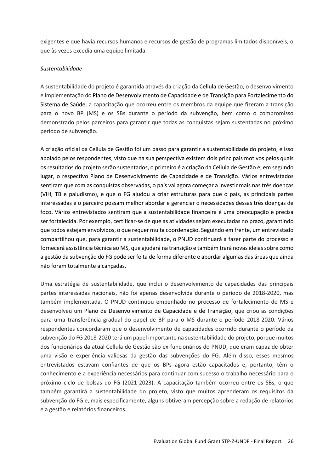exigentes e que havia recursos humanos e recursos de gestão de programas limitados disponíveis, o que às vezes excedia uma equipe limitada.

#### *Sustentabilidade*

A sustentabilidade do projeto é garantida através da criação da Cellula de Gestão, o desenvolvimento e implementação do Plano de Desenvolvimento de Capacidade e de Transição para Fortalecimento do Sistema de Saúde, a capacitação que ocorreu entre os membros da equipe que fizeram a transição para o novo BP (MS) e os SBs durante o período da subvenção, bem como o compromisso demonstrado pelos parceiros para garantir que todas as conquistas sejam sustentadas no próximo período de subvenção.

A criação oficial da Cellula de Gestão foi um passo para garantir a sustentabilidade do projeto, e isso apoiado pelos respondentes, visto que na sua perspectiva existem dois principais motivos pelos quais os resultados do projeto serão sustentados, o primeiro é a criação da Cellula de Gestão e, em segundo lugar, o respectivo Plano de Desenvolvimento de Capacidade e de Transição. Vários entrevistados sentiram que com as conquistas observadas, o país vai agora começar a investir mais nas três doenças (VIH, TB e paludismo), e que o FG ajudou a criar estruturas para que o país, as principais partes interessadas e o parceiro possam melhor abordar e gerenciar o necessidades dessas três doenças de foco. Vários entrevistados sentiram que a sustentabilidade financeira é uma preocupação e precisa ser fortalecida. Por exemplo, certificar-se de que as atividades sejam executadas no prazo, garantindo que todos estejam envolvidos, o que requer muita coordenação. Seguindo em frente, um entrevistado compartilhou que, para garantir a sustentabilidade, o PNUD continuará a fazer parte do processo e fornecerá assistência técnica ao MS, que ajudará na transição e também trará novas ideias sobre como a gestão da subvenção do FG pode ser feita de forma diferente e abordar algumas das áreas que ainda não foram totalmente alcançadas.

Uma estratégia de sustentabilidade, que inclui o desenvolvimento de capacidades das principais partes interessadas nacionais, não foi apenas desenvolvida durante o período de 2018-2020, mas também implementada. O PNUD continuou empenhado no processo de fortalecimento do MS e desenvolveu um Plano de Desenvolvimento de Capacidade e de Transição, que criou as condições para uma transferência gradual do papel de BP para o MS durante o período 2018-2020. Vários respondentes concordaram que o desenvolvimento de capacidades ocorrido durante o período da subvenção do FG 2018-2020 terá um papel importante na sustentabilidade do projeto, porque muitos dos funcionários da atual Cellula de Gestão são ex-funcionários do PNUD, que eram capaz de obter uma visão e experiência valiosas da gestão das subvenções do FG. Além disso, esses mesmos entrevistados estavam confiantes de que os BPs agora estão capacitados e, portanto, têm o conhecimento e a experiência necessários para continuar com sucesso o trabalho necessário para o próximo ciclo de bolsas do FG (2021-2023). A capacitação também ocorreu entre os SBs, o que também garantirá a sustentabilidade do projeto, visto que muitos aprenderam os requisitos da subvenção do FG e, mais especificamente, alguns obtiveram percepção sobre a redação de relatórios e a gestão e relatórios financeiros.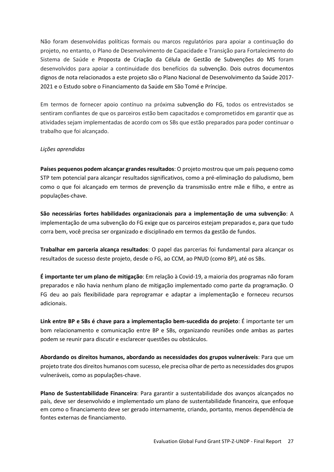Não foram desenvolvidas políticas formais ou marcos regulatórios para apoiar a continuação do projeto, no entanto, o Plano de Desenvolvimento de Capacidade e Transição para Fortalecimento do Sistema de Saúde e Proposta de Criação da Célula de Gestão de Subvenções do MS foram desenvolvidos para apoiar a continuidade dos benefícios da subvenção. Dois outros documentos dignos de nota relacionados a este projeto são o Plano Nacional de Desenvolvimento da Saúde 2017- 2021 e o Estudo sobre o Financiamento da Saúde em São Tomé e Príncipe.

Em termos de fornecer apoio contínuo na próxima subvenção do FG, todos os entrevistados se sentiram confiantes de que os parceiros estão bem capacitados e comprometidos em garantir que as atividades sejam implementadas de acordo com os SBs que estão preparados para poder continuar o trabalho que foi alcançado.

#### *Lições aprendidas*

**Países pequenos podem alcançar grandes resultados**: O projeto mostrou que um país pequeno como STP tem potencial para alcançar resultados significativos, como a pré-eliminação do paludismo, bem como o que foi alcançado em termos de prevenção da transmissão entre mãe e filho, e entre as populações-chave.

**São necessárias fortes habilidades organizacionais para a implementação de uma subvenção**: A implementação de uma subvenção do FG exige que os parceiros estejam preparados e, para que tudo corra bem, você precisa ser organizado e disciplinado em termos da gestão de fundos.

**Trabalhar em parceria alcança resultados**: O papel das parcerias foi fundamental para alcançar os resultados de sucesso deste projeto, desde o FG, ao CCM, ao PNUD (como BP), até os SBs.

**É importante ter um plano de mitigação**: Em relação à Covid-19, a maioria dos programas não foram preparados e não havia nenhum plano de mitigação implementado como parte da programação. O FG deu ao país flexibilidade para reprogramar e adaptar a implementação e forneceu recursos adicionais.

**Link entre BP e SBs é chave para a implementação bem-sucedida do projeto**: É importante ter um bom relacionamento e comunicação entre BP e SBs, organizando reuniões onde ambas as partes podem se reunir para discutir e esclarecer questões ou obstáculos.

**Abordando os direitos humanos, abordando as necessidades dos grupos vulneráveis**: Para que um projeto trate dos direitos humanos com sucesso, ele precisa olhar de perto as necessidades dos grupos vulneráveis, como as populações-chave.

**Plano de Sustentabilidade Financeira**: Para garantir a sustentabilidade dos avanços alcançados no país, deve ser desenvolvido e implementado um plano de sustentabilidade financeira, que enfoque em como o financiamento deve ser gerado internamente, criando, portanto, menos dependência de fontes externas de financiamento.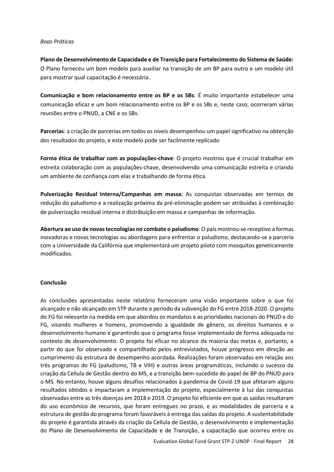#### *Boas Práticas*

**Plano de Desenvolvimento de Capacidade e de Transição para Fortalecimento do Sistema de Saúde:** O Plano forneceu um bom modelo para auxiliar na transição de um BP para outro e um modelo útil para mostrar qual capacitação é necessária.

**Comunicação e bom relacionamento entre os BP e os SBs**: É muito importante estabelecer uma comunicação eficaz e um bom relacionamento entre os BP e os SBs e, neste caso, ocorreram várias reuniões entre o PNUD, a CNE e os SBs.

**Parcerias**: a criação de parcerias em todos os níveis desempenhou um papel significativo na obtenção dos resultados do projeto, e este modelo pode ser facilmente replicado

**Forma ética de trabalhar com as populações-chave**: O projeto mostrou que é crucial trabalhar em estreita colaboração com as populações-chave, desenvolvendo uma comunicação estreita e criando um ambiente de confiança com elas e trabalhando de forma ética.

**Pulverização Residual Interna/Campanhas em massa:** As conquistas observadas em termos de redução do paludismo e a realização próxima da pré-eliminação podem ser atribuídas à combinação de pulverização residual interna e distribuição em massa e campanhas de informação.

**Abertura ao uso de novas tecnologias no combate o paludismo**: O país mostrou-se receptivo a formas inovadoras e novas tecnologias ou abordagens para enfrentar o paludismo, destacando-se a parceria com a Universidade da Califórnia que implementará um projeto piloto com mosquitos geneticamente modificados.

#### **Conclusão**

As conclusões apresentadas neste relatório forneceram uma visão importante sobre o que foi alcançado e não alcançado em STP durante o período da subvenção do FG entre 2018-2020. O projeto do FG foi relevante na medida em que abordou os mandatos e as prioridades nacionais do PNUD e do FG, visando mulheres e homens, promovendo a igualdade de gênero, os direitos humanos e o desenvolvimento humano e garantindo que o programa fosse implementado de forma adequada no contexto de desenvolvimento. O projeto foi eficaz no alcance da maioria das metas e, portanto, a partir do que foi observado e compartilhado pelos entrevistados, houve progresso em direção ao cumprimento da estrutura de desempenho acordada. Realizações foram observadas em relação aos três programas do FG (paludismo, TB e VIH) e outras áreas programáticas, incluindo o sucesso da criação da Cellula de Gestão dentro do MS, e a transição bem-sucedida do papel de BP do PNUD para o MS. No entanto, houve alguns desafios relacionados à pandemia de Covid-19 que afetaram alguns resultados obtidos e impactaram a implementação do projeto, especialmente à luz das conquistas observadas entre as três doenças em 2018 e 2019. O projeto foi eficiente em que as saídas resultaram do uso econômico de recursos, que foram entregues no prazo, e as modalidades de parceria e a estrutura de gestão do programa foram favoráveis à entrega das saídas do projeto. A sustentabilidade do projeto é garantida através da criação da Cellula de Gestão, o desenvolvimento e implementação do Plano de Desenvolvimento de Capacidade e de Transição, a capacitação que ocorreu entre os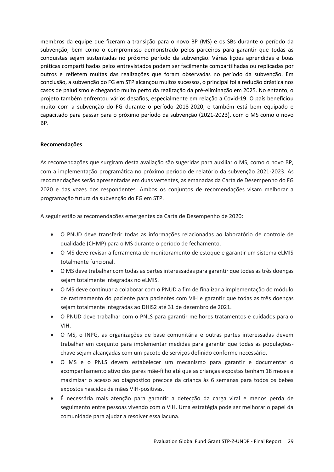membros da equipe que fizeram a transição para o novo BP (MS) e os SBs durante o período da subvenção, bem como o compromisso demonstrado pelos parceiros para garantir que todas as conquistas sejam sustentadas no próximo período da subvenção. Várias lições aprendidas e boas práticas compartilhadas pelos entrevistados podem ser facilmente compartilhadas ou replicadas por outros e refletem muitas das realizações que foram observadas no período da subvenção. Em conclusão, a subvenção do FG em STP alcançou muitos sucessos, o principal foi a redução drástica nos casos de paludismo e chegando muito perto da realização da pré-eliminação em 2025. No entanto, o projeto também enfrentou vários desafios, especialmente em relação a Covid-19. O país beneficiou muito com a subvenção do FG durante o período 2018-2020, e também está bem equipado e capacitado para passar para o próximo período da subvenção (2021-2023), com o MS como o novo BP.

#### **Recomendações**

As recomendações que surgiram desta avaliação são sugeridas para auxiliar o MS, como o novo BP, com a implementação programática no próximo período de relatório da subvenção 2021-2023. As recomendações serão apresentadas em duas vertentes, as emanadas da Carta de Desempenho do FG 2020 e das vozes dos respondentes. Ambos os conjuntos de recomendações visam melhorar a programação futura da subvenção do FG em STP.

A seguir estão as recomendações emergentes da Carta de Desempenho de 2020:

- O PNUD deve transferir todas as informações relacionadas ao laboratório de controle de qualidade (CHMP) para o MS durante o período de fechamento.
- O MS deve revisar a ferramenta de monitoramento de estoque e garantir um sistema eLMIS totalmente funcional.
- O MS deve trabalhar com todas as partes interessadas para garantir que todas as três doenças sejam totalmente integradas no eLMIS.
- O MS deve continuar a colaborar com o PNUD a fim de finalizar a implementação do módulo de rastreamento do paciente para pacientes com VIH e garantir que todas as três doenças sejam totalmente integradas ao DHIS2 até 31 de dezembro de 2021.
- O PNUD deve trabalhar com o PNLS para garantir melhores tratamentos e cuidados para o VIH.
- O MS, o INPG, as organizações de base comunitária e outras partes interessadas devem trabalhar em conjunto para implementar medidas para garantir que todas as populaçõeschave sejam alcançadas com um pacote de serviços definido conforme necessário.
- O MS e o PNLS devem estabelecer um mecanismo para garantir e documentar o acompanhamento ativo dos pares mãe-filho até que as crianças expostas tenham 18 meses e maximizar o acesso ao diagnóstico precoce da criança às 6 semanas para todos os bebês expostos nascidos de mães VIH-positivas.
- É necessária mais atenção para garantir a detecção da carga viral e menos perda de seguimento entre pessoas vivendo com o VIH. Uma estratégia pode ser melhorar o papel da comunidade para ajudar a resolver essa lacuna.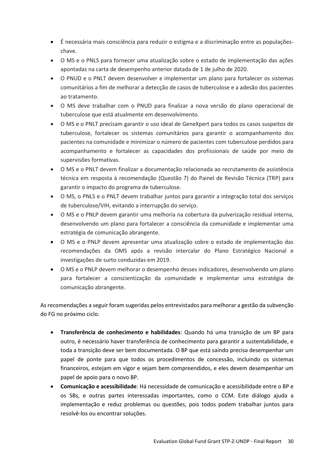- É necessária mais consciência para reduzir o estigma e a discriminação entre as populaçõeschave.
- O MS e o PNLS para fornecer uma atualização sobre o estado de implementação das ações apontadas na carta de desempenho anterior datada de 1 de julho de 2020.
- O PNUD e o PNLT devem desenvolver e implementar um plano para fortalecer os sistemas comunitários a fim de melhorar a detecção de casos de tuberculose e a adesão dos pacientes ao tratamento.
- O MS deve trabalhar com o PNUD para finalizar a nova versão do plano operacional de tuberculose que está atualmente em desenvolvimento.
- O MS e o PNLT precisam garantir o uso ideal de GeneXpert para todos os casos suspeitos de tuberculose, fortalecer os sistemas comunitários para garantir o acompanhamento dos pacientes na comunidade e minimizar o número de pacientes com tuberculose perdidos para acompanhamento e fortalecer as capacidades dos profissionais de saúde por meio de supervisões formativas.
- O MS e o PNLT devem finalizar a documentação relacionada ao recrutamento de assistência técnica em resposta à recomendação (Questão 7) do Painel de Revisão Técnica (TRP) para garantir o impacto do programa de tuberculose.
- O MS, o PNLS e o PNLT devem trabalhar juntos para garantir a integração total dos serviços de tuberculose/VIH, evitando a interrupção do serviço.
- O MS e o PNLP devem garantir uma melhoria na cobertura da pulverização residual interna, desenvolvendo um plano para fortalecer a consciência da comunidade e implementar uma estratégia de comunicação abrangente.
- O MS e o PNLP devem apresentar uma atualização sobre o estado de implementação das recomendações da OMS após a revisão intercalar do Plano Estratégico Nacional e investigações de surto conduzidas em 2019.
- O MS e o PNLP devem melhorar o desempenho desses indicadores, desenvolvendo um plano para fortalecer a conscientização da comunidade e implementar uma estratégia de comunicação abrangente.

As recomendações a seguir foram sugeridas pelos entrevistados para melhorar a gestão da subvenção do FG no próximo ciclo.

- **Transferência de conhecimento e habilidades**: Quando há uma transição de um BP para outro, é necessário haver transferência de conhecimento para garantir a sustentabilidade, e toda a transição deve ser bem documentada. O BP que está saindo precisa desempenhar um papel de ponte para que todos os procedimentos de concessão, incluindo os sistemas financeiros, estejam em vigor e sejam bem compreendidos, e eles devem desempenhar um papel de apoio para o novo BP.
- **Comunicação e acessibilidade**: Há necessidade de comunicação e acessibilidade entre o BP e os SBs, e outras partes interessadas importantes, como o CCM. Este diálogo ajuda a implementação e reduz problemas ou questões, pois todos podem trabalhar juntos para resolvê-los ou encontrar soluções.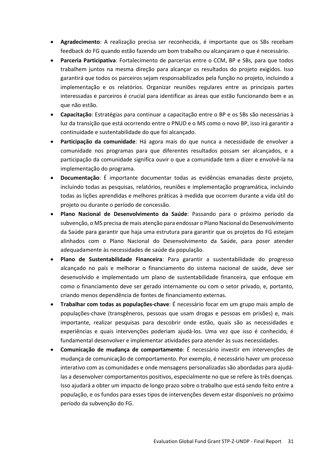- **Agradecimento**: A realização precisa ser reconhecida, é importante que os SBs recebam feedback do FG quando estão fazendo um bom trabalho ou alcançaram o que é necessário.
- **Parceria Participativa**: Fortalecimento de parcerias entre o CCM, BP e SBs, para que todos trabalhem juntos na mesma direção para alcançar os resultados do projeto exigidos. Isso garantirá que todos os parceiros sejam responsabilizados pela função no projeto, incluindo a implementação e os relatórios. Organizar reuniões regulares entre as principais partes interessadas e parceiros é crucial para identificar as áreas que estão funcionando bem e as que não estão.
- **Capacitação**: Estratégias para continuar a capacitação entre o BP e os SBs são necessárias à luz da transição que está ocorrendo entre o PNUD e o MS como o novo BP, isso irá garantir a continuidade e sustentabilidade do que foi alcançado.
- **Participação da comunidade**: Há agora mais do que nunca a necessidade de envolver a comunidade nos programas para que diferentes resultados possam ser alcançados, e a participação da comunidade significa ouvir o que a comunidade tem a dizer e envolvê-la na implementação do programa.
- **Documentação**: É importante documentar todas as evidências emanadas deste projeto, incluindo todas as pesquisas, relatórios, reuniões e implementação programática, incluindo todas as lições aprendidas e melhores práticas à medida que ocorrem durante a vida útil do projeto ou durante o período de concessão.
- **Plano Nacional de Desenvolvimento da Saúde**: Passando para o próximo período da subvenção, o MS precisa de mais atenção para endossar o Plano Nacional do Desenvolvimento da Saúde para garantir que haja uma estrutura para garantir que os projetos do FG estejam alinhados com o Plano Nacional do Desenvolvimento da Saúde, para poser atender adequadamente às necessidades de saúde da população.
- **Plano de Sustentabilidade Financeira**: Para garantir a sustentabilidade do progresso alcançado no país e melhorar o financiamento do sistema nacional de saúde, deve ser desenvolvido e implementado um plano de sustentabilidade financeira, que enfoque em como o financiamento deve ser gerado internamente ou com o setor privado, e, portanto, criando menos dependência de fontes de financiamento externas.
- **Trabalhar com todas as populações-chave**: É necessário focar em um grupo mais amplo de populações-chave (transgêneros, pessoas que usam drogas e pessoas em prisões) e, mais importante, realizar pesquisas para descobrir onde estão, quais são as necessidades e experiências e quais intervenções poderiam ajudá-los. Uma vez que isso é conhecido, é fundamental desenvolver e implementar atividades para atender às suas necessidades.
- **Comunicação de mudança de comportamento**: É necessário investir em intervenções de mudança de comunicação de comportamento. Por exemplo, é necessário haver um processo interativo com as comunidades e onde mensagens personalizadas são abordadas para ajudálas a desenvolver comportamentos positivos, especialmente no que se refere às três doenças. Isso ajudará a obter um impacto de longo prazo sobre o trabalho que está sendo feito entre a população, e os fundos para esses tipos de intervenções devem estar disponíveis no próximo período da subvenção do FG.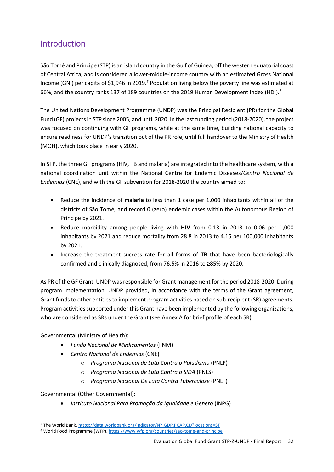## <span id="page-32-0"></span>Introduction

São Tomé and Principe (STP) is an [island country](https://en.wikipedia.org/wiki/Island_country) in the [Gulf of Guinea,](https://en.wikipedia.org/wiki/Gulf_of_Guinea) off the western equatorial coast of [Central Africa,](https://en.wikipedia.org/wiki/Central_Africa) and is considered a lower-middle-income country with an estimated Gross National Income (GNI) per capita of \$1,946 in 2019.<sup>7</sup> Population living below the poverty line was estimated at 66%, and the country ranks 137 of 189 countries on the 2019 Human Development Index (HDI).<sup>8</sup>

The United Nations Development Programme (UNDP) was the Principal Recipient (PR) for the Global Fund (GF) projects in STP since 2005, and until 2020. In the last funding period (2018-2020), the project was focused on continuing with GF programs, while at the same time, building national capacity to ensure readiness for UNDP's transition out of the PR role, until full handover to the Ministry of Health (MOH), which took place in early 2020.

In STP, the three GF programs (HIV, TB and malaria) are integrated into the healthcare system, with a national coordination unit within the National Centre for Endemic Diseases/*Centro Nacional de Endemias* (CNE), and with the GF subvention for 2018-2020 the country aimed to:

- Reduce the incidence of **malaria** to less than 1 case per 1,000 inhabitants within all of the districts of São Tomé, and record 0 (zero) endemic cases within the Autonomous Region of Príncipe by 2021.
- Reduce morbidity among people living with **HIV** from 0.13 in 2013 to 0.06 per 1,000 inhabitants by 2021 and reduce mortality from 28.8 in 2013 to 4.15 per 100,000 inhabitants by 2021.
- Increase the treatment success rate for all forms of **TB** that have been bacteriologically confirmed and clinically diagnosed, from 76.5% in 2016 to ≥85% by 2020.

As PR of the GF Grant, UNDP was responsible for Grant management for the period 2018-2020. During program implementation, UNDP provided, in accordance with the terms of the Grant agreement, Grant funds to other entities to implement program activities based on sub-recipient (SR) agreements. Program activities supported under this Grant have been implemented by the following organizations, who are considered as SRs under the Grant (see Annex A for brief profile of each SR).

Governmental (Ministry of Health):

- *Fundo Nacional de Medicamentos* (FNM)
- *Centro Nacional de Endemias* (CNE)
	- o *Programa Nacional de Luta Contra o Paludismo* (PNLP)
	- o *Programa Nacional de Luta Contra o SIDA* (PNLS)
	- o *Programa Nacional De Luta Contra Tuberculose* (PNLT)

Governmental (Other Governmental):

• *Instituto Nacional Para Promoção da Igualdade e Genero* (INPG)

<sup>7</sup> The World Bank.<https://data.worldbank.org/indicator/NY.GDP.PCAP.CD?locations=ST>

<sup>8</sup> World Food Programme (WFP).<https://www.wfp.org/countries/sao-tome-and-principe>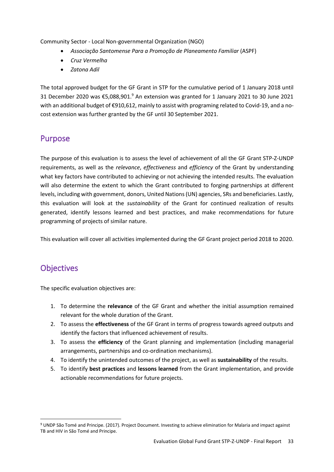Community Sector - Local Non-governmental Organization (NGO)

- *Associação Santomense Para a Promoção de Planeamento Familiar* (ASPF)
- *Cruz Vermelha*
- *Zatona Adil*

The total approved budget for the GF Grant in STP for the cumulative period of 1 January 2018 until 31 December 2020 was €5,088,901.<sup>9</sup> An extension was granted for 1 January 2021 to 30 June 2021 with an additional budget of €910,612, mainly to assist with programing related to Covid-19, and a nocost extension was further granted by the GF until 30 September 2021.

### <span id="page-33-0"></span>Purpose

The purpose of this evaluation is to assess the level of achievement of all the GF Grant STP-Z-UNDP requirements, as well as the *relevance*, *effectiveness* and *efficiency* of the Grant by understanding what key factors have contributed to achieving or not achieving the intended results. The evaluation will also determine the extent to which the Grant contributed to forging partnerships at different levels, including with government, donors, United Nations (UN) agencies, SRs and beneficiaries. Lastly, this evaluation will look at the *sustainability* of the Grant for continued realization of results generated, identify lessons learned and best practices, and make recommendations for future programming of projects of similar nature.

This evaluation will cover all activities implemented during the GF Grant project period 2018 to 2020.

## <span id="page-33-1"></span>**Objectives**

The specific evaluation objectives are:

- 1. To determine the **relevance** of the GF Grant and whether the initial assumption remained relevant for the whole duration of the Grant.
- 2. To assess the **effectiveness** of the GF Grant in terms of progress towards agreed outputs and identify the factors that influenced achievement of results.
- 3. To assess the **efficiency** of the Grant planning and implementation (including managerial arrangements, partnerships and co-ordination mechanisms).
- 4. To identify the unintended outcomes of the project, as well as **sustainability** of the results.
- 5. To identify **best practices** and **lessons learned** from the Grant implementation, and provide actionable recommendations for future projects.

<sup>9</sup> UNDP São Tomé and Principe. (2017). Project Document. Investing to achieve elimination for Malaria and impact against TB and HIV in São Tomé and Principe.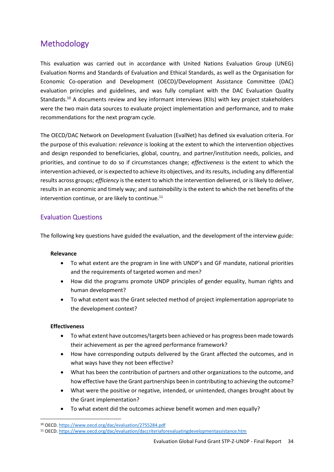## <span id="page-34-0"></span>Methodology

This evaluation was carried out in accordance with United Nations Evaluation Group (UNEG) Evaluation Norms and Standards of Evaluation and Ethical Standards, as well as the Organisation for Economic Co-operation and Development (OECD)/Development Assistance Committee (DAC) evaluation principles and guidelines, and was fully compliant with the DAC Evaluation Quality Standards.<sup>10</sup> A documents review and key informant interviews (KIIs) with key project stakeholders were the two main data sources to evaluate project implementation and performance, and to make recommendations for the next program cycle.

The OECD/DAC Network on Development Evaluation (EvalNet) has defined six evaluation criteria. For the purpose of this evaluation: *relevance* is looking at the extent to which the intervention objectives and design responded to beneficiaries, global, country, and partner/institution needs, policies, and priorities, and continue to do so if circumstances change; *effectiveness* is the extent to which the intervention achieved, or is expected to achieve its objectives, and its results, including any differential results across groups; *efficiency* is the extent to which the intervention delivered, or is likely to deliver, results in an economic and timely way; and *sustainability* is the extent to which the net benefits of the intervention continue, or are likely to continue.<sup>11</sup>

#### <span id="page-34-1"></span>Evaluation Questions

The following key questions have guided the evaluation, and the development of the interview guide:

#### **Relevance**

- To what extent are the program in line with UNDP's and GF mandate, national priorities and the requirements of targeted women and men?
- How did the programs promote UNDP principles of gender equality, human rights and human development?
- To what extent was the Grant selected method of project implementation appropriate to the development context?

#### **Effectiveness**

- To what extent have outcomes/targets been achieved or has progress been made towards their achievement as per the agreed performance framework?
- How have corresponding outputs delivered by the Grant affected the outcomes, and in what ways have they not been effective?
- What has been the contribution of partners and other organizations to the outcome, and how effective have the Grant partnerships been in contributing to achieving the outcome?
- What were the positive or negative, intended, or unintended, changes brought about by the Grant implementation?
- To what extent did the outcomes achieve benefit women and men equally?

<sup>10</sup> OECD[. https://www.oecd.org/dac/evaluation/2755284.pdf](https://www.oecd.org/dac/evaluation/2755284.pdf)

<sup>11</sup> OECD[. https://www.oecd.org/dac/evaluation/daccriteriaforevaluatingdevelopmentassistance.htm](https://www.oecd.org/dac/evaluation/daccriteriaforevaluatingdevelopmentassistance.htm)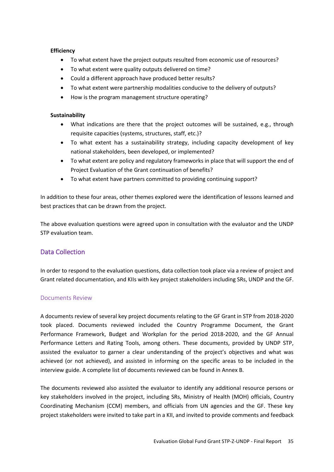#### **Efficiency**

- To what extent have the project outputs resulted from economic use of resources?
- To what extent were quality outputs delivered on time?
- Could a different approach have produced better results?
- To what extent were partnership modalities conducive to the delivery of outputs?
- How is the program management structure operating?

#### **Sustainability**

- What indications are there that the project outcomes will be sustained, e.g., through requisite capacities (systems, structures, staff, etc.)?
- To what extent has a sustainability strategy, including capacity development of key national stakeholders, been developed, or implemented?
- To what extent are policy and regulatory frameworks in place that will support the end of Project Evaluation of the Grant continuation of benefits?
- To what extent have partners committed to providing continuing support?

In addition to these four areas, other themes explored were the identification of lessons learned and best practices that can be drawn from the project.

The above evaluation questions were agreed upon in consultation with the evaluator and the UNDP STP evaluation team.

#### <span id="page-35-0"></span>Data Collection

In order to respond to the evaluation questions, data collection took place via a review of project and Grant related documentation, and KIIs with key project stakeholders including SRs, UNDP and the GF.

#### <span id="page-35-1"></span>Documents Review

A documents review of several key project documents relating to the GF Grant in STP from 2018-2020 took placed. Documents reviewed included the Country Programme Document, the Grant Performance Framework, Budget and Workplan for the period 2018-2020, and the GF Annual Performance Letters and Rating Tools, among others. These documents, provided by UNDP STP, assisted the evaluator to garner a clear understanding of the project's objectives and what was achieved (or not achieved), and assisted in informing on the specific areas to be included in the interview guide. A complete list of documents reviewed can be found in Annex B.

The documents reviewed also assisted the evaluator to identify any additional resource persons or key stakeholders involved in the project, including SRs, Ministry of Health (MOH) officials, Country Coordinating Mechanism (CCM) members, and officials from UN agencies and the GF. These key project stakeholders were invited to take part in a KII, and invited to provide comments and feedback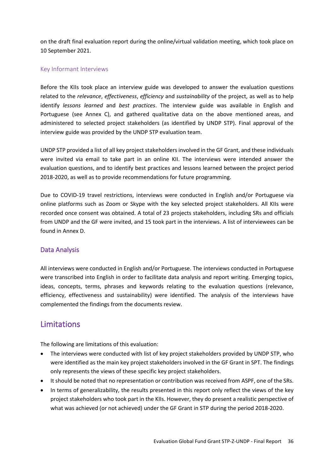on the draft final evaluation report during the online/virtual validation meeting, which took place on 10 September 2021.

## Key Informant Interviews

Before the KIIs took place an interview guide was developed to answer the evaluation questions related to the *relevance*, *effectiveness*, *efficiency* and *sustainability* of the project, as well as to help identify *lessons learned* and *best practices*. The interview guide was available in English and Portuguese (see Annex C), and gathered qualitative data on the above mentioned areas, and administered to selected project stakeholders (as identified by UNDP STP). Final approval of the interview guide was provided by the UNDP STP evaluation team.

UNDP STP provided a list of all key project stakeholders involved in the GF Grant, and these individuals were invited via email to take part in an online KII. The interviews were intended answer the evaluation questions, and to identify best practices and lessons learned between the project period 2018-2020, as well as to provide recommendations for future programming.

Due to COVID-19 travel restrictions, interviews were conducted in English and/or Portuguese via online platforms such as Zoom or Skype with the key selected project stakeholders. All KIIs were recorded once consent was obtained. A total of 23 projects stakeholders, including SRs and officials from UNDP and the GF were invited, and 15 took part in the interviews. A list of interviewees can be found in Annex D.

# Data Analysis

All interviews were conducted in English and/or Portuguese. The interviews conducted in Portuguese were transcribed into English in order to facilitate data analysis and report writing. Emerging topics, ideas, concepts, terms, phrases and keywords relating to the evaluation questions (relevance, efficiency, effectiveness and sustainability) were identified. The analysis of the interviews have complemented the findings from the documents review.

# Limitations

The following are limitations of this evaluation:

- The interviews were conducted with list of key project stakeholders provided by UNDP STP, who were identified as the main key project stakeholders involved in the GF Grant in SPT. The findings only represents the views of these specific key project stakeholders.
- It should be noted that no representation or contribution was received from ASPF, one of the SRs.
- In terms of generalizability, the results presented in this report only reflect the views of the key project stakeholders who took part in the KIIs. However, they do present a realistic perspective of what was achieved (or not achieved) under the GF Grant in STP during the period 2018-2020.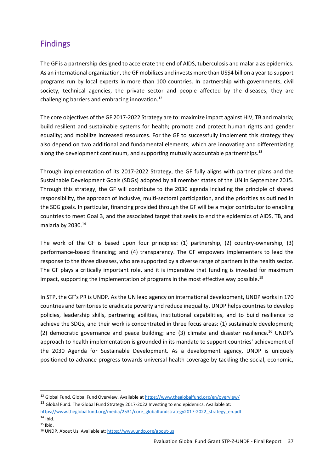# Findings

The GF is a partnership designed to accelerate the end of AIDS, tuberculosis and malaria as epidemics. As an international organization, the GF mobilizes and invests more than US\$4 billion a year to support programs run by local experts in more than 100 countries. In partnership with governments, civil society, technical agencies, the private sector and people affected by the diseases, they are challenging barriers and embracing innovation.<sup>12</sup>

The core objectives of the GF 2017-2022 Strategy are to: maximize impact against HIV, TB and malaria; build resilient and sustainable systems for health; promote and protect human rights and gender equality; and mobilize increased resources. For the GF to successfully implement this strategy they also depend on two additional and fundamental elements, which are innovating and differentiating along the development continuum, and supporting mutually accountable partnerships.**<sup>13</sup>**

Through implementation of its 2017-2022 Strategy, the GF fully aligns with partner plans and the Sustainable Development Goals (SDGs) adopted by all member states of the UN in September 2015. Through this strategy, the GF will contribute to the 2030 agenda including the principle of shared responsibility, the approach of inclusive, multi-sectoral participation, and the priorities as outlined in the SDG goals. In particular, financing provided through the GF will be a major contributor to enabling countries to meet Goal 3, and the associated target that seeks to end the epidemics of AIDS, TB, and malaria by 2030.<sup>14</sup>

The work of the GF is based upon four principles: (1) partnership, (2) country-ownership, (3) performance-based financing; and (4) transparency. The GF empowers implementers to lead the response to the three diseases, who are supported by a diverse range of partners in the health sector. The GF plays a critically important role, and it is imperative that funding is invested for maximum impact, supporting the implementation of programs in the most effective way possible.<sup>15</sup>

In STP, the GF's PR is UNDP. As the UN lead agency on international development, UNDP works in 170 countries and territories to eradicate poverty and reduce inequality. UNDP helps countries to develop policies, leadership skills, partnering abilities, institutional capabilities, and to build resilience to achieve the SDGs, and their work is concentrated in three focus areas: (1) sustainable development; (2) democratic governance and peace building; and (3) climate and disaster resilience.<sup>16</sup> UNDP's approach to health implementation is grounded in its mandate to support countries' achievement of the 2030 Agenda for Sustainable Development. As a development agency, UNDP is uniquely positioned to advance progress towards universal health coverage by tackling the social, economic,

<sup>&</sup>lt;sup>12</sup> Global Fund. Global Fund Overview. Available at<https://www.theglobalfund.org/en/overview/>

<sup>&</sup>lt;sup>13</sup> Global Fund. The Global Fund Strategy 2017-2022 Investing to end epidemics. Available at:

[https://www.theglobalfund.org/media/2531/core\\_globalfundstrategy2017-2022\\_strategy\\_en.pdf](https://www.theglobalfund.org/media/2531/core_globalfundstrategy2017-2022_strategy_en.pdf)

 $14$  Ibid.

<sup>15</sup> Ibid.

<sup>16</sup> UNDP. About Us. Available at[: https://www.undp.org/about-us](https://www.undp.org/about-us)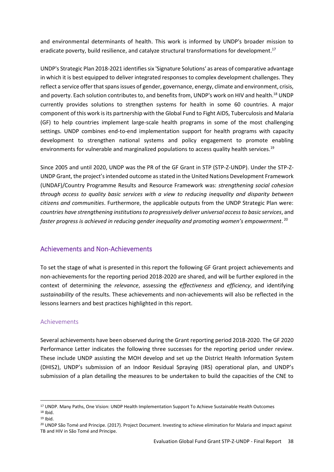and environmental determinants of health. This work is informed by UNDP's broader mission to eradicate poverty, build resilience, and catalyze structural transformations for development.<sup>17</sup>

UNDP's Strategic Plan 2018-2021 identifies six 'Signature Solutions' as areas of comparative advantage in which it is best equipped to deliver integrated responses to complex development challenges. They reflect a service offer that spans issues of gender, governance, energy, climate and environment, crisis, and poverty. Each solution contributes to, and benefits from, UNDP's work on HIV and health.<sup>18</sup> UNDP currently provides solutions to strengthen systems for health in some 60 countries. A major component of this work is its partnership with the Global Fund to Fight AIDS, Tuberculosis and Malaria (GF) to help countries implement large-scale health programs in some of the most challenging settings. UNDP combines end-to-end implementation support for health programs with capacity development to strengthen national systems and policy engagement to promote enabling environments for vulnerable and marginalized populations to access quality health services.<sup>19</sup>

Since 2005 and until 2020, UNDP was the PR of the GF Grant in STP (STP-Z-UNDP). Under the STP-Z-UNDP Grant, the project's intended outcome as stated in the United Nations Development Framework (UNDAF)/Country Programme Results and Resource Framework was: *strengthening social cohesion through access to quality basic services with a view to reducing inequality and disparity between citizens and communities*. Furthermore, the applicable outputs from the UNDP Strategic Plan were: *countries have strengthening institutions to progressively deliver universal access to basic services*, and *faster progress is achieved in reducing gender inequality and promoting women's empowerment*. 20

# Achievements and Non-Achievements

To set the stage of what is presented in this report the following GF Grant project achievements and non-achievements for the reporting period 2018-2020 are shared, and will be further explored in the context of determining the *relevance*, assessing the *effectiveness* and *efficiency*, and identifying *sustainability* of the results. These achievements and non-achievements will also be reflected in the lessons learners and best practices highlighted in this report.

## Achievements

Several achievements have been observed during the Grant reporting period 2018-2020. The GF 2020 Performance Letter indicates the following three successes for the reporting period under review. These include UNDP assisting the MOH develop and set up the District Health Information System (DHIS2), UNDP's submission of an Indoor Residual Spraying (IRS) operational plan, and UNDP's submission of a plan detailing the measures to be undertaken to build the capacities of the CNE to

<sup>17</sup> UNDP. Many Paths, One Vision: UNDP Health Implementation Support To Achieve Sustainable Health Outcomes  $18$  Ibid.

<sup>19</sup> Ibid.

<sup>20</sup> UNDP São Tomé and Principe. (2017). Project Document. Investing to achieve elimination for Malaria and impact against TB and HIV in São Tomé and Principe.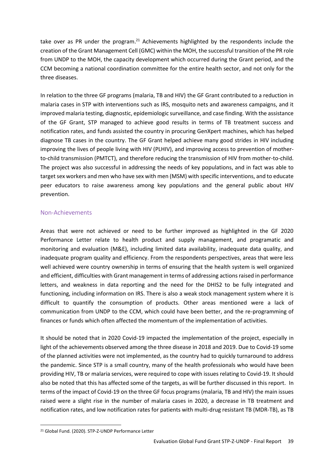take over as PR under the program.<sup>21</sup> Achievements highlighted by the respondents include the creation of the Grant Management Cell (GMC) within the MOH, the successful transition of the PR role from UNDP to the MOH, the capacity development which occurred during the Grant period, and the CCM becoming a national coordination committee for the entire health sector, and not only for the three diseases.

In relation to the three GF programs (malaria, TB and HIV) the GF Grant contributed to a reduction in malaria cases in STP with interventions such as IRS, mosquito nets and awareness campaigns, and it improved malaria testing, diagnostic, epidemiologic surveillance, and case finding. With the assistance of the GF Grant, STP managed to achieve good results in terms of TB treatment success and notification rates, and funds assisted the country in procuring GenXpert machines, which has helped diagnose TB cases in the country. The GF Grant helped achieve many good strides in HIV including improving the lives of people living with HIV (PLHIV), and improving access to prevention of motherto-child transmission (PMTCT), and therefore reducing the transmission of HIV from mother-to-child. The project was also successful in addressing the needs of key populations, and in fact was able to target sex workers and men who have sex with men (MSM) with specific interventions, and to educate peer educators to raise awareness among key populations and the general public about HIV prevention.

## Non-Achievements

Areas that were not achieved or need to be further improved as highlighted in the GF 2020 Performance Letter relate to health product and supply management, and programatic and monitoring and evaluation (M&E), including limited data availability, inadequate data quality, and inadequate program quality and efficiency. From the respondents perspectives, areas that were less well achieved were country ownership in terms of ensuring that the health system is well organized and efficient, difficulties with Grant management in terms of addressing actions raised in performance letters, and weakness in data reporting and the need for the DHIS2 to be fully integrated and functioning, including information on IRS. There is also a weak stock management system where it is difficult to quantify the consumption of products. Other areas mentioned were a lack of communication from UNDP to the CCM, which could have been better, and the re-programming of finances or funds which often affected the momentum of the implementation of activities.

It should be noted that in 2020 Covid-19 impacted the implementation of the project, especially in light of the achievements observed among the three disease in 2018 and 2019. Due to Covid-19 some of the planned activities were not implemented, as the country had to quickly turnaround to address the pandemic. Since STP is a small country, many of the health professionals who would have been providing HIV, TB or malaria services, were required to cope with issues relating to Covid-19. It should also be noted that this has affected some of the targets, as will be further discussed in this report. In terms of the impact of Covid-19 on the three GF focus programs (malaria, TB and HIV) the main issues raised were a slight rise in the number of malaria cases in 2020, a decrease in TB treatment and notification rates, and low notification rates for patients with multi-drug resistant TB (MDR-TB), as TB

<sup>21</sup> Global Fund. (2020). STP-Z-UNDP Performance Letter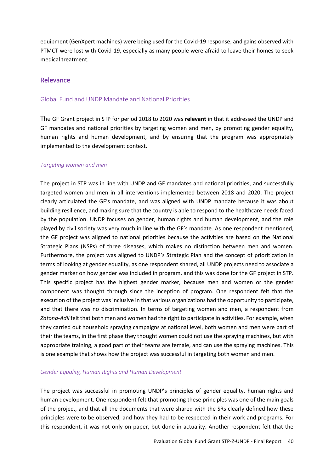equipment (GenXpert machines) were being used for the Covid-19 response, and gains observed with PTMCT were lost with Covid-19, especially as many people were afraid to leave their homes to seek medical treatment.

## Relevance

## Global Fund and UNDP Mandate and National Priorities

The GF Grant project in STP for period 2018 to 2020 was **relevant** in that it addressed the UNDP and GF mandates and national priorities by targeting women and men, by promoting gender equality, human rights and human development, and by ensuring that the program was appropriately implemented to the development context.

#### *Targeting women and men*

The project in STP was in line with UNDP and GF mandates and national priorities, and successfully targeted women and men in all interventions implemented between 2018 and 2020. The project clearly articulated the GF's mandate, and was aligned with UNDP mandate because it was about building resilience, and making sure that the country is able to respond to the healthcare needs faced by the population. UNDP focuses on gender, human rights and human development, and the role played by civil society was very much in line with the GF's mandate. As one respondent mentioned, the GF project was aligned to national priorities because the activities are based on the National Strategic Plans (NSPs) of three diseases, which makes no distinction between men and women. Furthermore, the project was aligned to UNDP's Strategic Plan and the concept of prioritization in terms of looking at gender equality, as one respondent shared, all UNDP projects need to associate a gender marker on how gender was included in program, and this was done for the GF project in STP. This specific project has the highest gender marker, because men and women or the gender component was thought through since the inception of program. One respondent felt that the execution of the project was inclusive in that various organizations had the opportunity to participate, and that there was no discrimination. In terms of targeting women and men, a respondent from *Zatona-Adil* felt that both men and women had the right to participate in activities. For example, when they carried out household spraying campaigns at national level, both women and men were part of their the teams, in the first phase they thought women could not use the spraying machines, but with appropriate training, a good part of their teams are female, and can use the spraying machines. This is one example that shows how the project was successful in targeting both women and men.

## *Gender Equality, Human Rights and Human Development*

The project was successful in promoting UNDP's principles of gender equality, human rights and human development. One respondent felt that promoting these principles was one of the main goals of the project, and that all the documents that were shared with the SRs clearly defined how these principles were to be observed, and how they had to be respected in their work and programs. For this respondent, it was not only on paper, but done in actuality. Another respondent felt that the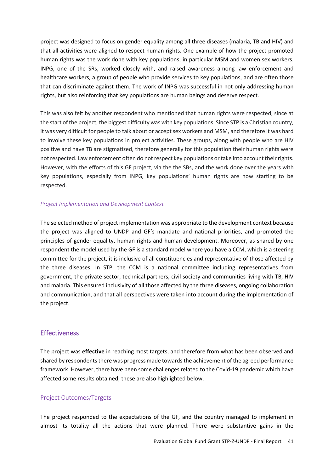project was designed to focus on gender equality among all three diseases (malaria, TB and HIV) and that all activities were aligned to respect human rights. One example of how the project promoted human rights was the work done with key populations, in particular MSM and women sex workers. INPG, one of the SRs, worked closely with, and raised awareness among law enforcement and healthcare workers, a group of people who provide services to key populations, and are often those that can discriminate against them. The work of INPG was successful in not only addressing human rights, but also reinforcing that key populations are human beings and deserve respect.

This was also felt by another respondent who mentioned that human rights were respected, since at the start of the project, the biggest difficulty was with key populations. Since STP is a Christian country, it was very difficult for people to talk about or accept sex workers and MSM, and therefore it was hard to involve these key populations in project activities. These groups, along with people who are HIV positive and have TB are stigmatized, therefore generally for this population their human rights were not respected. Law enforcement often do not respect key populations or take into account their rights. However, with the efforts of this GF project, via the the SBs, and the work done over the years with key populations, especially from INPG, key populations' human rights are now starting to be respected.

#### *Project Implementation and Development Context*

The selected method of project implementation was appropriate to the development context because the project was aligned to UNDP and GF's mandate and national priorities, and promoted the principles of gender equality, human rights and human development. Moreover, as shared by one respondent the model used by the GF is a standard model where you have a CCM, which is a steering committee for the project, it is inclusive of all constituencies and representative of those affected by the three diseases. In STP, the CCM is a national committee including representatives from government, the private sector, technical partners, civil society and communities living with TB, HIV and malaria. This ensured inclusivity of all those affected by the three diseases, ongoing collaboration and communication, and that all perspectives were taken into account during the implementation of the project.

# **Effectiveness**

The project was **effective** in reaching most targets, and therefore from what has been observed and shared by respondents there was progress made towards the achievement of the agreed performance framework. However, there have been some challenges related to the Covid-19 pandemic which have affected some results obtained, these are also highlighted below.

## Project Outcomes/Targets

The project responded to the expectations of the GF, and the country managed to implement in almost its totality all the actions that were planned. There were substantive gains in the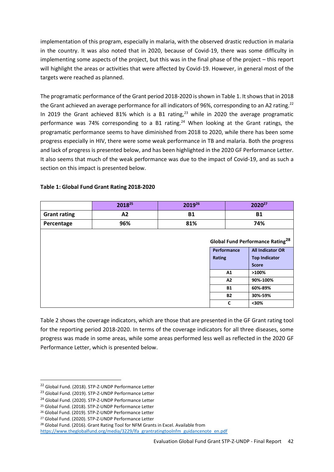implementation of this program, especially in malaria, with the observed drastic reduction in malaria in the country. It was also noted that in 2020, because of Covid-19, there was some difficulty in implementing some aspects of the project, but this was in the final phase of the project – this report will highlight the areas or activities that were affected by Covid-19. However, in general most of the targets were reached as planned.

The programatic performance of the Grant period 2018-2020 is shown in Table 1. It shows that in 2018 the Grant achieved an average performance for all indicators of 96%, corresponding to an A2 rating.<sup>22</sup> In 2019 the Grant achieved 81% which is a B1 rating, $^{23}$  while in 2020 the average programatic performance was 74% corresponding to a B1 rating.<sup>24</sup> When looking at the Grant ratings, the programatic performance seems to have diminished from 2018 to 2020, while there has been some progress especially in HIV, there were some weak performance in TB and malaria. Both the progress and lack of progress is presented below, and has been highlighted in the 2020 GF Performance Letter. It also seems that much of the weak performance was due to the impact of Covid-19, and as such a section on this impact is presented below.

|                     | 201825 | 201926    |                                                    | 2020 <sup>27</sup>      |  |
|---------------------|--------|-----------|----------------------------------------------------|-------------------------|--|
| <b>Grant rating</b> | A2     | <b>B1</b> |                                                    | <b>B1</b>               |  |
| Percentage          | 96%    | 81%       |                                                    | 74%                     |  |
|                     |        |           | <b>Global Fund Performance Rating<sup>28</sup></b> |                         |  |
|                     |        |           | Performance                                        | <b>All Indicator OR</b> |  |
|                     |        |           | Rating                                             | <b>Top Indicator</b>    |  |
|                     |        |           |                                                    | <b>Score</b>            |  |
|                     |        |           | A1                                                 | $>100\%$                |  |
|                     |        |           | A2                                                 | 90%-100%                |  |
|                     |        |           | <b>B1</b>                                          | 60%-89%                 |  |
|                     |        |           | <b>B2</b>                                          | 30%-59%                 |  |
|                     |        |           | $\mathbf c$                                        | $30%$                   |  |

#### **Table 1: Global Fund Grant Rating 2018-2020**

Table 2 shows the coverage indicators, which are those that are presented in the GF Grant rating tool for the reporting period 2018-2020. In terms of the coverage indicators for all three diseases, some progress was made in some areas, while some areas performed less well as reflected in the 2020 GF Performance Letter, which is presented below.

[https://www.theglobalfund.org/media/3229/lfa\\_grantratingtoolnfm\\_guidancenote\\_en.pdf](https://www.theglobalfund.org/media/3229/lfa_grantratingtoolnfm_guidancenote_en.pdf)

<sup>22</sup> Global Fund. (2018). STP-Z-UNDP Performance Letter

<sup>23</sup> Global Fund. (2019). STP-Z-UNDP Performance Letter

<sup>&</sup>lt;sup>24</sup> Global Fund. (2020). STP-Z-UNDP Performance Letter

<sup>25</sup> Global Fund. (2018). STP-Z-UNDP Performance Letter

<sup>26</sup> Global Fund. (2019). STP-Z-UNDP Performance Letter

<sup>27</sup> Global Fund. (2020). STP-Z-UNDP Performance Letter

<sup>28</sup> Global Fund. (2016). Grant Rating Tool for NFM Grants in Excel. Available from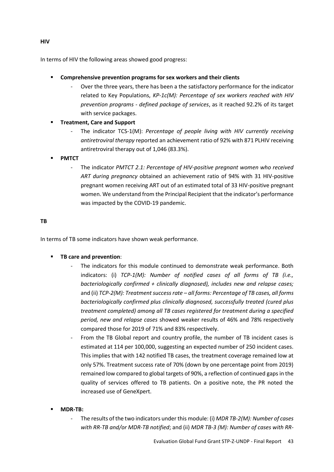In terms of HIV the following areas showed good progress:

- **Comprehensive prevention programs for sex workers and their clients**
	- Over the three years, there has been a the satisfactory performance for the indicator related to Key Populations, *KP-1c(M): Percentage of sex workers reached with HIV prevention programs - defined package of services*, as it reached 92.2% of its target with service packages.
- **Treatment, Care and Support** 
	- The indicator TCS-1(M): *Percentage of people living with HIV currently receiving antiretroviral therapy* reported an achievement ratio of 92% with 871 PLHIV receiving antiretroviral therapy out of 1,046 (83.3%).
- **PMTCT**
	- The indicator *PMTCT 2.1: Percentage of HIV-positive pregnant women who received ART during pregnancy* obtained an achievement ratio of 94% with 31 HIV-positive pregnant women receiving ART out of an estimated total of 33 HIV-positive pregnant women. We understand from the Principal Recipient that the indicator's performance was impacted by the COVID-19 pandemic.

## **TB**

In terms of TB some indicators have shown weak performance.

- **TB care and prevention**:
	- The indicators for this module continued to demonstrate weak performance. Both indicators: (i) *TCP-1(M): Number of notified cases of all forms of TB (i.e., bacteriologically confirmed + clinically diagnosed), includes new and relapse cases;*  and (ii) *TCP-2(M): Treatment success rate – all forms: Percentage of TB cases, all forms bacteriologically confirmed plus clinically diagnosed, successfully treated (cured plus treatment completed) among all TB cases registered for treatment during a specified period, new and relapse cases* showed weaker results of 46% and 78% respectively compared those for 2019 of 71% and 83% respectively.
	- From the TB Global report and country profile, the number of TB incident cases is estimated at 114 per 100,000, suggesting an expected number of 250 incident cases. This implies that with 142 notified TB cases, the treatment coverage remained low at only 57%. Treatment success rate of 70% (down by one percentage point from 2019) remained low compared to global targets of 90%, a reflection of continued gaps in the quality of services offered to TB patients. On a positive note, the PR noted the increased use of GeneXpert.
- **MDR-TB:** 
	- The results of the two indicators under this module: (i) *MDR TB-2(M): Number of cases with RR-TB and/or MDR-TB notified*; and (ii) *MDR TB-3 (M): Number of cases with RR-*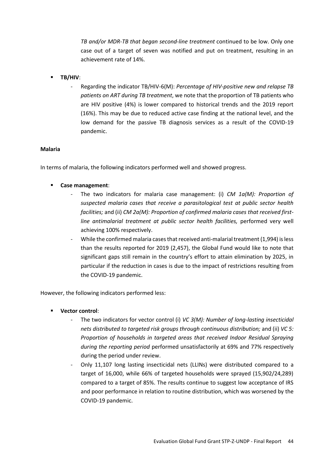*TB and/or MDR-TB that began second-line treatment* continued to be low. Only one case out of a target of seven was notified and put on treatment, resulting in an achievement rate of 14%.

- **TB/HIV**:
	- Regarding the indicator TB/HIV-6(M): *Percentage of HIV-positive new and relapse TB patients on ART during TB treatment*, we note that the proportion of TB patients who are HIV positive (4%) is lower compared to historical trends and the 2019 report (16%). This may be due to reduced active case finding at the national level, and the low demand for the passive TB diagnosis services as a result of the COVID-19 pandemic.

#### **Malaria**

In terms of malaria, the following indicators performed well and showed progress.

- **Case management**:
	- The two indicators for malaria case management: (i) *CM 1a(M): Proportion of suspected malaria cases that receive a parasitological test at public sector health facilities;* and (ii) *CM 2a(M): Proportion of confirmed malaria cases that received firstline antimalarial treatment at public sector health facilities,* performed very well achieving 100% respectively.
	- While the confirmed malaria cases that received anti-malarial treatment (1,994) is less than the results reported for 2019 (2,457), the Global Fund would like to note that significant gaps still remain in the country's effort to attain elimination by 2025, in particular if the reduction in cases is due to the impact of restrictions resulting from the COVID-19 pandemic.

However, the following indicators performed less:

- **Vector control**:
	- The two indicators for vector control (i) *VC 3(M): Number of long-lasting insecticidal nets distributed to targeted risk groups through continuous distribution;* and (ii) *VC 5: Proportion of households in targeted areas that received Indoor Residual Spraying during the reporting period* performed unsatisfactorily at 69% and 77% respectively during the period under review.
	- Only 11,107 long lasting insecticidal nets (LLINs) were distributed compared to a target of 16,000, while 66% of targeted households were sprayed (15,902/24,289) compared to a target of 85%. The results continue to suggest low acceptance of IRS and poor performance in relation to routine distribution, which was worsened by the COVID-19 pandemic.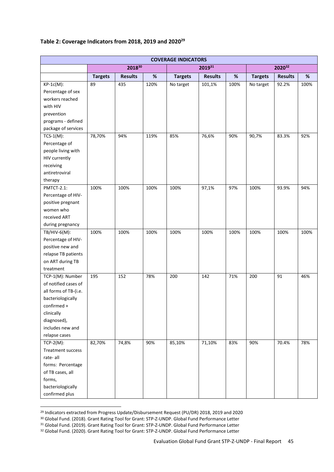#### **Table 2: Coverage Indicators from 2018, 2019 and 2020<sup>29</sup>**

| <b>COVERAGE INDICATORS</b> |                |                |      |                |                |      |                |                |      |
|----------------------------|----------------|----------------|------|----------------|----------------|------|----------------|----------------|------|
|                            |                | 201830         |      | 201931         |                |      | 202032         |                |      |
|                            | <b>Targets</b> | <b>Results</b> | $\%$ | <b>Targets</b> | <b>Results</b> | $\%$ | <b>Targets</b> | <b>Results</b> | $\%$ |
| $KP-1c(M)$ :               | 89             | 435            | 120% | No target      | 101,1%         | 100% | No target      | 92.2%          | 100% |
| Percentage of sex          |                |                |      |                |                |      |                |                |      |
| workers reached            |                |                |      |                |                |      |                |                |      |
| with HIV                   |                |                |      |                |                |      |                |                |      |
| prevention                 |                |                |      |                |                |      |                |                |      |
| programs - defined         |                |                |      |                |                |      |                |                |      |
| package of services        |                |                |      |                |                |      |                |                |      |
| $TCS-1(M)$ :               | 78,70%         | 94%            | 119% | 85%            | 76,6%          | 90%  | 90,7%          | 83.3%          | 92%  |
| Percentage of              |                |                |      |                |                |      |                |                |      |
| people living with         |                |                |      |                |                |      |                |                |      |
| HIV currently              |                |                |      |                |                |      |                |                |      |
| receiving                  |                |                |      |                |                |      |                |                |      |
| antiretroviral             |                |                |      |                |                |      |                |                |      |
| therapy                    |                |                |      |                |                |      |                |                |      |
| PMTCT-2.1:                 | 100%           | 100%           | 100% | 100%           | 97,1%          | 97%  | 100%           | 93.9%          | 94%  |
| Percentage of HIV-         |                |                |      |                |                |      |                |                |      |
| positive pregnant          |                |                |      |                |                |      |                |                |      |
| women who                  |                |                |      |                |                |      |                |                |      |
| received ART               |                |                |      |                |                |      |                |                |      |
| during pregnancy           |                |                |      |                |                |      |                |                |      |
| TB/HIV-6(M):               | 100%           | 100%           | 100% | 100%           | 100%           | 100% | 100%           | 100%           | 100% |
| Percentage of HIV-         |                |                |      |                |                |      |                |                |      |
| positive new and           |                |                |      |                |                |      |                |                |      |
| relapse TB patients        |                |                |      |                |                |      |                |                |      |
| on ART during TB           |                |                |      |                |                |      |                |                |      |
| treatment                  |                |                |      |                |                |      |                |                |      |
| TCP-1(M): Number           | 195            | 152            | 78%  | 200            | 142            | 71%  | 200            | 91             | 46%  |
| of notified cases of       |                |                |      |                |                |      |                |                |      |
| all forms of TB-(i.e.      |                |                |      |                |                |      |                |                |      |
| bacteriologically          |                |                |      |                |                |      |                |                |      |
| confirmed +                |                |                |      |                |                |      |                |                |      |
| clinically                 |                |                |      |                |                |      |                |                |      |
| diagnosed),                |                |                |      |                |                |      |                |                |      |
| includes new and           |                |                |      |                |                |      |                |                |      |
| relapse cases              |                |                |      |                |                |      |                |                |      |
| $TCP-2(M):$                | 82,70%         | 74,8%          | 90%  | 85,10%         | 71,10%         | 83%  | 90%            | 70.4%          | 78%  |
| Treatment success          |                |                |      |                |                |      |                |                |      |
| rate-all                   |                |                |      |                |                |      |                |                |      |
| forms: Percentage          |                |                |      |                |                |      |                |                |      |
| of TB cases, all           |                |                |      |                |                |      |                |                |      |
| forms,                     |                |                |      |                |                |      |                |                |      |
| bacteriologically          |                |                |      |                |                |      |                |                |      |
| confirmed plus             |                |                |      |                |                |      |                |                |      |

<sup>&</sup>lt;sup>29</sup> Indicators extracted from Progress Update/Disbursement Request (PU/DR) 2018, 2019 and 2020

<sup>30</sup> Global Fund. (2018). Grant Rating Tool for Grant: STP-Z-UNDP. Global Fund Performance Letter

<sup>31</sup> Global Fund. (2019). Grant Rating Tool for Grant: STP-Z-UNDP. Global Fund Performance Letter

<sup>32</sup> Global Fund. (2020). Grant Rating Tool for Grant: STP-Z-UNDP. Global Fund Performance Letter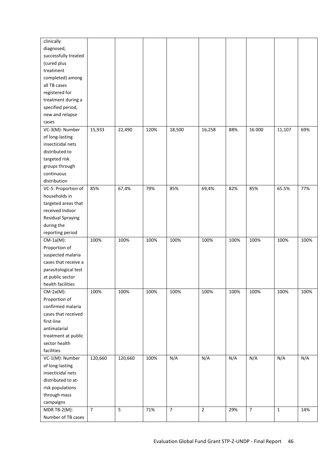| diagnosed,<br>successfully treated<br>(cured plus<br>treatment<br>completed) among<br>all TB cases<br>registered for<br>treatment during a<br>specified period,<br>new and relapse<br>cases<br>VC-3(M): Number<br>15,933<br>22,490<br>120%<br>18,500<br>16,258<br>16 000<br>69%<br>88%<br>11,107<br>of long-lasting<br>insecticidal nets<br>distributed to<br>targeted risk<br>groups through<br>continuous<br>distribution<br>67,4%<br>VC-5: Proportion of<br>85%<br>79%<br>85%<br>69,4%<br>82%<br>85%<br>65.5%<br>77%<br>households in<br>targeted areas that<br>received Indoor<br>Residual Spraying<br>during the<br>reporting period<br>100%<br>100%<br>100%<br>100%<br>100%<br>100%<br>100%<br>100%<br>100%<br>$CM-1a(M)$ :<br>Proportion of<br>suspected malaria<br>cases that receive a<br>parasitological test<br>at public sector<br>health facilities<br>$CM-2a(M)$ :<br>100%<br>100%<br>100%<br>100%<br>100%<br>100%<br>100%<br>100%<br>100%<br>Proportion of<br>confirmed malaria<br>cases that received<br>first-line<br>antimalarial<br>treatment at public<br>sector health<br>facilities<br>N/A<br>N/A<br>VC-1(M): Number<br>120,660<br>120,660<br>100%<br>N/A<br>N/A<br>N/A<br>N/A<br>of long-lasting<br>insecticidal nets<br>distributed to at-<br>risk populations<br>through mass<br>campaigns<br>$\overline{7}$<br>MDR TB-2(M):<br>5<br>71%<br>7<br>$\mathbf 2$<br>29%<br>$\overline{7}$<br>$\mathbf 1$<br>14% | clinically |  |  |  |  |  |
|--------------------------------------------------------------------------------------------------------------------------------------------------------------------------------------------------------------------------------------------------------------------------------------------------------------------------------------------------------------------------------------------------------------------------------------------------------------------------------------------------------------------------------------------------------------------------------------------------------------------------------------------------------------------------------------------------------------------------------------------------------------------------------------------------------------------------------------------------------------------------------------------------------------------------------------------------------------------------------------------------------------------------------------------------------------------------------------------------------------------------------------------------------------------------------------------------------------------------------------------------------------------------------------------------------------------------------------------------------------------------------------------------------------------------------------|------------|--|--|--|--|--|
|                                                                                                                                                                                                                                                                                                                                                                                                                                                                                                                                                                                                                                                                                                                                                                                                                                                                                                                                                                                                                                                                                                                                                                                                                                                                                                                                                                                                                                      |            |  |  |  |  |  |
|                                                                                                                                                                                                                                                                                                                                                                                                                                                                                                                                                                                                                                                                                                                                                                                                                                                                                                                                                                                                                                                                                                                                                                                                                                                                                                                                                                                                                                      |            |  |  |  |  |  |
|                                                                                                                                                                                                                                                                                                                                                                                                                                                                                                                                                                                                                                                                                                                                                                                                                                                                                                                                                                                                                                                                                                                                                                                                                                                                                                                                                                                                                                      |            |  |  |  |  |  |
|                                                                                                                                                                                                                                                                                                                                                                                                                                                                                                                                                                                                                                                                                                                                                                                                                                                                                                                                                                                                                                                                                                                                                                                                                                                                                                                                                                                                                                      |            |  |  |  |  |  |
|                                                                                                                                                                                                                                                                                                                                                                                                                                                                                                                                                                                                                                                                                                                                                                                                                                                                                                                                                                                                                                                                                                                                                                                                                                                                                                                                                                                                                                      |            |  |  |  |  |  |
|                                                                                                                                                                                                                                                                                                                                                                                                                                                                                                                                                                                                                                                                                                                                                                                                                                                                                                                                                                                                                                                                                                                                                                                                                                                                                                                                                                                                                                      |            |  |  |  |  |  |
|                                                                                                                                                                                                                                                                                                                                                                                                                                                                                                                                                                                                                                                                                                                                                                                                                                                                                                                                                                                                                                                                                                                                                                                                                                                                                                                                                                                                                                      |            |  |  |  |  |  |
|                                                                                                                                                                                                                                                                                                                                                                                                                                                                                                                                                                                                                                                                                                                                                                                                                                                                                                                                                                                                                                                                                                                                                                                                                                                                                                                                                                                                                                      |            |  |  |  |  |  |
|                                                                                                                                                                                                                                                                                                                                                                                                                                                                                                                                                                                                                                                                                                                                                                                                                                                                                                                                                                                                                                                                                                                                                                                                                                                                                                                                                                                                                                      |            |  |  |  |  |  |
|                                                                                                                                                                                                                                                                                                                                                                                                                                                                                                                                                                                                                                                                                                                                                                                                                                                                                                                                                                                                                                                                                                                                                                                                                                                                                                                                                                                                                                      |            |  |  |  |  |  |
|                                                                                                                                                                                                                                                                                                                                                                                                                                                                                                                                                                                                                                                                                                                                                                                                                                                                                                                                                                                                                                                                                                                                                                                                                                                                                                                                                                                                                                      |            |  |  |  |  |  |
|                                                                                                                                                                                                                                                                                                                                                                                                                                                                                                                                                                                                                                                                                                                                                                                                                                                                                                                                                                                                                                                                                                                                                                                                                                                                                                                                                                                                                                      |            |  |  |  |  |  |
|                                                                                                                                                                                                                                                                                                                                                                                                                                                                                                                                                                                                                                                                                                                                                                                                                                                                                                                                                                                                                                                                                                                                                                                                                                                                                                                                                                                                                                      |            |  |  |  |  |  |
|                                                                                                                                                                                                                                                                                                                                                                                                                                                                                                                                                                                                                                                                                                                                                                                                                                                                                                                                                                                                                                                                                                                                                                                                                                                                                                                                                                                                                                      |            |  |  |  |  |  |
|                                                                                                                                                                                                                                                                                                                                                                                                                                                                                                                                                                                                                                                                                                                                                                                                                                                                                                                                                                                                                                                                                                                                                                                                                                                                                                                                                                                                                                      |            |  |  |  |  |  |
|                                                                                                                                                                                                                                                                                                                                                                                                                                                                                                                                                                                                                                                                                                                                                                                                                                                                                                                                                                                                                                                                                                                                                                                                                                                                                                                                                                                                                                      |            |  |  |  |  |  |
|                                                                                                                                                                                                                                                                                                                                                                                                                                                                                                                                                                                                                                                                                                                                                                                                                                                                                                                                                                                                                                                                                                                                                                                                                                                                                                                                                                                                                                      |            |  |  |  |  |  |
|                                                                                                                                                                                                                                                                                                                                                                                                                                                                                                                                                                                                                                                                                                                                                                                                                                                                                                                                                                                                                                                                                                                                                                                                                                                                                                                                                                                                                                      |            |  |  |  |  |  |
|                                                                                                                                                                                                                                                                                                                                                                                                                                                                                                                                                                                                                                                                                                                                                                                                                                                                                                                                                                                                                                                                                                                                                                                                                                                                                                                                                                                                                                      |            |  |  |  |  |  |
|                                                                                                                                                                                                                                                                                                                                                                                                                                                                                                                                                                                                                                                                                                                                                                                                                                                                                                                                                                                                                                                                                                                                                                                                                                                                                                                                                                                                                                      |            |  |  |  |  |  |
|                                                                                                                                                                                                                                                                                                                                                                                                                                                                                                                                                                                                                                                                                                                                                                                                                                                                                                                                                                                                                                                                                                                                                                                                                                                                                                                                                                                                                                      |            |  |  |  |  |  |
|                                                                                                                                                                                                                                                                                                                                                                                                                                                                                                                                                                                                                                                                                                                                                                                                                                                                                                                                                                                                                                                                                                                                                                                                                                                                                                                                                                                                                                      |            |  |  |  |  |  |
|                                                                                                                                                                                                                                                                                                                                                                                                                                                                                                                                                                                                                                                                                                                                                                                                                                                                                                                                                                                                                                                                                                                                                                                                                                                                                                                                                                                                                                      |            |  |  |  |  |  |
|                                                                                                                                                                                                                                                                                                                                                                                                                                                                                                                                                                                                                                                                                                                                                                                                                                                                                                                                                                                                                                                                                                                                                                                                                                                                                                                                                                                                                                      |            |  |  |  |  |  |
|                                                                                                                                                                                                                                                                                                                                                                                                                                                                                                                                                                                                                                                                                                                                                                                                                                                                                                                                                                                                                                                                                                                                                                                                                                                                                                                                                                                                                                      |            |  |  |  |  |  |
|                                                                                                                                                                                                                                                                                                                                                                                                                                                                                                                                                                                                                                                                                                                                                                                                                                                                                                                                                                                                                                                                                                                                                                                                                                                                                                                                                                                                                                      |            |  |  |  |  |  |
|                                                                                                                                                                                                                                                                                                                                                                                                                                                                                                                                                                                                                                                                                                                                                                                                                                                                                                                                                                                                                                                                                                                                                                                                                                                                                                                                                                                                                                      |            |  |  |  |  |  |
|                                                                                                                                                                                                                                                                                                                                                                                                                                                                                                                                                                                                                                                                                                                                                                                                                                                                                                                                                                                                                                                                                                                                                                                                                                                                                                                                                                                                                                      |            |  |  |  |  |  |
|                                                                                                                                                                                                                                                                                                                                                                                                                                                                                                                                                                                                                                                                                                                                                                                                                                                                                                                                                                                                                                                                                                                                                                                                                                                                                                                                                                                                                                      |            |  |  |  |  |  |
|                                                                                                                                                                                                                                                                                                                                                                                                                                                                                                                                                                                                                                                                                                                                                                                                                                                                                                                                                                                                                                                                                                                                                                                                                                                                                                                                                                                                                                      |            |  |  |  |  |  |
|                                                                                                                                                                                                                                                                                                                                                                                                                                                                                                                                                                                                                                                                                                                                                                                                                                                                                                                                                                                                                                                                                                                                                                                                                                                                                                                                                                                                                                      |            |  |  |  |  |  |
|                                                                                                                                                                                                                                                                                                                                                                                                                                                                                                                                                                                                                                                                                                                                                                                                                                                                                                                                                                                                                                                                                                                                                                                                                                                                                                                                                                                                                                      |            |  |  |  |  |  |
|                                                                                                                                                                                                                                                                                                                                                                                                                                                                                                                                                                                                                                                                                                                                                                                                                                                                                                                                                                                                                                                                                                                                                                                                                                                                                                                                                                                                                                      |            |  |  |  |  |  |
|                                                                                                                                                                                                                                                                                                                                                                                                                                                                                                                                                                                                                                                                                                                                                                                                                                                                                                                                                                                                                                                                                                                                                                                                                                                                                                                                                                                                                                      |            |  |  |  |  |  |
|                                                                                                                                                                                                                                                                                                                                                                                                                                                                                                                                                                                                                                                                                                                                                                                                                                                                                                                                                                                                                                                                                                                                                                                                                                                                                                                                                                                                                                      |            |  |  |  |  |  |
|                                                                                                                                                                                                                                                                                                                                                                                                                                                                                                                                                                                                                                                                                                                                                                                                                                                                                                                                                                                                                                                                                                                                                                                                                                                                                                                                                                                                                                      |            |  |  |  |  |  |
|                                                                                                                                                                                                                                                                                                                                                                                                                                                                                                                                                                                                                                                                                                                                                                                                                                                                                                                                                                                                                                                                                                                                                                                                                                                                                                                                                                                                                                      |            |  |  |  |  |  |
|                                                                                                                                                                                                                                                                                                                                                                                                                                                                                                                                                                                                                                                                                                                                                                                                                                                                                                                                                                                                                                                                                                                                                                                                                                                                                                                                                                                                                                      |            |  |  |  |  |  |
|                                                                                                                                                                                                                                                                                                                                                                                                                                                                                                                                                                                                                                                                                                                                                                                                                                                                                                                                                                                                                                                                                                                                                                                                                                                                                                                                                                                                                                      |            |  |  |  |  |  |
|                                                                                                                                                                                                                                                                                                                                                                                                                                                                                                                                                                                                                                                                                                                                                                                                                                                                                                                                                                                                                                                                                                                                                                                                                                                                                                                                                                                                                                      |            |  |  |  |  |  |
|                                                                                                                                                                                                                                                                                                                                                                                                                                                                                                                                                                                                                                                                                                                                                                                                                                                                                                                                                                                                                                                                                                                                                                                                                                                                                                                                                                                                                                      |            |  |  |  |  |  |
|                                                                                                                                                                                                                                                                                                                                                                                                                                                                                                                                                                                                                                                                                                                                                                                                                                                                                                                                                                                                                                                                                                                                                                                                                                                                                                                                                                                                                                      |            |  |  |  |  |  |
|                                                                                                                                                                                                                                                                                                                                                                                                                                                                                                                                                                                                                                                                                                                                                                                                                                                                                                                                                                                                                                                                                                                                                                                                                                                                                                                                                                                                                                      |            |  |  |  |  |  |
|                                                                                                                                                                                                                                                                                                                                                                                                                                                                                                                                                                                                                                                                                                                                                                                                                                                                                                                                                                                                                                                                                                                                                                                                                                                                                                                                                                                                                                      |            |  |  |  |  |  |
|                                                                                                                                                                                                                                                                                                                                                                                                                                                                                                                                                                                                                                                                                                                                                                                                                                                                                                                                                                                                                                                                                                                                                                                                                                                                                                                                                                                                                                      |            |  |  |  |  |  |
|                                                                                                                                                                                                                                                                                                                                                                                                                                                                                                                                                                                                                                                                                                                                                                                                                                                                                                                                                                                                                                                                                                                                                                                                                                                                                                                                                                                                                                      |            |  |  |  |  |  |
|                                                                                                                                                                                                                                                                                                                                                                                                                                                                                                                                                                                                                                                                                                                                                                                                                                                                                                                                                                                                                                                                                                                                                                                                                                                                                                                                                                                                                                      |            |  |  |  |  |  |
|                                                                                                                                                                                                                                                                                                                                                                                                                                                                                                                                                                                                                                                                                                                                                                                                                                                                                                                                                                                                                                                                                                                                                                                                                                                                                                                                                                                                                                      |            |  |  |  |  |  |
|                                                                                                                                                                                                                                                                                                                                                                                                                                                                                                                                                                                                                                                                                                                                                                                                                                                                                                                                                                                                                                                                                                                                                                                                                                                                                                                                                                                                                                      |            |  |  |  |  |  |
|                                                                                                                                                                                                                                                                                                                                                                                                                                                                                                                                                                                                                                                                                                                                                                                                                                                                                                                                                                                                                                                                                                                                                                                                                                                                                                                                                                                                                                      |            |  |  |  |  |  |
|                                                                                                                                                                                                                                                                                                                                                                                                                                                                                                                                                                                                                                                                                                                                                                                                                                                                                                                                                                                                                                                                                                                                                                                                                                                                                                                                                                                                                                      |            |  |  |  |  |  |
| Number of TB cases                                                                                                                                                                                                                                                                                                                                                                                                                                                                                                                                                                                                                                                                                                                                                                                                                                                                                                                                                                                                                                                                                                                                                                                                                                                                                                                                                                                                                   |            |  |  |  |  |  |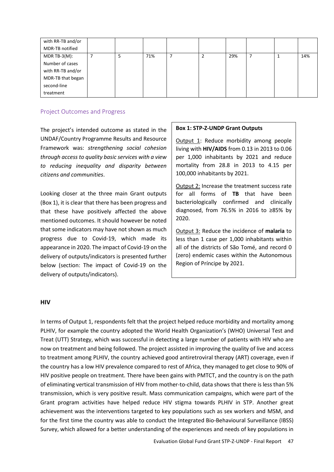| with RR-TB and/or |  |     |  |     |  |     |
|-------------------|--|-----|--|-----|--|-----|
| MDR-TB notified   |  |     |  |     |  |     |
| MDR TB-3( $M$ ):  |  | 71% |  | 29% |  | 14% |
| Number of cases   |  |     |  |     |  |     |
| with RR-TB and/or |  |     |  |     |  |     |
| MDR-TB that began |  |     |  |     |  |     |
| second-line       |  |     |  |     |  |     |
| treatment         |  |     |  |     |  |     |

#### Project Outcomes and Progress

The project's intended outcome as stated in the UNDAF/Country Programme Results and Resource Framework was: *strengthening social cohesion through access to quality basic services with a view to reducing inequality and disparity between citizens and communities*.

Looking closer at the three main Grant outputs (Box 1), it is clear that there has been progress and that these have positively affected the above mentioned outcomes. It should however be noted that some indicators may have not shown as much progress due to Covid-19, which made its appearance in 2020. The impact of Covid-19 on the delivery of outputs/indicators is presented further below (section: The impact of Covid-19 on the delivery of outputs/indicators).

#### **Box 1: STP-Z-UNDP Grant Outputs**

Output 1: Reduce morbidity among people living with **HIV/AIDS** from 0.13 in 2013 to 0.06 per 1,000 inhabitants by 2021 and reduce mortality from 28.8 in 2013 to 4.15 per 100,000 inhabitants by 2021.

Output 2: Increase the treatment success rate for all forms of **TB** that have been bacteriologically confirmed and clinically diagnosed, from 76.5% in 2016 to ≥85% by 2020.

Output 3: Reduce the incidence of **malaria** to less than 1 case per 1,000 inhabitants within all of the districts of São Tomé, and record 0 (zero) endemic cases within the Autonomous Region of Príncipe by 2021.

#### **HIV**

In terms of Output 1, respondents felt that the project helped reduce morbidity and mortality among PLHIV, for example the country adopted the World Health Organization's (WHO) Universal Test and Treat (UTT) Strategy, which was successful in detecting a large number of patients with HIV who are now on treatment and being followed. The project assisted in improving the quality of live and access to treatment among PLHIV, the country achieved good antiretroviral therapy (ART) coverage, even if the country has a low HIV prevalence compared to rest of Africa, they managed to get close to 90% of HIV positive people on treatment. There have been gains with PMTCT, and the country is on the path of eliminating vertical transmission of HIV from mother-to-child, data shows that there is less than 5% transmission, which is very positive result. Mass communication campaigns, which were part of the Grant program activities have helped reduce HIV stigma towards PLHIV in STP. Another great achievement was the interventions targeted to key populations such as sex workers and MSM, and for the first time the country was able to conduct the Integrated Bio-Behavioural Surveillance (IBSS) Survey, which allowed for a better understanding of the experiences and needs of key populations in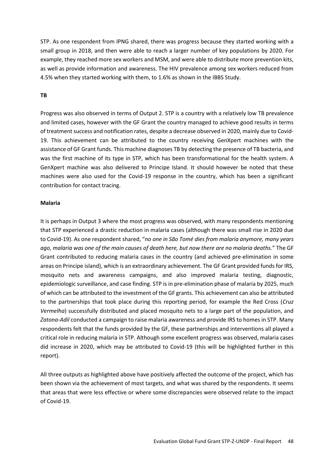STP. As one respondent from IPNG shared, there was progress because they started working with a small group in 2018, and then were able to reach a larger number of key populations by 2020. For example, they reached more sex workers and MSM, and were able to distribute more prevention kits, as well as provide information and awareness. The HIV prevalence among sex workers reduced from 4.5% when they started working with them, to 1.6% as shown in the IBBS Study.

#### **TB**

Progress was also observed in terms of Output 2. STP is a country with a relatively low TB prevalence and limited cases, however with the GF Grant the country managed to achieve good results in terms of treatment success and notification rates, despite a decrease observed in 2020, mainly due to Covid-19. This achievement can be attributed to the country receiving GenXpert machines with the assistance of GF Grant funds. This machine diagnoses TB by detecting the presence of TB bacteria, and was the first machine of its type in STP, which has been transformational for the health system. A GenXpert machine was also delivered to Principe Island. It should however be noted that these machines were also used for the Covid-19 response in the country, which has been a significant contribution for contact tracing.

#### **Malaria**

It is perhaps in Output 3 where the most progress was observed, with many respondents mentioning that STP experienced a drastic reduction in malaria cases (although there was small rise in 2020 due to Covid-19). As one respondent shared, "*no one in São Tomé dies from malaria anymore, many years ago, malaria was one of the main causes of death here, but now there are no malaria deaths*." The GF Grant contributed to reducing malaria cases in the country (and achieved pre-elimination in some areas on Principe island), which is an extraordinary achievement. The GF Grant provided funds for IRS, mosquito nets and awareness campaigns, and also improved malaria testing, diagnostic, epidemiologic surveillance, and case finding. STP is in pre-elimination phase of malaria by 2025, much of which can be attributed to the investment of the GF grants. This achievement can also be attributed to the partnerships that took place during this reporting period, for example the Red Cross (*Cruz Vermelha*) successfully distributed and placed mosquito nets to a large part of the population, and *Zatona-Adil* conducted a campaign to raise malaria awareness and provide IRS to homes in STP. Many respondents felt that the funds provided by the GF, these partnerships and interventions all played a critical role in reducing malaria in STP. Although some excellent progress was observed, malaria cases did increase in 2020, which may be attributed to Covid-19 (this will be highlighted further in this report).

All three outputs as highlighted above have positively affected the outcome of the project, which has been shown via the achievement of most targets, and what was shared by the respondents. It seems that areas that were less effective or where some discrepancies were observed relate to the impact of Covid-19.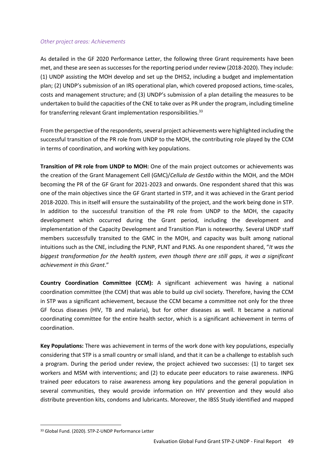#### *Other project areas: Achievements*

As detailed in the GF 2020 Performance Letter, the following three Grant requirements have been met, and these are seen as successes for the reporting period under review (2018-2020). They include: (1) UNDP assisting the MOH develop and set up the DHIS2, including a budget and implementation plan; (2) UNDP's submission of an IRS operational plan, which covered proposed actions, time-scales, costs and management structure; and (3) UNDP's submission of a plan detailing the measures to be undertaken to build the capacities of the CNE to take over as PR under the program, including timeline for transferring relevant Grant implementation responsibilities.<sup>33</sup>

From the perspective of the respondents, several project achievements were highlighted including the successful transition of the PR role from UNDP to the MOH, the contributing role played by the CCM in terms of coordination, and working with key populations.

**Transition of PR role from UNDP to MOH:** One of the main project outcomes or achievements was the creation of the Grant Management Cell (GMC)/*Cellula de Gestão* within the MOH, and the MOH becoming the PR of the GF Grant for 2021-2023 and onwards. One respondent shared that this was one of the main objectives since the GF Grant started in STP, and it was achieved in the Grant period 2018-2020. This in itself will ensure the sustainability of the project, and the work being done in STP. In addition to the successful transition of the PR role from UNDP to the MOH, the capacity development which occurred during the Grant period, including the development and implementation of the Capacity Development and Transition Plan is noteworthy. Several UNDP staff members successfully transited to the GMC in the MOH, and capacity was built among national intuitions such as the CNE, including the PLNP, PLNT and PLNS. As one respondent shared, "*It was the biggest transformation for the health system, even though there are still gaps, it was a significant achievement in this Grant*."

**Country Coordination Committee (CCM):** A significant achievement was having a national coordination committee (the CCM) that was able to build up civil society. Therefore, having the CCM in STP was a significant achievement, because the CCM became a committee not only for the three GF focus diseases (HIV, TB and malaria), but for other diseases as well. It became a national coordinating committee for the entire health sector, which is a significant achievement in terms of coordination.

**Key Populations:** There was achievement in terms of the work done with key populations, especially considering that STP is a small country or small island, and that it can be a challenge to establish such a program. During the period under review, the project achieved two successes: (1) to target sex workers and MSM with interventions; and (2) to educate peer educators to raise awareness. INPG trained peer educators to raise awareness among key populations and the general population in several communities, they would provide information on HIV prevention and they would also distribute prevention kits, condoms and lubricants. Moreover, the IBSS Study identified and mapped

<sup>33</sup> Global Fund. (2020). STP-Z-UNDP Performance Letter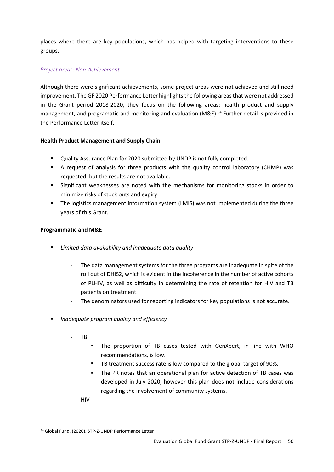places where there are key populations, which has helped with targeting interventions to these groups.

#### *Project areas: Non-Achievement*

Although there were significant achievements, some project areas were not achieved and still need improvement. The GF 2020 Performance Letter highlights the following areas that were not addressed in the Grant period 2018-2020, they focus on the following areas: health product and supply management, and programatic and monitoring and evaluation (M&E).<sup>34</sup> Further detail is provided in the Performance Letter itself.

#### **Health Product Management and Supply Chain**

- Quality Assurance Plan for 2020 submitted by UNDP is not fully completed.
- A request of analysis for three products with the quality control laboratory (CHMP) was requested, but the results are not available.
- **•** Significant weaknesses are noted with the mechanisms for monitoring stocks in order to minimize risks of stock outs and expiry.
- The logistics management information system (LMIS) was not implemented during the three years of this Grant.

#### **Programmatic and M&E**

- *Limited data availability and inadequate data quality* 
	- The data management systems for the three programs are inadequate in spite of the roll out of DHIS2, which is evident in the incoherence in the number of active cohorts of PLHIV, as well as difficulty in determining the rate of retention for HIV and TB patients on treatment.
	- The denominators used for reporting indicators for key populations is not accurate.
- *Inadequate program quality and efficiency* 
	- $TB:$ 
		- The proportion of TB cases tested with GenXpert, in line with WHO recommendations, is low.
		- TB treatment success rate is low compared to the global target of 90%.
		- The PR notes that an operational plan for active detection of TB cases was developed in July 2020, however this plan does not include considerations regarding the involvement of community systems.
	- HIV

<sup>34</sup> Global Fund. (2020). STP-Z-UNDP Performance Letter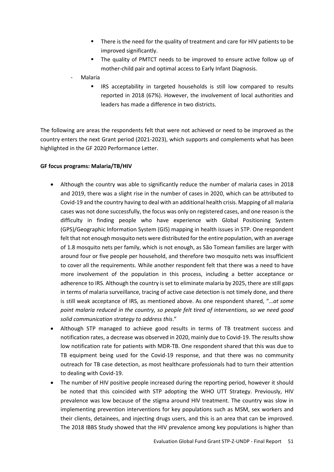- There is the need for the quality of treatment and care for HIV patients to be improved significantly.
- The quality of PMTCT needs to be improved to ensure active follow up of mother-child pair and optimal access to Early Infant Diagnosis.
- **Malaria** 
	- **EXEL IRS** acceptability in targeted households is still low compared to results reported in 2018 (67%). However, the involvement of local authorities and leaders has made a difference in two districts.

The following are areas the respondents felt that were not achieved or need to be improved as the country enters the next Grant period (2021-2023), which supports and complements what has been highlighted in the GF 2020 Performance Letter.

## **GF focus programs: Malaria/TB/HIV**

- Although the country was able to significantly reduce the number of malaria cases in 2018 and 2019, there was a slight rise in the number of cases in 2020, which can be attributed to Covid-19 and the country having to deal with an additional health crisis. Mapping of all malaria cases was not done successfully, the focus was only on registered cases, and one reason is the difficulty in finding people who have experience with Global Positioning System (GPS)/Geographic Information System (GIS) mapping in health issues in STP. One respondent felt that not enough mosquito nets were distributed for the entire population, with an average of 1.8 mosquito nets per family, which is not enough, as São Tomean families are larger with around four or five people per household, and therefore two mosquito nets was insufficient to cover all the requirements. While another respondent felt that there was a need to have more involvement of the population in this process, including a better acceptance or adherence to IRS. Although the country is set to eliminate malaria by 2025, there are still gaps in terms of malaria surveillance, tracing of active case detection is not timely done, and there is still weak acceptance of IRS, as mentioned above. As one respondent shared, "…*at some point malaria reduced in the country, so people felt tired of interventions, so we need good solid communication strategy to address this*."
- Although STP managed to achieve good results in terms of TB treatment success and notification rates, a decrease was observed in 2020, mainly due to Covid-19. The results show low notification rate for patients with MDR-TB. One respondent shared that this was due to TB equipment being used for the Covid-19 response, and that there was no community outreach for TB case detection, as most healthcare professionals had to turn their attention to dealing with Covid-19.
- The number of HIV positive people increased during the reporting period, however it should be noted that this coincided with STP adopting the WHO UTT Strategy. Previously, HIV prevalence was low because of the stigma around HIV treatment. The country was slow in implementing prevention interventions for key populations such as MSM, sex workers and their clients, detainees, and injecting drugs users, and this is an area that can be improved. The 2018 IBBS Study showed that the HIV prevalence among key populations is higher than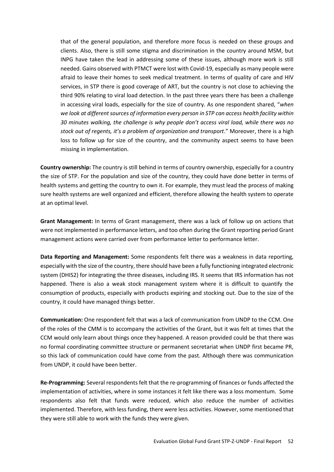that of the general population, and therefore more focus is needed on these groups and clients. Also, there is still some stigma and discrimination in the country around MSM, but INPG have taken the lead in addressing some of these issues, although more work is still needed. Gains observed with PTMCT were lost with Covid-19, especially as many people were afraid to leave their homes to seek medical treatment. In terms of quality of care and HIV services, in STP there is good coverage of ART, but the country is not close to achieving the third 90% relating to viral load detection. In the past three years there has been a challenge in accessing viral loads, especially for the size of country. As one respondent shared, "*when we look at different sources of information every person in STP can access health facility within 30 minutes walking, the challenge is why people don't access viral load, while there was no stock out of regents, it's a problem of organization and transport*." Moreover, there is a high loss to follow up for size of the country, and the community aspect seems to have been missing in implementation.

**Country ownership:** The country is still behind in terms of country ownership, especially for a country the size of STP. For the population and size of the country, they could have done better in terms of health systems and getting the country to own it. For example, they must lead the process of making sure health systems are well organized and efficient, therefore allowing the health system to operate at an optimal level.

**Grant Management:** In terms of Grant management, there was a lack of follow up on actions that were not implemented in performance letters, and too often during the Grant reporting period Grant management actions were carried over from performance letter to performance letter.

**Data Reporting and Management:** Some respondents felt there was a weakness in data reporting, especially with the size of the country, there should have been a fully functioning integrated electronic system (DHIS2) for integrating the three diseases, including IRS. It seems that IRS information has not happened. There is also a weak stock management system where it is difficult to quantify the consumption of products, especially with products expiring and stocking out. Due to the size of the country, it could have managed things better.

**Communication:** One respondent felt that was a lack of communication from UNDP to the CCM. One of the roles of the CMM is to accompany the activities of the Grant, but it was felt at times that the CCM would only learn about things once they happened. A reason provided could be that there was no formal coordinating committee structure or permanent secretariat when UNDP first became PR, so this lack of communication could have come from the past. Although there was communication from UNDP, it could have been better.

**Re-Programming:** Several respondents felt that the re-programming of finances or funds affected the implementation of activities, where in some instances it felt like there was a loss momentum. Some respondents also felt that funds were reduced, which also reduce the number of activities implemented. Therefore, with less funding, there were less activities. However, some mentioned that they were still able to work with the funds they were given.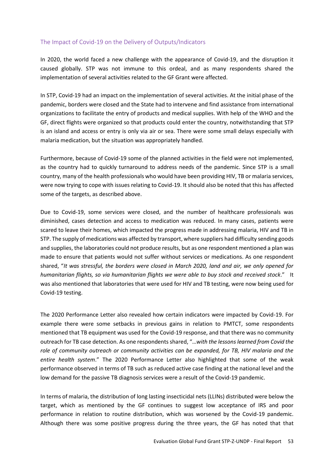## The Impact of Covid-19 on the Delivery of Outputs/Indicators

In 2020, the world faced a new challenge with the appearance of Covid-19, and the disruption it caused globally. STP was not immune to this ordeal, and as many respondents shared the implementation of several activities related to the GF Grant were affected.

In STP, Covid-19 had an impact on the implementation of several activities. At the initial phase of the pandemic, borders were closed and the State had to intervene and find assistance from international organizations to facilitate the entry of products and medical supplies. With help of the WHO and the GF, direct flights were organized so that products could enter the country, notwithstanding that STP is an island and access or entry is only via air or sea. There were some small delays especially with malaria medication, but the situation was appropriately handled.

Furthermore, because of Covid-19 some of the planned activities in the field were not implemented, as the country had to quickly turnaround to address needs of the pandemic. Since STP is a small country, many of the health professionals who would have been providing HIV, TB or malaria services, were now trying to cope with issues relating to Covid-19. It should also be noted that this has affected some of the targets, as described above.

Due to Covid-19, some services were closed, and the number of healthcare professionals was diminished, cases detection and access to medication was reduced. In many cases, patients were scared to leave their homes, which impacted the progress made in addressing malaria, HIV and TB in STP. The supply of medications was affected by transport, where suppliers had difficulty sending goods and supplies, the laboratories could not produce results, but as one respondent mentioned a plan was made to ensure that patients would not suffer without services or medications. As one respondent shared, "*It was stressful, the borders were closed in March 2020, land and air, we only opened for humanitarian flights, so via humanitarian flights we were able to buy stock and received stock*." It was also mentioned that laboratories that were used for HIV and TB testing, were now being used for Covid-19 testing.

The 2020 Performance Letter also revealed how certain indicators were impacted by Covid-19. For example there were some setbacks in previous gains in relation to PMTCT, some respondents mentioned that TB equipment was used for the Covid-19 response, and that there was no community outreach for TB case detection. As one respondents shared, "…*with the lessons learned from Covid the role of community outreach or community activities can be expanded, for TB, HIV malaria and the entire health system*." The 2020 Performance Letter also highlighted that some of the weak performance observed in terms of TB such as reduced active case finding at the national level and the low demand for the passive TB diagnosis services were a result of the Covid-19 pandemic.

In terms of malaria, the distribution of long lasting insecticidal nets (LLINs) distributed were below the target, which as mentioned by the GF continues to suggest low acceptance of IRS and poor performance in relation to routine distribution, which was worsened by the Covid-19 pandemic. Although there was some positive progress during the three years, the GF has noted that that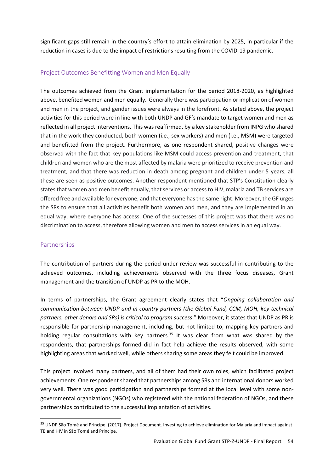significant gaps still remain in the country's effort to attain elimination by 2025, in particular if the reduction in cases is due to the impact of restrictions resulting from the COVID-19 pandemic.

## Project Outcomes Benefitting Women and Men Equally

The outcomes achieved from the Grant implementation for the period 2018-2020, as highlighted above, benefited women and men equally. Generally there was participation or implication of women and men in the project, and gender issues were always in the forefront. As stated above, the project activities for this period were in line with both UNDP and GF's mandate to target women and men as reflected in all project interventions. This was reaffirmed, by a key stakeholder from INPG who shared that in the work they conducted, both women (i.e., sex workers) and men (i.e., MSM) were targeted and benefitted from the project. Furthermore, as one respondent shared, positive changes were observed with the fact that key populations like MSM could access prevention and treatment, that children and women who are the most affected by malaria were prioritized to receive prevention and treatment, and that there was reduction in death among pregnant and children under 5 years, all these are seen as positive outcomes. Another respondent mentioned that STP's Constitution clearly states that women and men benefit equally, that services or access to HIV, malaria and TB services are offered free and available for everyone, and that everyone has the same right. Moreover, the GF urges the SRs to ensure that all activities benefit both women and men, and they are implemented in an equal way, where everyone has access. One of the successes of this project was that there was no discrimination to access, therefore allowing women and men to access services in an equal way.

## Partnerships

The contribution of partners during the period under review was successful in contributing to the achieved outcomes, including achievements observed with the three focus diseases, Grant management and the transition of UNDP as PR to the MOH.

In terms of partnerships, the Grant agreement clearly states that "*Ongoing collaboration and communication between UNDP and in-country partners (the Global Fund, CCM, MOH, key technical partners, other donors and SRs) is critical to program success*." Moreover, it states that UNDP as PR is responsible for partnership management, including, but not limited to, mapping key partners and holding regular consultations with key partners.<sup>35</sup> It was clear from what was shared by the respondents, that partnerships formed did in fact help achieve the results observed, with some highlighting areas that worked well, while others sharing some areas they felt could be improved.

This project involved many partners, and all of them had their own roles, which facilitated project achievements. One respondent shared that partnerships among SRs and international donors worked very well. There was good participation and partnerships formed at the local level with some nongovernmental organizations (NGOs) who registered with the national federation of NGOs, and these partnerships contributed to the successful implantation of activities.

<sup>&</sup>lt;sup>35</sup> UNDP São Tomé and Principe. (2017). Project Document. Investing to achieve elimination for Malaria and impact against TB and HIV in São Tomé and Principe.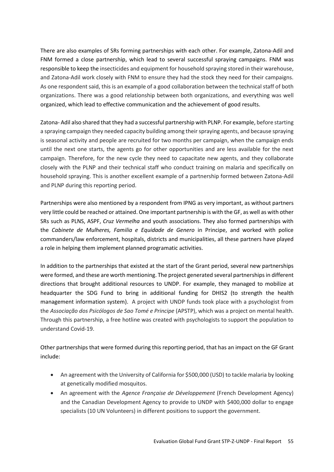There are also examples of SRs forming partnerships with each other. For example, Zatona-Adil and FNM formed a close partnership, which lead to several successful spraying campaigns. FNM was responsible to keep the insecticides and equipment for household spraying stored in their warehouse, and Zatona-Adil work closely with FNM to ensure they had the stock they need for their campaigns. As one respondent said, this is an example of a good collaboration between the technical staff of both organizations. There was a good relationship between both organizations, and everything was well organized, which lead to effective communication and the achievement of good results.

Zatona- Adil also shared that they had a successful partnership with PLNP. For example, before starting a spraying campaign they needed capacity building among their spraying agents, and because spraying is seasonal activity and people are recruited for two months per campaign, when the campaign ends until the next one starts, the agents go for other opportunities and are less available for the next campaign. Therefore, for the new cycle they need to capacitate new agents, and they collaborate closely with the PLNP and their technical staff who conduct training on malaria and specifically on household spraying. This is another excellent example of a partnership formed between Zatona-Adil and PLNP during this reporting period.

Partnerships were also mentioned by a respondent from IPNG as very important, as without partners very little could be reached or attained. One important partnership is with the GF, as well as with other SRs such as PLNS, ASPF, *Cruz Vermelha* and youth associations. They also formed partnerships with the *Cabinete de Mulheres, Familia e Equidade de Genero* in Principe, and worked with police commanders/law enforcement, hospitals, districts and municipalities, all these partners have played a role in helping them implement planned programatic activities.

In addition to the partnerships that existed at the start of the Grant period, several new partnerships were formed, and these are worth mentioning. The project generated several partnerships in different directions that brought additional resources to UNDP. For example, they managed to mobilize at headquarter the SDG Fund to bring in additional funding for DHIS2 (to strength the health management information system). A project with UNDP funds took place with a psychologist from the *Associação dos Psicólogos de Sao Tomé e Principe* (APSTP), which was a project on mental health. Through this partnership, a free hotline was created with psychologists to support the population to understand Covid-19.

Other partnerships that were formed during this reporting period, that has an impact on the GF Grant include:

- An agreement with the University of California for \$500,000 (USD) to tackle malaria by looking at genetically modified mosquitos.
- An agreement with the *Agence Française de Développement* (French Development Agency) and the Canadian Development Agency to provide to UNDP with \$400,000 dollar to engage specialists (10 UN Volunteers) in different positions to support the government.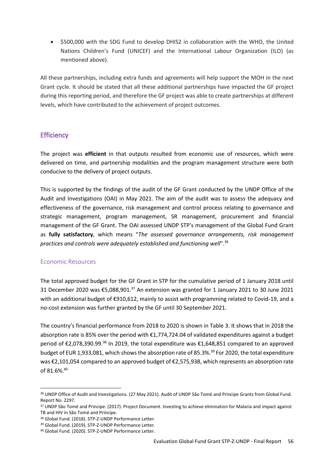• \$500,000 with the SDG Fund to develop DHIS2 in collaboration with the WHO, the United Nations Children's Fund (UNICEF) and the International Labour Organization (ILO) (as mentioned above).

All these partnerships, including extra funds and agreements will help support the MOH in the next Grant cycle. It should be stated that all these additional partnerships have impacted the GF project during this reporting period, and therefore the GF project was able to create partnerships at different levels, which have contributed to the achievement of project outcomes.

# **Efficiency**

The project was **efficient** in that outputs resulted from economic use of resources, which were delivered on time, and partnership modalities and the program management structure were both conducive to the delivery of project outputs.

This is supported by the findings of the audit of the GF Grant conducted by the UNDP Office of the Audit and Investigations (OAI) in May 2021. The aim of the audit was to assess the adequacy and effectiveness of the governance, risk management and control process relating to governance and strategic management, program management, SR management, procurement and financial management of the GF Grant. The OAI assessed UNDP STP's management of the Global Fund Grant as **fully satisfactory**, which means "*The assessed governance arrangements, risk management practices and controls were adequately established and functioning well*".<sup>36</sup>

# Economic Resources

The total approved budget for the GF Grant in STP for the cumulative period of 1 January 2018 until 31 December 2020 was €5,088,901.<sup>37</sup> An extension was granted for 1 January 2021 to 30 June 2021 with an additional budget of €910,612, mainly to assist with programming related to Covid-19, and a no-cost extension was further granted by the GF until 30 September 2021.

The country's financial performance from 2018 to 2020 is shown in Table 3. It shows that in 2018 the absorption rate is 85% over the period with €1,774,724.04 of validated expenditures against a budget period of €2,078,390.99.<sup>38</sup> In 2019, the total expenditure was €1,648,851 compared to an approved budget of EUR 1,933,081, which shows the absorption rate of 85.3%.<sup>39</sup> For 2020, the total expenditure was €2,101,054 compared to an approved budget of €2,575,938, which represents an absorption rate of 81.6%.<sup>40</sup>

<sup>36</sup> UNDP Office of Audit and Investigations. (27 May 2021). Audit of UNDP São Tomé and Principe Grants from Global Fund. Report No. 2297.

<sup>37</sup> UNDP São Tomé and Principe. (2017). Project Document. Investing to achieve elimination for Malaria and impact against TB and HIV in São Tomé and Principe.

<sup>38</sup> Global Fund. (2018). STP-Z-UNDP Performance Letter.

<sup>39</sup> Global Fund. (2019). STP-Z-UNDP Performance Letter.

<sup>40</sup> Global Fund. (2020). STP-Z-UNDP Performance Letter.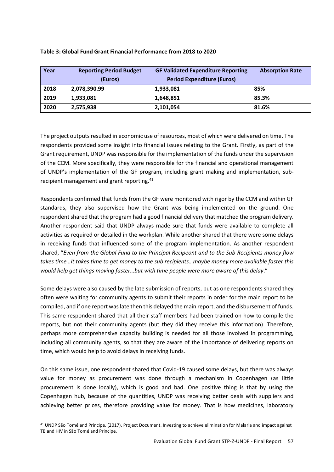| Year | <b>Reporting Period Budget</b><br>(Euros) | <b>GF Validated Expenditure Reporting</b><br><b>Period Expenditure (Euros)</b> | <b>Absorption Rate</b> |
|------|-------------------------------------------|--------------------------------------------------------------------------------|------------------------|
| 2018 | 2,078,390.99                              | 1,933,081                                                                      | 85%                    |
| 2019 | 1,933,081                                 | 1,648,851                                                                      | 85.3%                  |
| 2020 | 2,575,938                                 | 2,101,054                                                                      | 81.6%                  |

#### **Table 3: Global Fund Grant Financial Performance from 2018 to 2020**

The project outputs resulted in economic use of resources, most of which were delivered on time. The respondents provided some insight into financial issues relating to the Grant. Firstly, as part of the Grant requirement, UNDP was responsible for the implementation of the funds under the supervision of the CCM. More specifically, they were responsible for the financial and operational management of UNDP's implementation of the GF program, including grant making and implementation, subrecipient management and grant reporting.<sup>41</sup>

Respondents confirmed that funds from the GF were monitored with rigor by the CCM and within GF standards, they also supervised how the Grant was being implemented on the ground. One respondent shared that the program had a good financial delivery that matched the program delivery. Another respondent said that UNDP always made sure that funds were available to complete all activities as required or detailed in the workplan. While another shared that there were some delays in receiving funds that influenced some of the program implementation. As another respondent shared, "*Even from the Global Fund to the Principal Recipeont and to the Sub-Recipients money flow takes time…it takes time to get money to the sub recipients…maybe money more available faster this would help get things moving faster…but with time people were more aware of this delay*."

Some delays were also caused by the late submission of reports, but as one respondents shared they often were waiting for community agents to submit their reports in order for the main report to be compiled, and if one report was late then this delayed the main report, and the disbursement of funds. This same respondent shared that all their staff members had been trained on how to compile the reports, but not their community agents (but they did they receive this information). Therefore, perhaps more comprehensive capacity building is needed for all those involved in programming, including all community agents, so that they are aware of the importance of delivering reports on time, which would help to avoid delays in receiving funds.

On this same issue, one respondent shared that Covid-19 caused some delays, but there was always value for money as procurement was done through a mechanism in Copenhagen (as little procurement is done locally), which is good and bad. One positive thing is that by using the Copenhagen hub, because of the quantities, UNDP was receiving better deals with suppliers and achieving better prices, therefore providing value for money. That is how medicines, laboratory

<sup>41</sup> UNDP São Tomé and Principe. (2017). Project Document. Investing to achieve elimination for Malaria and impact against TB and HIV in São Tomé and Principe.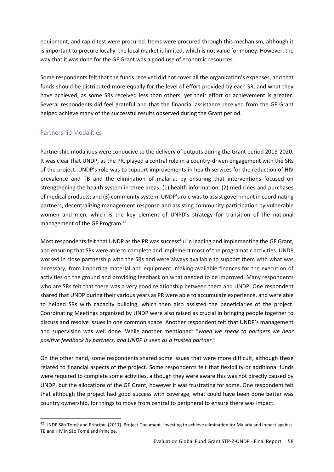equipment, and rapid test were procured. Items were procured through this mechanism, although it is important to procure locally, the local market is limited, which is not value for money. However, the way that it was done for the GF Grant was a good use of economic resources.

Some respondents felt that the funds received did not cover all the organization's expenses, and that funds should be distributed more equally for the level of effort provided by each SR, and what they have achieved, as some SRs received less than others, yet their effort or achievement is greater. Several respondents did feel grateful and that the financial assistance received from the GF Grant helped achieve many of the successful results observed during the Grant period.

## Partnership Modalities

Partnership modalities were conducive to the delivery of outputs during the Grant period 2018-2020. It was clear that UNDP, as the PR, played a central role in a country-driven engagement with the SRs of the project. UNDP's role was to support improvements in health services for the reduction of HIV prevalence and TB and the elimination of malaria, by ensuring that interventions focused on strengthening the health system in three areas: (1) health information; (2) medicines and purchases of medical products; and (3) community system. UNDP's role was to assist government in coordinating partners, decentralizing management response and assisting community participation by vulnerable women and men, which is the key element of UNPD's strategy for transition of the national management of the GF Program.<sup>42</sup>

Most respondents felt that UNDP as the PR was successful in leading and implementing the GF Grant, and ensuring that SRs were able to complete and implement most of the programatic activities. UNDP worked in close partnership with the SRs and were always available to support them with what was necessary, from importing material and equipment, making available finances for the execution of activities on the ground and providing feedback on what needed to be improved. Many respondents who are SRs felt that there was a very good relationship between them and UNDP. One respondent shared that UNDP during their various years as PR were able to accumulate experience, and were able to helped SRs with capacity building, which then also assisted the beneficiaries of the project. Coordinating Meetings organized by UNDP were also raised as crucial in bringing people together to discuss and resolve issues in one common space. Another respondent felt that UNDP's management and supervision was well done. While another mentioned: "*when we speak to partners we hear positive feedback by partners, and UNDP is seen as a trusted partner.*"

On the other hand, some respondents shared some issues that were more difficult, although these related to financial aspects of the project. Some respondents felt that flexibility or additional funds were required to complete some activities, although they were aware this was not directly caused by UNDP, but the allocations of the GF Grant, however it was frustrating for some. One respondent felt that although the project had good success with coverage, what could have been done better was country ownership, for things to move from central to peripheral to ensure there was impact.

<sup>&</sup>lt;sup>42</sup> UNDP São Tomé and Principe. (2017). Project Document. Investing to achieve elimination for Malaria and impact against TB and HIV in São Tomé and Principe.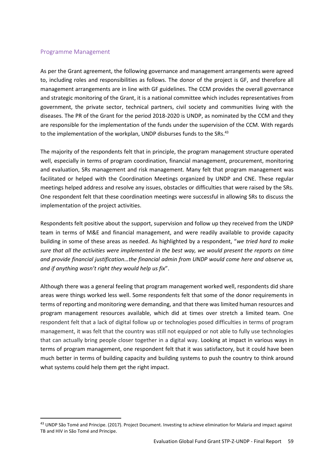#### Programme Management

As per the Grant agreement, the following governance and management arrangements were agreed to, including roles and responsibilities as follows. The donor of the project is GF, and therefore all management arrangements are in line with GF guidelines. The CCM provides the overall governance and strategic monitoring of the Grant, it is a national committee which includes representatives from government, the private sector, technical partners, civil society and communities living with the diseases. The PR of the Grant for the period 2018-2020 is UNDP, as nominated by the CCM and they are responsible for the implementation of the funds under the supervision of the CCM. With regards to the implementation of the workplan, UNDP disburses funds to the SRs.<sup>43</sup>

The majority of the respondents felt that in principle, the program management structure operated well, especially in terms of program coordination, financial management, procurement, monitoring and evaluation, SRs management and risk management. Many felt that program management was facilitated or helped with the Coordination Meetings organized by UNDP and CNE. These regular meetings helped address and resolve any issues, obstacles or difficulties that were raised by the SRs. One respondent felt that these coordination meetings were successful in allowing SRs to discuss the implementation of the project activities.

Respondents felt positive about the support, supervision and follow up they received from the UNDP team in terms of M&E and financial management, and were readily available to provide capacity building in some of these areas as needed. As highlighted by a respondent, "*we tried hard to make sure that all the activities were implemented in the best way, we would present the reports on time and provide financial justification…the financial admin from UNDP would come here and observe us, and if anything wasn't right they would help us fix*".

Although there was a general feeling that program management worked well, respondents did share areas were things worked less well. Some respondents felt that some of the donor requirements in terms of reporting and monitoring were demanding, and that there was limited human resources and program management resources available, which did at times over stretch a limited team. One respondent felt that a lack of digital follow up or technologies posed difficulties in terms of program management, it was felt that the country was still not equipped or not able to fully use technologies that can actually bring people closer together in a digital way. Looking at impact in various ways in terms of program management, one respondent felt that it was satisfactory, but it could have been much better in terms of building capacity and building systems to push the country to think around what systems could help them get the right impact.

<sup>43</sup> UNDP São Tomé and Principe. (2017). Project Document. Investing to achieve elimination for Malaria and impact against TB and HIV in São Tomé and Principe.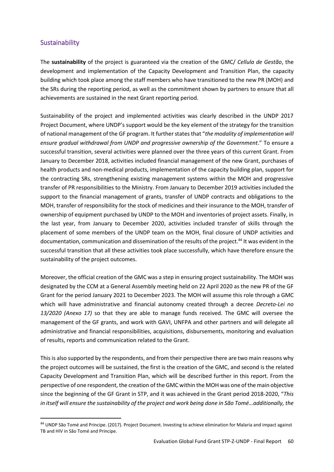## Sustainability

The **sustainability** of the project is guaranteed via the creation of the GMC/ *Cellula de Gestão*, the development and implementation of the Capacity Development and Transition Plan, the capacity building which took place among the staff members who have transitioned to the new PR (MOH) and the SRs during the reporting period, as well as the commitment shown by partners to ensure that all achievements are sustained in the next Grant reporting period.

Sustainability of the project and implemented activities was clearly described in the UNDP 2017 Project Document, where UNDP's support would be the key element of the strategy for the transition of national management of the GF program. It further states that "*the modality of implementation will ensure gradual withdrawal from UNDP and progressive ownership of the Government*." To ensure a successful transition, several activities were planned over the three years of this current Grant. From January to December 2018, activities included financial management of the new Grant, purchases of health products and non-medical products, implementation of the capacity building plan, support for the contracting SRs, strengthening existing management systems within the MOH and progressive transfer of PR responsibilities to the Ministry. From January to December 2019 activities included the support to the financial management of grants, transfer of UNDP contracts and obligations to the MOH, transfer of responsibility for the stock of medicines and their insurance to the MOH, transfer of ownership of equipment purchased by UNDP to the MOH and inventories of project assets. Finally, in the last year, from January to December 2020, activities included transfer of skills through the placement of some members of the UNDP team on the MOH, final closure of UNDP activities and documentation, communication and dissemination of the results of the project.<sup>44</sup> It was evident in the successful transition that all these activities took place successfully, which have therefore ensure the sustainability of the project outcomes.

Moreover, the official creation of the GMC was a step in ensuring project sustainability. The MOH was designated by the CCM at a General Assembly meeting held on 22 April 2020 as the new PR of the GF Grant for the period January 2021 to December 2023. The MOH will assume this role through a GMC which will have administrative and financial autonomy created through a decree *Decreto-Lei no 13/2020 (Anexo 17)* so that they are able to manage funds received. The GMC will oversee the management of the GF grants, and work with GAVI, UNFPA and other partners and will delegate all administrative and financial responsibilities, acquisitions, disbursements, monitoring and evaluation of results, reports and communication related to the Grant.

This is also supported by the respondents, and from their perspective there are two main reasons why the project outcomes will be sustained, the first is the creation of the GMC, and second is the related Capacity Development and Transition Plan, which will be described further in this report. From the perspective of one respondent, the creation of the GMC within the MOH was one of the main objective since the beginning of the GF Grant in STP, and it was achieved in the Grant period 2018-2020, "*This in itself will ensure the sustainability of the project and work being done in São Tomé…additionally, the* 

<sup>44</sup> UNDP São Tomé and Principe. (2017). Project Document. Investing to achieve elimination for Malaria and impact against TB and HIV in São Tomé and Principe.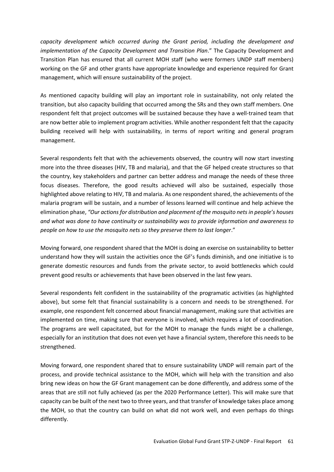*capacity development which occurred during the Grant period, including the development and implementation of the Capacity Development and Transition Plan*." The Capacity Development and Transition Plan has ensured that all current MOH staff (who were formers UNDP staff members) working on the GF and other grants have appropriate knowledge and experience required for Grant management, which will ensure sustainability of the project.

As mentioned capacity building will play an important role in sustainability, not only related the transition, but also capacity building that occurred among the SRs and they own staff members. One respondent felt that project outcomes will be sustained because they have a well-trained team that are now better able to implement program activities. While another respondent felt that the capacity building received will help with sustainability, in terms of report writing and general program management.

Several respondents felt that with the achievements observed, the country will now start investing more into the three diseases (HIV, TB and malaria), and that the GF helped create structures so that the country, key stakeholders and partner can better address and manage the needs of these three focus diseases. Therefore, the good results achieved will also be sustained, especially those highlighted above relating to HIV, TB and malaria. As one respondent shared, the achievements of the malaria program will be sustain, and a number of lessons learned will continue and help achieve the elimination phase, *"Our actions for distribution and placement of the mosquito nets in people's houses and what was done to have continuity or sustainability was to provide information and awareness to people on how to use the mosquito nets so they preserve them to last longer*."

Moving forward, one respondent shared that the MOH is doing an exercise on sustainability to better understand how they will sustain the activities once the GF's funds diminish, and one initiative is to generate domestic resources and funds from the private sector, to avoid bottlenecks which could prevent good results or achievements that have been observed in the last few years.

Several respondents felt confident in the sustainability of the programatic activities (as highlighted above), but some felt that financial sustainability is a concern and needs to be strengthened. For example, one respondent felt concerned about financial management, making sure that activities are implemented on time, making sure that everyone is involved, which requires a lot of coordination. The programs are well capacitated, but for the MOH to manage the funds might be a challenge, especially for an institution that does not even yet have a financial system, therefore this needs to be strengthened.

Moving forward, one respondent shared that to ensure sustainability UNDP will remain part of the process, and provide technical assistance to the MOH, which will help with the transition and also bring new ideas on how the GF Grant management can be done differently, and address some of the areas that are still not fully achieved (as per the 2020 Performance Letter). This will make sure that capacity can be built of the next two to three years, and that transfer of knowledge takes place among the MOH, so that the country can build on what did not work well, and even perhaps do things differently.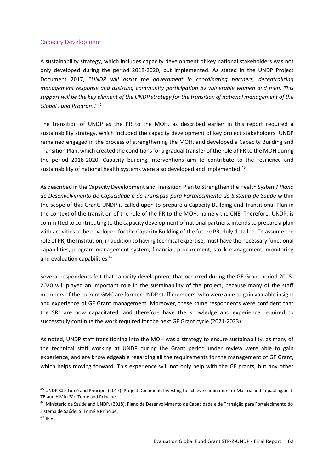#### Capacity Development

A sustainability strategy, which includes capacity development of key national stakeholders was not only developed during the period 2018-2020, but implemented. As stated in the UNDP Project Document 2017, "*UNDP will assist the government in coordinating partners, decentralizing management response and assisting community participation by vulnerable women and men. This support will be the key element of the UNDP strategy for the transition of national management of the Global Fund Program*."<sup>45</sup>

The transition of UNDP as the PR to the MOH, as described earlier in this report required a sustainability strategy, which included the capacity development of key project stakeholders. UNDP remained engaged in the process of strengthening the MOH, and developed a Capacity Building and Transition Plan, which created the conditions for a gradual transfer of the role of PR to the MOH during the period 2018-2020. Capacity building interventions aim to contribute to the resilience and sustainability of national health systems were also developed and implemented.<sup>46</sup>

As described in the Capacity Development and Transition Plan to Strengthen the Health System/ *Plano de Desenvolvimento de Capacidade e de Transição para Fortalecimento do Sistema de Saúde* within the scope of this Grant, UNDP is called upon to prepare a Capacity Building and Transitional Plan in the context of the transition of the role of the PR to the MOH, namely the CNE. Therefore, UNDP, is committed to contributing to the capacity development of national partners, intends to prepare a plan with activities to be developed for the Capacity Building of the future PR, duly detailed. To assume the role of PR, the Institution, in addition to having technical expertise, must have the necessary functional capabilities, program management system, financial, procurement, stock management, monitoring and evaluation capabilities.<sup>47</sup>

Several respondents felt that capacity development that occurred during the GF Grant period 2018- 2020 will played an important role in the sustainability of the project, because many of the staff members of the current GMC are former UNDP staff members, who were able to gain valuable insight and experience of GF Grant management. Moreover, these same respondents were confident that the SRs are now capacitated, and therefore have the knowledge and experience required to successfully continue the work required for the next GF Grant cycle (2021-2023).

As noted, UNDP staff transitioning into the MOH was a strategy to ensure sustainability, as many of the technical staff working at UNDP during the Grant period under review were able to gain experience, and are knowledgeable regarding all the requirements for the management of GF Grant, which helps moving forward. This experience will not only help with the GF grants, but any other

<sup>45</sup> UNDP São Tomé and Principe. (2017). Project Document. Investing to achieve elimination for Malaria and impact against TB and HIV in São Tomé and Principe.

<sup>&</sup>lt;sup>46</sup> Ministério da Saúde and UNDP. (2018). Plano de Desenvolvimento de Capacidade e de Transição para Fortalecimento do Sistema de Saúde. S. Tomé e Príncipe.

 $47$  Ibid.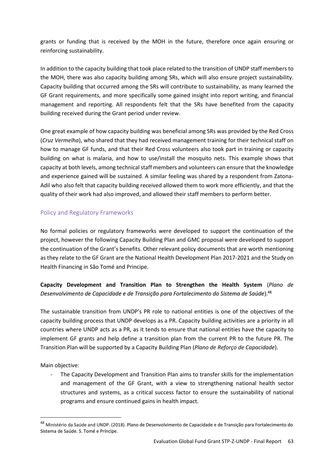grants or funding that is received by the MOH in the future, therefore once again ensuring or reinforcing sustainability.

In addition to the capacity building that took place related to the transition of UNDP staff members to the MOH, there was also capacity building among SRs, which will also ensure project sustainability. Capacity building that occurred among the SRs will contribute to sustainability, as many learned the GF Grant requirements, and more specifically some gained insight into report writing, and financial management and reporting. All respondents felt that the SRs have benefited from the capacity building received during the Grant period under review.

One great example of how capacity building was beneficial among SRs was provided by the Red Cross (*Cruz Vermelha*), who shared that they had received management training for their technical staff on how to manage GF funds, and that their Red Cross volunteers also took part in training or capacity building on what is malaria, and how to use/install the mosquito nets. This example shows that capacity at both levels, among technical staff members and volunteers can ensure that the knowledge and experience gained will be sustained. A similar feeling was shared by a respondent from Zatona-Adil who also felt that capacity building received allowed them to work more efficiently, and that the quality of their work had also improved, and allowed their staff members to perform better.

# Policy and Regulatory Frameworks

No formal policies or regulatory frameworks were developed to support the continuation of the project, however the following Capacity Building Plan and GMC proposal were developed to support the continuation of the Grant's benefits. Other relevant policy documents that are worth mentioning as they relate to the GF Grant are the National Health Development Plan 2017-2021 and the Study on Health Financing in São Tomé and Principe.

**Capacity Development and Transition Plan to Strengthen the Health System** (*Plano de Desenvolvimento de Capacidade e de Transição para Fortalecimento do Sistema de Saúde*).<sup>48</sup>

The sustainable transition from UNDP's PR role to national entities is one of the objectives of the capacity building process that UNDP develops as a PR. Capacity building activities are a priority in all countries where UNDP acts as a PR, as it tends to ensure that national entities have the capacity to implement GF grants and help define a transition plan from the current PR to the future PR. The Transition Plan will be supported by a Capacity Building Plan (*Plano de Reforço de Capacidade*).

Main objective:

The Capacity Development and Transition Plan aims to transfer skills for the implementation and management of the GF Grant, with a view to strengthening national health sector structures and systems, as a critical success factor to ensure the sustainability of national programs and ensure continued gains in health impact.

<sup>48</sup> Ministério da Saúde and UNDP. (2018). Plano de Desenvolvimento de Capacidade e de Transição para Fortalecimento do Sistema de Saúde. S. Tomé e Príncipe.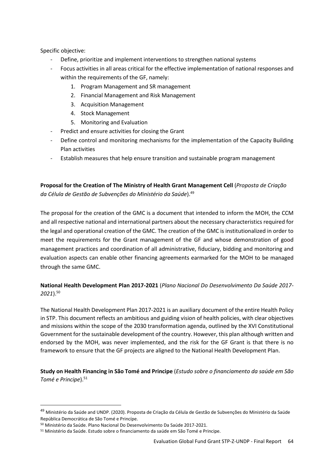Specific objective:

- Define, prioritize and implement interventions to strengthen national systems
- Focus activities in all areas critical for the effective implementation of national responses and within the requirements of the GF, namely:
	- 1. Program Management and SR management
	- 2. Financial Management and Risk Management
	- 3. Acquisition Management
	- 4. Stock Management
	- 5. Monitoring and Evaluation
- Predict and ensure activities for closing the Grant
- Define control and monitoring mechanisms for the implementation of the Capacity Building Plan activities
- Establish measures that help ensure transition and sustainable program management

**Proposal for the Creation of The Ministry of Health Grant Management Cell** (*Proposta de Criação da Célula de Gestão de Subvenções do Ministério da Saúde*). 49

The proposal for the creation of the GMC is a document that intended to inform the MOH, the CCM and all respective national and international partners about the necessary characteristics required for the legal and operational creation of the GMC. The creation of the GMC is institutionalized in order to meet the requirements for the Grant management of the GF and whose demonstration of good management practices and coordination of all administrative, fiduciary, bidding and monitoring and evaluation aspects can enable other financing agreements earmarked for the MOH to be managed through the same GMC.

# **National Health Development Plan 2017-2021** (*Plano Nacional Do Desenvolvimento Da Saúde 2017- 2021*). 50

The National Health Development Plan 2017-2021 is an auxiliary document of the entire Health Policy in STP. This document reflects an ambitious and guiding vision of health policies, with clear objectives and missions within the scope of the 2030 transformation agenda, outlined by the XVI Constitutional Government for the sustainable development of the country. However, this plan although written and endorsed by the MOH, was never implemented, and the risk for the GF Grant is that there is no framework to ensure that the GF projects are aligned to the National Health Development Plan.

**Study on Health Financing in São Tomé and Principe** (*Estudo sobre o financiamento da saúde em São Tomé e Principe*).<sup>51</sup>

<sup>&</sup>lt;sup>49</sup> Ministério da Saúde and UNDP. (2020). Proposta de Criação da Célula de Gestão de Subvenções do Ministério da Saúde República Democrática de São Tomé e Princípe.

<sup>50</sup> Ministério da Saúde. Plano Nacional Do Desenvolvimento Da Saúde 2017-2021.

<sup>51</sup> Ministério da Saúde. Estudo sobre o financiamento da saúde em São Tomé e Principe.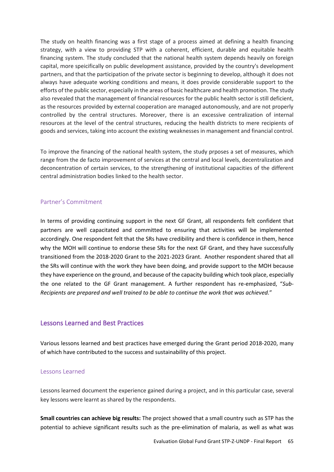The study on health financing was a first stage of a process aimed at defining a health financing strategy, with a view to providing STP with a coherent, efficient, durable and equitable health financing system. The study concluded that the national health system depends heavily on foreign capital, more speicifically on public development assistance, provided by the country's development partners, and that the participation of the private sector is beginning to develop, although it does not always have adequate working conditions and means, it does provide considerable support to the efforts of the public sector, especially in the areas of basic healthcare and health promotion. The study also revealed that the management of financial resources for the public health sector is still deficient, as the resources provided by external cooperation are managed autonomously, and are not properly controlled by the central structures. Moreover, there is an excessive centralization of internal resources at the level of the central structures, reducing the health districts to mere recipients of goods and services, taking into account the existing weaknesses in management and financial control.

To improve the financing of the national health system, the study prposes a set of measures, which range from the de facto improvement of services at the central and local levels, decentralization and deconcentration of certain services, to the strengthening of institutional capacities of the different central administration bodies linked to the health sector.

## Partner's Commitment

In terms of providing continuing support in the next GF Grant, all respondents felt confident that partners are well capacitated and committed to ensuring that activities will be implemented accordingly. One respondent felt that the SRs have credibility and there is confidence in them, hence why the MOH will continue to endorse these SRs for the next GF Grant, and they have successfully transitioned from the 2018-2020 Grant to the 2021-2023 Grant. Another respondent shared that all the SRs will continue with the work they have been doing, and provide support to the MOH because they have experience on the ground, and because of the capacity building which took place, especially the one related to the GF Grant management. A further respondent has re-emphasized, "*Sub-Recipients are prepared and well trained to be able to continue the work that was achieved.*"

## Lessons Learned and Best Practices

Various lessons learned and best practices have emerged during the Grant period 2018-2020, many of which have contributed to the success and sustainability of this project.

#### Lessons Learned

Lessons learned document the experience gained during a project, and in this particular case, several key lessons were learnt as shared by the respondents.

**Small countries can achieve big results:** The project showed that a small country such as STP has the potential to achieve significant results such as the pre-elimination of malaria, as well as what was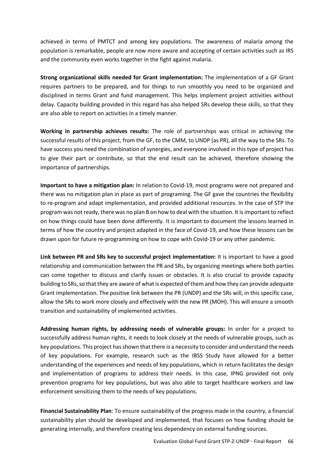achieved in terms of PMTCT and among key populations. The awareness of malaria among the population is remarkable, people are now more aware and accepting of certain activities such as IRS and the community even works together in the fight against malaria.

**Strong organizational skills needed for Grant implementation:** The implementation of a GF Grant requires partners to be prepared, and for things to run smoothly you need to be organized and disciplined in terms Grant and fund management. This helps implement project activities without delay. Capacity building provided in this regard has also helped SRs develop these skills, so that they are also able to report on activities in a timely manner.

**Working in partnership achieves results:** The role of partnerships was critical in achieving the successful results of this project, from the GF, to the CMM, to UNDP (as PR), all the way to the SRs. To have success you need the combination of synergies, and everyone involved in this type of project has to give their part or contribute, so that the end result can be achieved, therefore showing the importance of partnerships.

**Important to have a mitigation plan:** In relation to Covid-19, most programs were not prepared and there was no mitigation plan in place as part of programing. The GF gave the countries the flexibility to re-program and adapt implementation, and provided additional resources. In the case of STP the program was not ready, there was no plan B on how to deal with the situation. It is important to reflect on how things could have been done differently. It is important to document the lessons learned in terms of how the country and project adapted in the face of Covid-19, and how these lessons can be drawn upon for future re-programming on how to cope with Covid-19 or any other pandemic.

**Link between PR and SRs key to successful project implementation:** It is important to have a good relationship and communication between the PR and SRs, by organizing meetings where both parties can come together to discuss and clarify issues or obstacles. It is also crucial to provide capacity building to SRs, so that they are aware of what is expected of them and how they can provide adequate Grant implementation. The positive link between the PR (UNDP) and the SRs will, in this specific case, allow the SRs to work more closely and effectively with the new PR (MOH). This will ensure a smooth transition and sustainability of implemented activities.

**Addressing human rights, by addressing needs of vulnerable groups:** In order for a project to successfully address human rights, it needs to look closely at the needs of vulnerable groups, such as key populations. This project has shown that there is a necessity to consider and understand the needs of key populations. For example, research such as the IBSS Study have allowed for a better understanding of the experiences and needs of key populations, which in return facilitates the design and implementation of programs to address their needs. In this case, IPNG provided not only prevention programs for key populations, but was also able to target healthcare workers and law enforcement sensitizing them to the needs of key populations.

**Financial Sustainability Plan**: To ensure sustainability of the progress made in the country, a financial sustainability plan should be developed and implemented, that focuses on how funding should be generating internally, and therefore creating less dependency on external funding sources.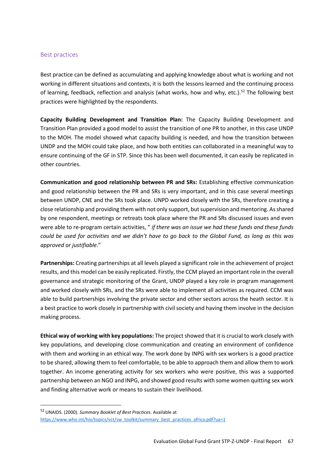#### Best practices

Best practice can be defined as accumulating and applying knowledge about what is working and not working in different situations and contexts, it is both the lessons learned and the continuing process of learning, feedback, reflection and analysis (what works, how and why, etc.).<sup>52</sup> The following best practices were highlighted by the respondents.

**Capacity Building Development and Transition Plan:** The Capacity Building Development and Transition Plan provided a good model to assist the transition of one PR to another, in this case UNDP to the MOH. The model showed what capacity building is needed, and how the transition between UNDP and the MOH could take place, and how both entities can collaborated in a meaningful way to ensure continuing of the GF in STP. Since this has been well documented, it can easily be replicated in other countries.

**Communication and good relationship between PR and SRs:** Establishing effective communication and good relationship between the PR and SRs is very important, and in this case several meetings between UNDP, CNE and the SRs took place. UNPD worked closely with the SRs, therefore creating a close relationship and providing them with not only support, but supervision and mentoring. As shared by one respondent, meetings or retreats took place where the PR and SRs discussed issues and even were able to re-program certain activities, " *if there was an issue we had these funds and these funds could be used for activities and we didn't have to go back to the Global Fund, as long as this was approved or justifiable*."

**Partnerships:** Creating partnerships at all levels played a significant role in the achievement of project results, and this model can be easily replicated. Firstly, the CCM played an important role in the overall governance and strategic monitoring of the Grant, UNDP played a key role in program management and worked closely with SRs, and the SRs were able to implement all activities as required. CCM was able to build partnerships involving the private sector and other sectors across the heath sector. It is a best practice to work closely in partnership with civil society and having them involve in the decision making process.

**Ethical way of working with key populations:** The project showed that it is crucial to work closely with key populations, and developing close communication and creating an environment of confidence with them and working in an ethical way. The work done by INPG with sex workers is a good practice to be shared, allowing them to feel comfortable, to be able to approach them and allow them to work together. An income generating activity for sex workers who were positive, this was a supported partnership between an NGO and INPG, and showed good results with some women quitting sex work and finding alternative work or means to sustain their livelihood.

<sup>52</sup> UNAIDS. (2000). *Summary Booklet of Best Practices*. Available at [https://www.who.int/hiv/topics/vct/sw\\_toolkit/summary\\_best\\_practices\\_africa.pdf?ua=1](https://www.who.int/hiv/topics/vct/sw_toolkit/summary_best_practices_africa.pdf?ua=1)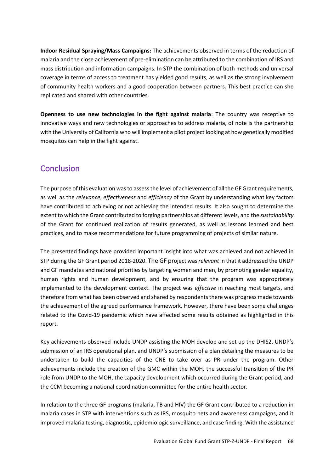**Indoor Residual Spraying/Mass Campaigns:** The achievements observed in terms of the reduction of malaria and the close achievement of pre-elimination can be attributed to the combination of IRS and mass distribution and information campaigns. In STP the combination of both methods and universal coverage in terms of access to treatment has yielded good results, as well as the strong involvement of community health workers and a good cooperation between partners. This best practice can she replicated and shared with other countries.

**Openness to use new technologies in the fight against malaria**: The country was receptive to innovative ways and new technologies or approaches to address malaria, of note is the partnership with the University of California who will implement a pilot project looking at how genetically modified mosquitos can help in the fight against.

# **Conclusion**

The purpose of this evaluation was to assess the level of achievement of all the GF Grant requirements, as well as the *relevance*, *effectiveness* and *efficiency* of the Grant by understanding what key factors have contributed to achieving or not achieving the intended results. It also sought to determine the extent to which the Grant contributed to forging partnerships at different levels, and the *sustainability* of the Grant for continued realization of results generated, as well as lessons learned and best practices, and to make recommendations for future programming of projects of similar nature.

The presented findings have provided important insight into what was achieved and not achieved in STP during the GF Grant period 2018-2020. The GF project was *relevant* in that it addressed the UNDP and GF mandates and national priorities by targeting women and men, by promoting gender equality, human rights and human development, and by ensuring that the program was appropriately implemented to the development context. The project was *effective* in reaching most targets, and therefore from what has been observed and shared by respondents there was progress made towards the achievement of the agreed performance framework. However, there have been some challenges related to the Covid-19 pandemic which have affected some results obtained as highlighted in this report.

Key achievements observed include UNDP assisting the MOH develop and set up the DHIS2, UNDP's submission of an IRS operational plan, and UNDP's submission of a plan detailing the measures to be undertaken to build the capacities of the CNE to take over as PR under the program. Other achievements include the creation of the GMC within the MOH, the successful transition of the PR role from UNDP to the MOH, the capacity development which occurred during the Grant period, and the CCM becoming a national coordination committee for the entire health sector.

In relation to the three GF programs (malaria, TB and HIV) the GF Grant contributed to a reduction in malaria cases in STP with interventions such as IRS, mosquito nets and awareness campaigns, and it improved malaria testing, diagnostic, epidemiologic surveillance, and case finding. With the assistance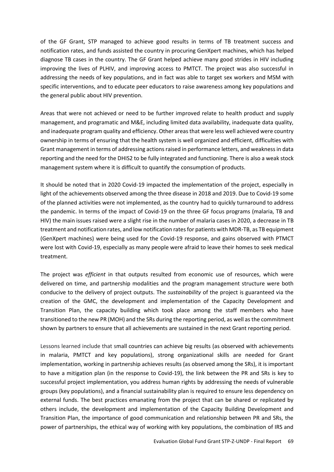of the GF Grant, STP managed to achieve good results in terms of TB treatment success and notification rates, and funds assisted the country in procuring GenXpert machines, which has helped diagnose TB cases in the country. The GF Grant helped achieve many good strides in HIV including improving the lives of PLHIV, and improving access to PMTCT. The project was also successful in addressing the needs of key populations, and in fact was able to target sex workers and MSM with specific interventions, and to educate peer educators to raise awareness among key populations and the general public about HIV prevention.

Areas that were not achieved or need to be further improved relate to health product and supply management, and programatic and M&E, including limited data availability, inadequate data quality, and inadequate program quality and efficiency. Other areas that were less well achieved were country ownership in terms of ensuring that the health system is well organized and efficient, difficulties with Grant management in terms of addressing actions raised in performance letters, and weakness in data reporting and the need for the DHIS2 to be fully integrated and functioning. There is also a weak stock management system where it is difficult to quantify the consumption of products.

It should be noted that in 2020 Covid-19 impacted the implementation of the project, especially in light of the achievements observed among the three disease in 2018 and 2019. Due to Covid-19 some of the planned activities were not implemented, as the country had to quickly turnaround to address the pandemic. In terms of the impact of Covid-19 on the three GF focus programs (malaria, TB and HIV) the main issues raised were a slight rise in the number of malaria cases in 2020, a decrease in TB treatment and notification rates, and low notification rates for patients with MDR-TB, as TB equipment (GenXpert machines) were being used for the Covid-19 response, and gains observed with PTMCT were lost with Covid-19, especially as many people were afraid to leave their homes to seek medical treatment.

The project was *efficient* in that outputs resulted from economic use of resources, which were delivered on time, and partnership modalities and the program management structure were both conducive to the delivery of project outputs. The *sustainability* of the project is guaranteed via the creation of the GMC, the development and implementation of the Capacity Development and Transition Plan, the capacity building which took place among the staff members who have transitioned to the new PR (MOH) and the SRs during the reporting period, as well as the commitment shown by partners to ensure that all achievements are sustained in the next Grant reporting period.

Lessons learned include that small countries can achieve big results (as observed with achievements in malaria, PMTCT and key populations), strong organizational skills are needed for Grant implementation, working in partnership achieves results (as observed among the SRs), it is important to have a mitigation plan (in the response to Covid-19), the link between the PR and SRs is key to successful project implementation, you address human rights by addressing the needs of vulnerable groups (key populations), and a financial sustainability plan is required to ensure less dependency on external funds. The best practices emanating from the project that can be shared or replicated by others include, the development and implementation of the Capacity Building Development and Transition Plan, the importance of good communication and relationship between PR and SRs, the power of partnerships, the ethical way of working with key populations, the combination of IRS and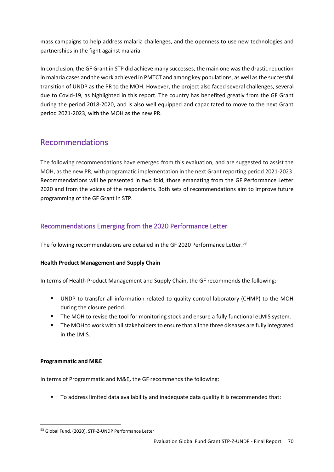mass campaigns to help address malaria challenges, and the openness to use new technologies and partnerships in the fight against malaria.

In conclusion, the GF Grant in STP did achieve many successes, the main one was the drastic reduction in malaria cases and the work achieved in PMTCT and among key populations, as well as the successful transition of UNDP as the PR to the MOH. However, the project also faced several challenges, several due to Covid-19, as highlighted in this report. The country has benefited greatly from the GF Grant during the period 2018-2020, and is also well equipped and capacitated to move to the next Grant period 2021-2023, with the MOH as the new PR.

# Recommendations

The following recommendations have emerged from this evaluation, and are suggested to assist the MOH, as the new PR, with programatic implementation in the next Grant reporting period 2021-2023. Recommendations will be presented in two fold, those emanating from the GF Performance Letter 2020 and from the voices of the respondents. Both sets of recommendations aim to improve future programming of the GF Grant in STP.

# Recommendations Emerging from the 2020 Performance Letter

The following recommendations are detailed in the GF 2020 Performance Letter.<sup>53</sup>

# **Health Product Management and Supply Chain**

In terms of Health Product Management and Supply Chain, the GF recommends the following:

- UNDP to transfer all information related to quality control laboratory (CHMP) to the MOH during the closure period.
- **•** The MOH to revise the tool for monitoring stock and ensure a fully functional eLMIS system.
- The MOH to work with all stakeholders to ensure that all the three diseases are fully integrated in the LMIS.

## **Programmatic and M&E**

In terms of Programmatic and M&E**,** the GF recommends the following:

■ To address limited data availability and inadequate data quality it is recommended that:

<sup>53</sup> Global Fund. (2020). STP-Z-UNDP Performance Letter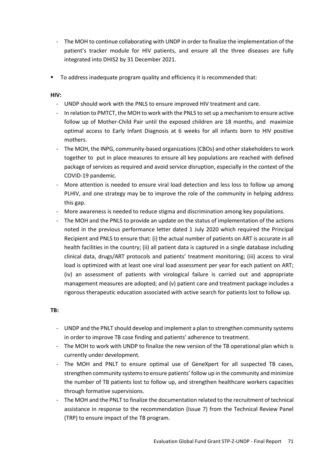- The MOH to continue collaborating with UNDP in order to finalize the implementation of the patient's tracker module for HIV patients, and ensure all the three diseases are fully integrated into DHIS2 by 31 December 2021.
- To address inadequate program quality and efficiency it is recommended that:

#### **HIV:**

- UNDP should work with the PNLS to ensure improved HIV treatment and care.
- In relation to PMTCT, the MOH to work with the PNLS to set up a mechanism to ensure active follow up of Mother-Child Pair until the exposed children are 18 months, and maximize optimal access to Early Infant Diagnosis at 6 weeks for all infants born to HIV positive mothers.
- The MOH, the INPG, community-based organizations (CBOs) and other stakeholders to work together to put in place measures to ensure all key populations are reached with defined package of services as required and avoid service disruption, especially in the context of the COVID-19 pandemic.
- More attention is needed to ensure viral load detection and less loss to follow up among PLHIV, and one strategy may be to improve the role of the community in helping address this gap.
- More awareness is needed to reduce stigma and discrimination among key populations.
- The MOH and the PNLS to provide an update on the status of implementation of the actions noted in the previous performance letter dated 1 July 2020 which required the Principal Recipient and PNLS to ensure that: (i) the actual number of patients on ART is accurate in all health facilities in the country; (ii) all patient data is captured in a single database including clinical data, drugs/ART protocols and patients' treatment monitoring; (iii) access to viral load is optimized with at least one viral load assessment per year for each patient on ART; (iv) an assessment of patients with virological failure is carried out and appropriate management measures are adopted; and (v) patient care and treatment package includes a rigorous therapeutic education associated with active search for patients lost to follow up.

## **TB:**

- UNDP and the PNLT should develop and implement a plan to strengthen community systems in order to improve TB case finding and patients' adherence to treatment.
- The MOH to work with UNDP to finalize the new version of the TB operational plan which is currently under development.
- The MOH and PNLT to ensure optimal use of GeneXpert for all suspected TB cases, strengthen community systems to ensure patients' follow up in the community and minimize the number of TB patients lost to follow up, and strengthen healthcare workers capacities through formative supervisions.
- The MOH and the PNLT to finalize the documentation related to the recruitment of technical assistance in response to the recommendation (Issue 7) from the Technical Review Panel (TRP) to ensure impact of the TB program.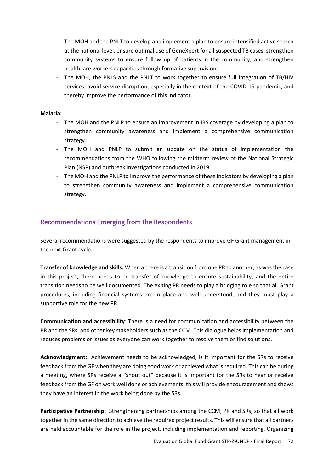- The MOH and the PNLT to develop and implement a plan to ensure intensified active search at the national level, ensure optimal use of GeneXpert for all suspected TB cases, strengthen community systems to ensure follow up of patients in the community; and strengthen healthcare workers capacities through formative supervisions.
- The MOH, the PNLS and the PNLT to work together to ensure full integration of TB/HIV services, avoid service disruption, especially in the context of the COVID-19 pandemic, and thereby improve the performance of this indicator.

#### **Malaria:**

- The MOH and the PNLP to ensure an improvement in IRS coverage by developing a plan to strengthen community awareness and implement a comprehensive communication strategy.
- The MOH and PNLP to submit an update on the status of implementation the recommendations from the WHO following the midterm review of the National Strategic Plan (NSP) and outbreak investigations conducted in 2019.
- The MOH and the PNLP to improve the performance of these indicators by developing a plan to strengthen community awareness and implement a comprehensive communication strategy.

#### Recommendations Emerging from the Respondents

Several recommendations were suggested by the respondents to improve GF Grant management in the next Grant cycle.

**Transfer of knowledge and skills:** When a there is a transition from one PR to another, as was the case in this project, there needs to be transfer of knowledge to ensure sustainability, and the entire transition needs to be well documented. The exiting PR needs to play a bridging role so that all Grant procedures, including financial systems are in place and well understood, and they must play a supportive role for the new PR.

**Communication and accessibility**: There is a need for communication and accessibility between the PR and the SRs, and other key stakeholders such as the CCM. This dialogue helps implementation and reduces problems or issues as everyone can work together to resolve them or find solutions.

**Acknowledgment:** Achievement needs to be acknowledged, is it important for the SRs to receive feedback from the GF when they are doing good work or achieved what is required. This can be during a meeting, where SRs receive a "shout out" because it is important for the SRs to hear or receive feedback from the GF on work well done or achievements, this will provide encouragement and shows they have an interest in the work being done by the SRs.

**Participative Partnership:** Strengthening partnerships among the CCM, PR and SRs, so that all work together in the same direction to achieve the required project results. This will ensure that all partners are held accountable for the role in the project, including implementation and reporting. Organizing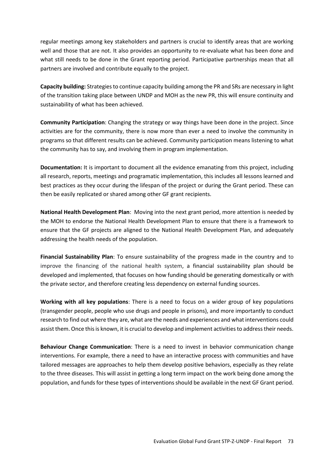regular meetings among key stakeholders and partners is crucial to identify areas that are working well and those that are not. It also provides an opportunity to re-evaluate what has been done and what still needs to be done in the Grant reporting period. Participative partnerships mean that all partners are involved and contribute equally to the project.

**Capacity building:** Strategies to continue capacity building among the PR and SRs are necessary in light of the transition taking place between UNDP and MOH as the new PR, this will ensure continuity and sustainability of what has been achieved.

**Community Participation**: Changing the strategy or way things have been done in the project. Since activities are for the community, there is now more than ever a need to involve the community in programs so that different results can be achieved. Community participation means listening to what the community has to say, and involving them in program implementation.

**Documentation:** It is important to document all the evidence emanating from this project, including all research, reports, meetings and programatic implementation, this includes all lessons learned and best practices as they occur during the lifespan of the project or during the Grant period. These can then be easily replicated or shared among other GF grant recipients.

**National Health Development Plan**: Moving into the next grant period, more attention is needed by the MOH to endorse the National Health Development Plan to ensure that there is a framework to ensure that the GF projects are aligned to the National Health Development Plan, and adequately addressing the health needs of the population.

**Financial Sustainability Plan**: To ensure sustainability of the progress made in the country and to improve the financing of the national health system, a financial sustainability plan should be developed and implemented, that focuses on how funding should be generating domestically or with the private sector, and therefore creating less dependency on external funding sources.

**Working with all key populations**: There is a need to focus on a wider group of key populations (transgender people, people who use drugs and people in prisons), and more importantly to conduct research to find out where they are, what are the needs and experiences and what interventions could assist them. Once this is known, it is crucial to develop and implement activities to address their needs.

**Behaviour Change Communication**: There is a need to invest in behavior communication change interventions. For example, there a need to have an interactive process with communities and have tailored messages are approaches to help them develop positive behaviors, especially as they relate to the three diseases. This will assist in getting a long term impact on the work being done among the population, and funds for these types of interventions should be available in the next GF Grant period.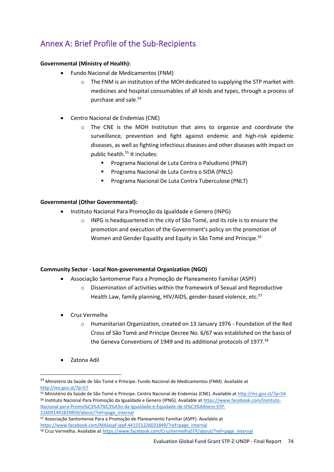# Annex A: Brief Profile of the Sub-Recipients

#### **Governmental (Ministry of Health):**

- Fundo Nacional de Medicamentos (FNM)
	- $\circ$  The FNM is an institution of the MOH dedicated to supplying the STP market with medicines and hospital consumables of all kinds and types, through a process of purchase and sale.<sup>54</sup>
- Centro Nacional de Endemias (CNE)
	- $\circ$  The CNE is the MOH Institution that aims to organize and coordinate the surveillance, prevention and fight against endemic and high-risk epidemic diseases, as well as fighting infectious diseases and other diseases with impact on public health.<sup>55</sup> It includes:
		- Programa Nacional de Luta Contra o Paludismo (PNLP)
		- Programa Nacional de Luta Contra o SIDA (PNLS)
		- Programa Nacional De Luta Contra Tuberculose (PNLT)

#### **Governmental (Other Governmental):**

- Instituto Nacional Para Promoção da Igualdade e Genero (INPG)
	- o INPG is headquartered in the city of São Tomé, and its role is to ensure the promotion and execution of the Government's policy on the promotion of Women and Gender Equality and Equity in São Tomé and Príncipe.<sup>56</sup>

#### **Community Sector - Local Non-governmental Organization (NGO)**

- Associação Santomense Para a Promoção de Planeamento Familiar (ASPF)
	- $\circ$  Dissemination of activities within the framework of Sexual and Reproductive Health Law, family planning, HIV/AIDS, gender-based violence, etc.<sup>57</sup>
- Cruz Vermelha
	- o Humanitarian Organization, created on 13 January 1976 Foundation of the Red Cross of São Tomé and Príncipe Decree No. 6/67 was established on the basis of the Geneva Conventions of 1949 and its additional protocols of 1977.<sup>58</sup>
- Zatona Adil

<sup>54</sup> Ministério da Saúde de São Tomé e Príncipe. Fundo Nacional de Medicamentos (FNM). Available at <http://ms.gov.st/?p=57>

<sup>55</sup> Ministério da Saúde de São Tomé e Príncipe. Centro Nacional de Endemias (CNE). Available at <http://ms.gov.st/?p=54> <sup>56</sup> Instituto Nacional Para Promoção da Igualdade e Genero (IPNG). Available a[t https://www.facebook.com/Instituto-](https://www.facebook.com/Instituto-Nacional-para-Promo%C3%A7%C3%A3o-da-Igualdade-e-Equidade-de-G%C3%A9nero-STP-216091491829859/about/?ref=page_internal)[Nacional-para-Promo%C3%A7%C3%A3o-da-Igualdade-e-Equidade-de-G%C3%A9nero-STP-](https://www.facebook.com/Instituto-Nacional-para-Promo%C3%A7%C3%A3o-da-Igualdade-e-Equidade-de-G%C3%A9nero-STP-216091491829859/about/?ref=page_internal)[216091491829859/about/?ref=page\\_internal](https://www.facebook.com/Instituto-Nacional-para-Promo%C3%A7%C3%A3o-da-Igualdade-e-Equidade-de-G%C3%A9nero-STP-216091491829859/about/?ref=page_internal)

<sup>57</sup> Associação Santomense Para a Promoção de Planeamento Familiar (ASPF). Available at [https://www.facebook.com/MAJaspf-ippf-441551226031849/?ref=page\\_internal](https://www.facebook.com/MAJaspf-ippf-441551226031849/?ref=page_internal)

<sup>58</sup> Cruz Vermelha. Available at [https://www.facebook.com/CruzVermelhaSTP/about/?ref=page\\_internal](https://www.facebook.com/CruzVermelhaSTP/about/?ref=page_internal)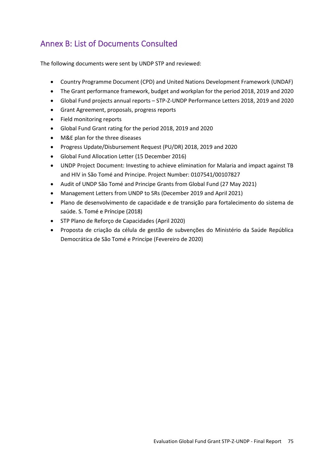# Annex B: List of Documents Consulted

The following documents were sent by UNDP STP and reviewed:

- Country Programme Document (CPD) and United Nations Development Framework (UNDAF)
- The Grant performance framework, budget and workplan for the period 2018, 2019 and 2020
- Global Fund projects annual reports STP-Z-UNDP Performance Letters 2018, 2019 and 2020
- Grant Agreement, proposals, progress reports
- Field monitoring reports
- Global Fund Grant rating for the period 2018, 2019 and 2020
- M&E plan for the three diseases
- Progress Update/Disbursement Request (PU/DR) 2018, 2019 and 2020
- Global Fund Allocation Letter (15 December 2016)
- UNDP Project Document: Investing to achieve elimination for Malaria and impact against TB and HIV in São Tomé and Principe. Project Number: 0107541/00107827
- Audit of UNDP São Tomé and Principe Grants from Global Fund (27 May 2021)
- Management Letters from UNDP to SRs (December 2019 and April 2021)
- Plano de desenvolvimento de capacidade e de transição para fortalecimento do sistema de saúde. S. Tomé e Príncipe (2018)
- STP Plano de Reforço de Capacidades (April 2020)
- Proposta de criação da célula de gestão de subvenções do Ministério da Saúde República Democrática de São Tomé e Princípe (Fevereiro de 2020)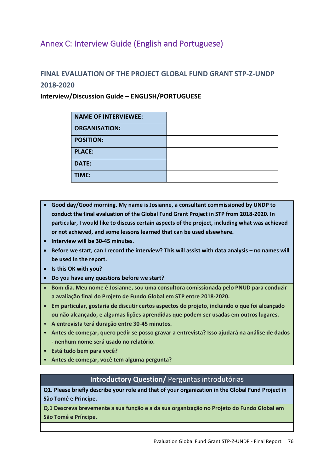## Annex C: Interview Guide (English and Portuguese)

### **FINAL EVALUATION OF THE PROJECT GLOBAL FUND GRANT STP-Z-UNDP 2018-2020**

#### **Interview/Discussion Guide – ENGLISH/PORTUGUESE**

| <b>NAME OF INTERVIEWEE:</b> |  |
|-----------------------------|--|
| <b>ORGANISATION:</b>        |  |
| <b>POSITION:</b>            |  |
| <b>PLACE:</b>               |  |
| <b>DATE:</b>                |  |
| TIME:                       |  |

- **Good day/Good morning. My name is Josianne, a consultant commissioned by UNDP to conduct the final evaluation of the Global Fund Grant Project in STP from 2018-2020. In particular, I would like to discuss certain aspects of the project, including what was achieved or not achieved, and some lessons learned that can be used elsewhere.**
- **Interview will be 30-45 minutes.**
- Before we start, can I record the interview? This will assist with data analysis no names will **be used in the report.**
- **Is this OK with you?**
- **Do you have any questions before we start?**
- **Bom dia. Meu nome é Josianne, sou uma consultora comissionada pelo PNUD para conduzir a avaliação final do Projeto de Fundo Global em STP entre 2018-2020.**
- **Em particular, gostaria de discutir certos aspectos do projeto, incluindo o que foi alcançado ou não alcançado, e algumas lições aprendidas que podem ser usadas em outros lugares.**
- **A entrevista terá duração entre 30-45 minutos.**
- **Antes de começar, quero pedir se posso gravar a entrevista? Isso ajudará na análise de dados - nenhum nome será usado no relatório.**
- **Está tudo bem para você?**
- **Antes de começar, você tem alguma pergunta?**

#### **Introductory Question/** Perguntas introdutórias

**Q1. Please briefly describe your role and that of your organization in the Global Fund Project in São Tomé e Principe.**

**Q.1 Descreva brevemente a sua função e a da sua organização no Projeto do Fundo Global em São Tomé e Príncipe.**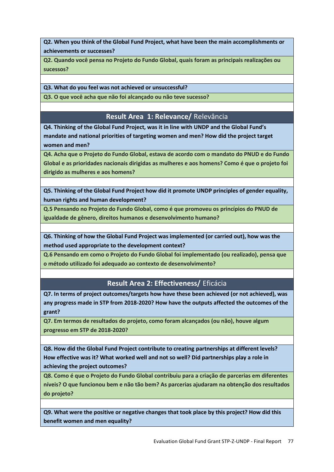**Q2. When you think of the Global Fund Project, what have been the main accomplishments or achievements or successes?**

**Q2. Quando você pensa no Projeto do Fundo Global, quais foram as principais realizações ou sucessos?**

**Q3. What do you feel was not achieved or unsuccessful?**

**Q3. O que você acha que não foi alcançado ou não teve sucesso?**

#### **Result Area 1: Relevance/** Relevância

**Q4. Thinking of the Global Fund Project, was it in line with UNDP and the Global Fund's mandate and national priorities of targeting women and men? How did the project target women and men?**

**Q4. Acha que o Projeto do Fundo Global, estava de acordo com o mandato do PNUD e do Fundo Global e as prioridades nacionais dirigidas as mulheres e aos homens? Como é que o projeto foi dirigido as mulheres e aos homens?**

**Q5. Thinking of the Global Fund Project how did it promote UNDP principles of gender equality, human rights and human development?** 

**Q.5 Pensando no Projeto do Fundo Global, como é que promoveu os princípios do PNUD de igualdade de gênero, direitos humanos e desenvolvimento humano?**

**Q6. Thinking of how the Global Fund Project was implemented (or carried out), how was the method used appropriate to the development context?**

**Q.6 Pensando em como o Projeto do Fundo Global foi implementado (ou realizado), pensa que o método utilizado foi adequado ao contexto de desenvolvimento?**

#### **Result Area 2: Effectiveness/** Eficácia

**Q7. In terms of project outcomes/targets how have these been achieved (or not achieved), was any progress made in STP from 2018-2020? How have the outputs affected the outcomes of the grant?**

**Q7. Em termos de resultados do projeto, como foram alcançados (ou não), houve algum progresso em STP de 2018-2020?** 

**Q8. How did the Global Fund Project contribute to creating partnerships at different levels? How effective was it? What worked well and not so well? Did partnerships play a role in achieving the project outcomes?**

**Q8. Como é que o Projeto do Fundo Global contribuiu para a criação de parcerias em diferentes níveis? O que funcionou bem e não tão bem? As parcerias ajudaram na obtenção dos resultados do projeto?**

**Q9. What were the positive or negative changes that took place by this project? How did this benefit women and men equality?**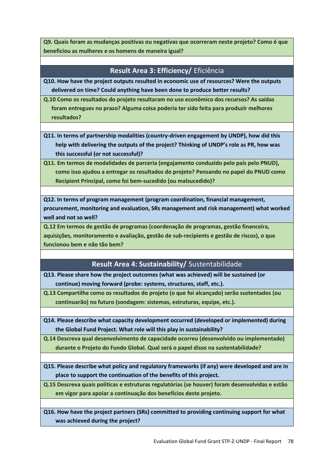**Q9. Quais foram as mudanças positivas ou negativas que ocorreram neste projeto? Como é que beneficiou as mulheres e os homens de maneira igual?**

#### **Result Area 3: Efficiency/** Eficiência

**Q10. How have the project outputs resulted in economic use of resources? Were the outputs delivered on time? Could anything have been done to produce better results?**

**Q.10 Como os resultados do projeto resultaram no uso econômico dos recursos? As saídas foram entregues no prazo? Alguma coisa poderia ter sido feita para produzir melhores resultados?**

**Q11. In terms of partnership modalities (country-driven engagement by UNDP), how did this help with delivering the outputs of the project? Thinking of UNDP's role as PR, how was this successful (or not successful)?**

**Q11. Em termos de modalidades de parceria (engajamento conduzido pelo país pelo PNUD), como isso ajudou a entregar os resultados do projeto? Pensando no papel do PNUD como Recipient Principal, como foi bem-sucedido (ou malsucedido)?**

**Q12. In terms of program management (program coordination, financial management, procurement, monitoring and evaluation, SRs management and risk management) what worked well and not so well?** 

**Q.12 Em termos de gestão de programas (coordenação de programas, gestão financeira, aquisições, monitoramento e avaliação, gestão de sub-recipients e gestão de riscos), o que funcionou bem e não tão bem?**

### **Result Area 4: Sustainability/** Sustentabilidade

**Q13. Please share how the project outcomes (what was achieved) will be sustained (or continue) moving forward (probe: systems, structures, staff, etc.).**

**Q.13 Compartilhe como os resultados do projeto (o que foi alcançado) serão sustentados (ou continuarão) no futuro (sondagem: sistemas, estruturas, equipe, etc.).**

**Q14. Please describe what capacity development occurred (developed or implemented) during the Global Fund Project. What role will this play in sustainability?**

**Q.14 Descreva qual desenvolvimento de capacidade ocorreu (desenvolvido ou implementado) durante o Projeto do Fundo Global. Qual será o papel disso na sustentabilidade?**

**Q15. Please describe what policy and regulatory frameworks (if any) were developed and are in place to support the continuation of the benefits of this project.**

**Q.15 Descreva quais políticas e estruturas regulatórias (se houver) foram desenvolvidas e estão em vigor para apoiar a continuação dos benefícios deste projeto.**

**Q16. How have the project partners (SRs) committed to providing continuing support for what was achieved during the project?**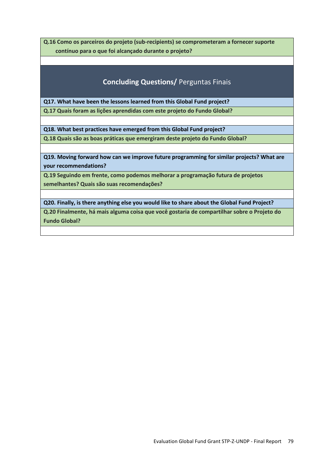**Q.16 Como os parceiros do projeto (sub-recipients) se comprometeram a fornecer suporte contínuo para o que foi alcançado durante o projeto?**

### **Concluding Questions/** Perguntas Finais

**Q17. What have been the lessons learned from this Global Fund project?**

**Q.17 Quais foram as lições aprendidas com este projeto do Fundo Global?**

**Q18. What best practices have emerged from this Global Fund project?**

**Q.18 Quais são as boas práticas que emergiram deste projeto do Fundo Global?**

**Q19. Moving forward how can we improve future programming for similar projects? What are your recommendations?**

**Q.19 Seguindo em frente, como podemos melhorar a programação futura de projetos semelhantes? Quais são suas recomendações?**

**Q20. Finally, is there anything else you would like to share about the Global Fund Project?**

**Q.20 Finalmente, há mais alguma coisa que você gostaria de compartilhar sobre o Projeto do Fundo Global?**